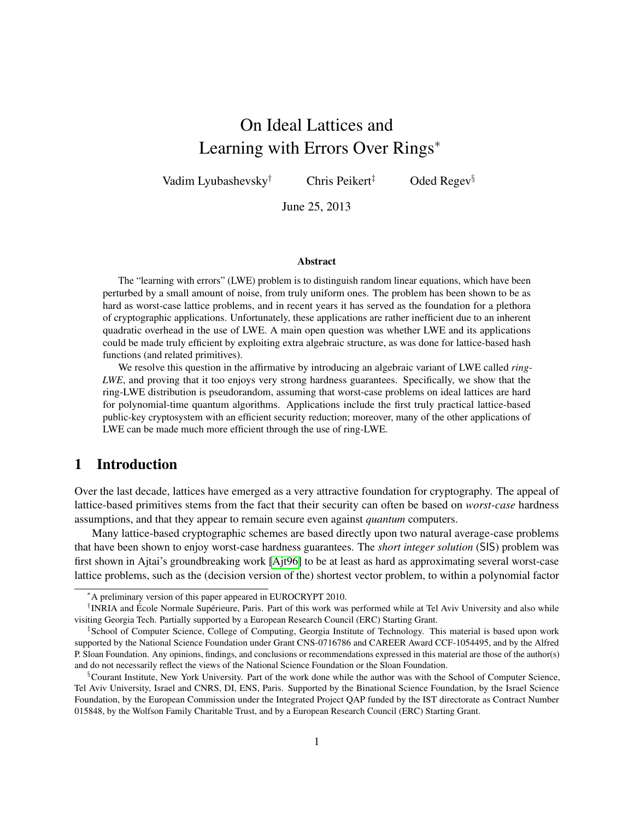# On Ideal Lattices and Learning with Errors Over Rings<sup>∗</sup>

Vadim Lyubashevsky<sup>†</sup> Chris Peikert<sup>‡</sup> Oded Regev<sup>§</sup>

June 25, 2013

#### **Abstract**

The "learning with errors" (LWE) problem is to distinguish random linear equations, which have been perturbed by a small amount of noise, from truly uniform ones. The problem has been shown to be as hard as worst-case lattice problems, and in recent years it has served as the foundation for a plethora of cryptographic applications. Unfortunately, these applications are rather inefficient due to an inherent quadratic overhead in the use of LWE. A main open question was whether LWE and its applications could be made truly efficient by exploiting extra algebraic structure, as was done for lattice-based hash functions (and related primitives).

We resolve this question in the affirmative by introducing an algebraic variant of LWE called *ring-LWE*, and proving that it too enjoys very strong hardness guarantees. Specifically, we show that the ring-LWE distribution is pseudorandom, assuming that worst-case problems on ideal lattices are hard for polynomial-time quantum algorithms. Applications include the first truly practical lattice-based public-key cryptosystem with an efficient security reduction; moreover, many of the other applications of LWE can be made much more efficient through the use of ring-LWE.

## 1 Introduction

Over the last decade, lattices have emerged as a very attractive foundation for cryptography. The appeal of lattice-based primitives stems from the fact that their security can often be based on *worst-case* hardness assumptions, and that they appear to remain secure even against *quantum* computers.

Many lattice-based cryptographic schemes are based directly upon two natural average-case problems that have been shown to enjoy worst-case hardness guarantees. The *short integer solution* (SIS) problem was first shown in Ajtai's groundbreaking work [\[Ajt96\]](#page-30-0) to be at least as hard as approximating several worst-case lattice problems, such as the (decision version of the) shortest vector problem, to within a polynomial factor

<sup>∗</sup>A preliminary version of this paper appeared in EUROCRYPT 2010.

<sup>&</sup>lt;sup>†</sup> INRIA and École Normale Supérieure, Paris. Part of this work was performed while at Tel Aviv University and also while visiting Georgia Tech. Partially supported by a European Research Council (ERC) Starting Grant.

<sup>‡</sup> School of Computer Science, College of Computing, Georgia Institute of Technology. This material is based upon work supported by the National Science Foundation under Grant CNS-0716786 and CAREER Award CCF-1054495, and by the Alfred P. Sloan Foundation. Any opinions, findings, and conclusions or recommendations expressed in this material are those of the author(s) and do not necessarily reflect the views of the National Science Foundation or the Sloan Foundation.

<sup>§</sup>Courant Institute, New York University. Part of the work done while the author was with the School of Computer Science, Tel Aviv University, Israel and CNRS, DI, ENS, Paris. Supported by the Binational Science Foundation, by the Israel Science Foundation, by the European Commission under the Integrated Project QAP funded by the IST directorate as Contract Number 015848, by the Wolfson Family Charitable Trust, and by a European Research Council (ERC) Starting Grant.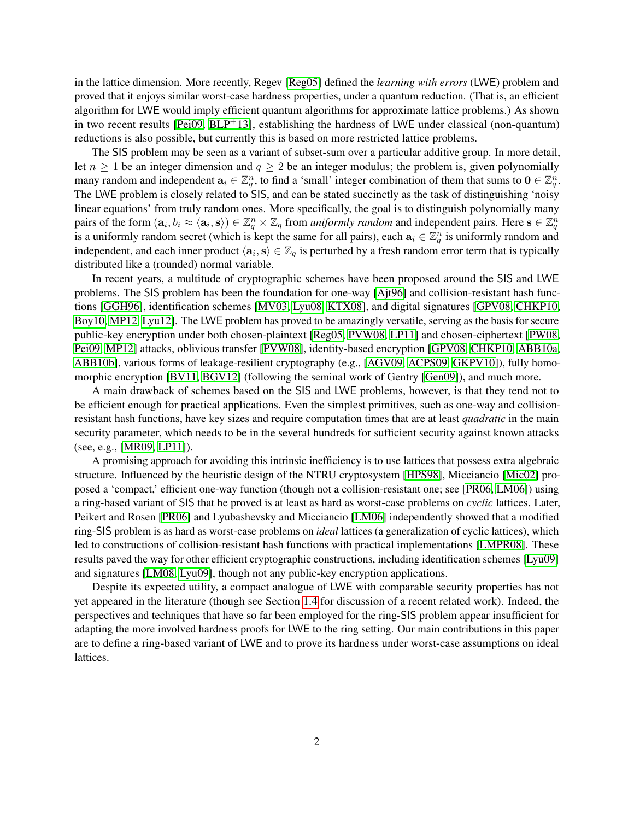in the lattice dimension. More recently, Regev [\[Reg05\]](#page-33-0) defined the *learning with errors* (LWE) problem and proved that it enjoys similar worst-case hardness properties, under a quantum reduction. (That is, an efficient algorithm for LWE would imply efficient quantum algorithms for approximate lattice problems.) As shown in two recent results [\[Pei09,](#page-32-0)  $BLP<sup>+</sup>13$  $BLP<sup>+</sup>13$ ], establishing the hardness of LWE under classical (non-quantum) reductions is also possible, but currently this is based on more restricted lattice problems.

The SIS problem may be seen as a variant of subset-sum over a particular additive group. In more detail, let  $n \geq 1$  be an integer dimension and  $q \geq 2$  be an integer modulus; the problem is, given polynomially many random and independent  $a_i \in \mathbb{Z}_q^n$ , to find a 'small' integer combination of them that sums to  $0 \in \mathbb{Z}_q^n$ . The LWE problem is closely related to SIS, and can be stated succinctly as the task of distinguishing 'noisy linear equations' from truly random ones. More specifically, the goal is to distinguish polynomially many pairs of the form  $(a_i, b_i \approx \langle a_i, s \rangle) \in \mathbb{Z}_q^n \times \mathbb{Z}_q$  from *uniformly random* and independent pairs. Here  $s \in \mathbb{Z}_q^n$ is a uniformly random secret (which is kept the same for all pairs), each  $a_i \in \mathbb{Z}_q^n$  is uniformly random and independent, and each inner product  $\langle a_i, s \rangle \in \mathbb{Z}_q$  is perturbed by a fresh random error term that is typically distributed like a (rounded) normal variable.

In recent years, a multitude of cryptographic schemes have been proposed around the SIS and LWE problems. The SIS problem has been the foundation for one-way [\[Ajt96\]](#page-30-0) and collision-resistant hash functions [\[GGH96\]](#page-31-1), identification schemes [\[MV03,](#page-32-1) [Lyu08,](#page-32-2) [KTX08\]](#page-31-2), and digital signatures [\[GPV08,](#page-31-3) [CHKP10,](#page-31-4) [Boy10,](#page-31-5) [MP12,](#page-32-3) [Lyu12\]](#page-32-4). The LWE problem has proved to be amazingly versatile, serving as the basis for secure public-key encryption under both chosen-plaintext [\[Reg05,](#page-33-0) [PVW08,](#page-33-1) [LP11\]](#page-32-5) and chosen-ciphertext [\[PW08,](#page-33-2) [Pei09,](#page-32-0) [MP12\]](#page-32-3) attacks, oblivious transfer [\[PVW08\]](#page-33-1), identity-based encryption [\[GPV08,](#page-31-3) [CHKP10,](#page-31-4) [ABB10a,](#page-30-1) [ABB10b\]](#page-30-2), various forms of leakage-resilient cryptography (e.g., [\[AGV09,](#page-30-3) [ACPS09,](#page-30-4) [GKPV10\]](#page-31-6)), fully homomorphic encryption [\[BV11,](#page-31-7) [BGV12\]](#page-31-8) (following the seminal work of Gentry [\[Gen09\]](#page-31-9)), and much more.

A main drawback of schemes based on the SIS and LWE problems, however, is that they tend not to be efficient enough for practical applications. Even the simplest primitives, such as one-way and collisionresistant hash functions, have key sizes and require computation times that are at least *quadratic* in the main security parameter, which needs to be in the several hundreds for sufficient security against known attacks (see, e.g., [\[MR09,](#page-32-6) [LP11\]](#page-32-5)).

A promising approach for avoiding this intrinsic inefficiency is to use lattices that possess extra algebraic structure. Influenced by the heuristic design of the NTRU cryptosystem [\[HPS98\]](#page-31-10), Micciancio [\[Mic02\]](#page-32-7) proposed a 'compact,' efficient one-way function (though not a collision-resistant one; see [\[PR06,](#page-32-8) [LM06\]](#page-31-11)) using a ring-based variant of SIS that he proved is at least as hard as worst-case problems on *cyclic* lattices. Later, Peikert and Rosen [\[PR06\]](#page-32-8) and Lyubashevsky and Micciancio [\[LM06\]](#page-31-11) independently showed that a modified ring-SIS problem is as hard as worst-case problems on *ideal* lattices (a generalization of cyclic lattices), which led to constructions of collision-resistant hash functions with practical implementations [\[LMPR08\]](#page-32-9). These results paved the way for other efficient cryptographic constructions, including identification schemes [\[Lyu09\]](#page-32-10) and signatures [\[LM08,](#page-32-11) [Lyu09\]](#page-32-10), though not any public-key encryption applications.

Despite its expected utility, a compact analogue of LWE with comparable security properties has not yet appeared in the literature (though see Section [1.4](#page-7-0) for discussion of a recent related work). Indeed, the perspectives and techniques that have so far been employed for the ring-SIS problem appear insufficient for adapting the more involved hardness proofs for LWE to the ring setting. Our main contributions in this paper are to define a ring-based variant of LWE and to prove its hardness under worst-case assumptions on ideal lattices.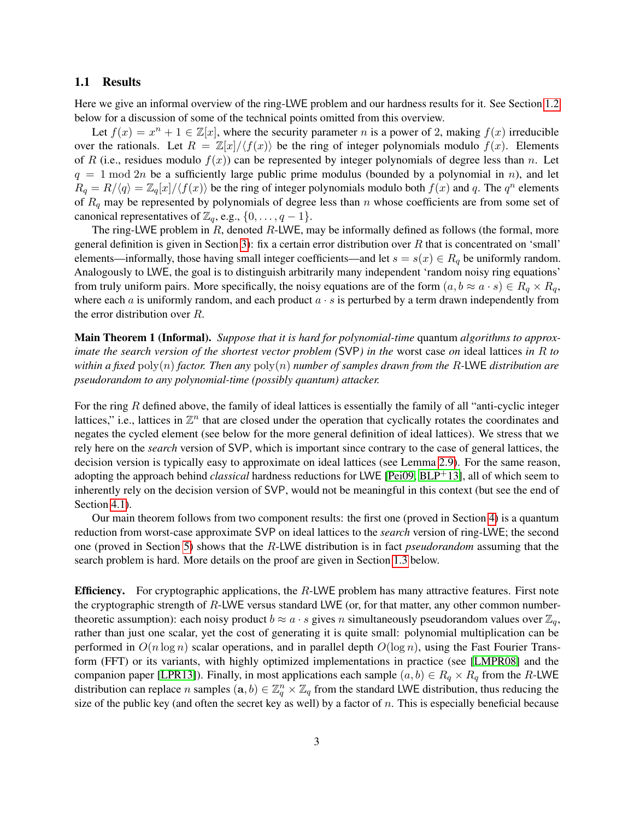## 1.1 Results

Here we give an informal overview of the ring-LWE problem and our hardness results for it. See Section [1.2](#page-4-0) below for a discussion of some of the technical points omitted from this overview.

Let  $f(x) = x^n + 1 \in \mathbb{Z}[x]$ , where the security parameter *n* is a power of 2, making  $f(x)$  irreducible over the rationals. Let  $R = \mathbb{Z}[x]/\langle f(x) \rangle$  be the ring of integer polynomials modulo  $f(x)$ . Elements of R (i.e., residues modulo  $f(x)$ ) can be represented by integer polynomials of degree less than n. Let  $q = 1 \text{ mod } 2n$  be a sufficiently large public prime modulus (bounded by a polynomial in n), and let  $R_q = R/\langle q \rangle = \mathbb{Z}_q[x]/\langle f(x) \rangle$  be the ring of integer polynomials modulo both  $f(x)$  and q. The  $q^n$  elements of  $R_q$  may be represented by polynomials of degree less than n whose coefficients are from some set of canonical representatives of  $\mathbb{Z}_q$ , e.g.,  $\{0, \ldots, q-1\}$ .

The ring-LWE problem in R, denoted R-LWE, may be informally defined as follows (the formal, more general definition is given in Section [3\)](#page-17-0): fix a certain error distribution over  $R$  that is concentrated on 'small' elements—informally, those having small integer coefficients—and let  $s = s(x) \in R_q$  be uniformly random. Analogously to LWE, the goal is to distinguish arbitrarily many independent 'random noisy ring equations' from truly uniform pairs. More specifically, the noisy equations are of the form  $(a, b \approx a \cdot s) \in R_q \times R_q$ , where each a is uniformly random, and each product  $a \cdot s$  is perturbed by a term drawn independently from the error distribution over R.

Main Theorem 1 (Informal). *Suppose that it is hard for polynomial-time* quantum *algorithms to approximate the search version of the shortest vector problem (*SVP*) in the* worst case *on* ideal lattices *in* R *to within a fixed* poly(n) *factor. Then any* poly(n) *number of samples drawn from the* R*-*LWE *distribution are pseudorandom to any polynomial-time (possibly quantum) attacker.*

For the ring R defined above, the family of ideal lattices is essentially the family of all "anti-cyclic integer lattices," i.e., lattices in  $\mathbb{Z}^n$  that are closed under the operation that cyclically rotates the coordinates and negates the cycled element (see below for the more general definition of ideal lattices). We stress that we rely here on the *search* version of SVP, which is important since contrary to the case of general lattices, the decision version is typically easy to approximate on ideal lattices (see Lemma [2.9\)](#page-13-0). For the same reason, adopting the approach behind *classical* hardness reductions for LWE [\[Pei09,](#page-32-0) [BLP](#page-31-0)+13], all of which seem to inherently rely on the decision version of SVP, would not be meaningful in this context (but see the end of Section [4.1\)](#page-21-0).

Our main theorem follows from two component results: the first one (proved in Section [4\)](#page-20-0) is a quantum reduction from worst-case approximate SVP on ideal lattices to the *search* version of ring-LWE; the second one (proved in Section [5\)](#page-24-0) shows that the R-LWE distribution is in fact *pseudorandom* assuming that the search problem is hard. More details on the proof are given in Section [1.3](#page-6-0) below.

**Efficiency.** For cryptographic applications, the  $R$ -LWE problem has many attractive features. First note the cryptographic strength of R-LWE versus standard LWE (or, for that matter, any other common numbertheoretic assumption): each noisy product  $b \approx a \cdot s$  gives n simultaneously pseudorandom values over  $\mathbb{Z}_q$ , rather than just one scalar, yet the cost of generating it is quite small: polynomial multiplication can be performed in  $O(n \log n)$  scalar operations, and in parallel depth  $O(\log n)$ , using the Fast Fourier Transform (FFT) or its variants, with highly optimized implementations in practice (see [\[LMPR08\]](#page-32-9) and the companion paper [\[LPR13\]](#page-32-12)). Finally, in most applications each sample  $(a, b) \in R_q \times R_q$  from the R-LWE distribution can replace n samples  $(a, b) \in \mathbb{Z}_q^n \times \mathbb{Z}_q$  from the standard LWE distribution, thus reducing the size of the public key (and often the secret key as well) by a factor of  $n$ . This is especially beneficial because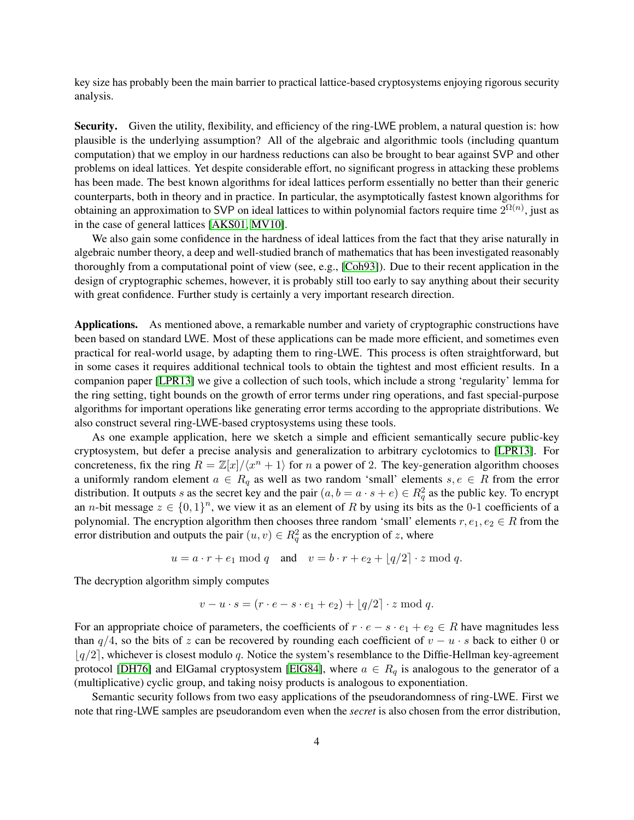key size has probably been the main barrier to practical lattice-based cryptosystems enjoying rigorous security analysis.

Security. Given the utility, flexibility, and efficiency of the ring-LWE problem, a natural question is: how plausible is the underlying assumption? All of the algebraic and algorithmic tools (including quantum computation) that we employ in our hardness reductions can also be brought to bear against SVP and other problems on ideal lattices. Yet despite considerable effort, no significant progress in attacking these problems has been made. The best known algorithms for ideal lattices perform essentially no better than their generic counterparts, both in theory and in practice. In particular, the asymptotically fastest known algorithms for obtaining an approximation to SVP on ideal lattices to within polynomial factors require time  $2^{\Omega(n)}$ , just as in the case of general lattices [\[AKS01,](#page-30-5) [MV10\]](#page-32-13).

We also gain some confidence in the hardness of ideal lattices from the fact that they arise naturally in algebraic number theory, a deep and well-studied branch of mathematics that has been investigated reasonably thoroughly from a computational point of view (see, e.g., [\[Coh93\]](#page-31-12)). Due to their recent application in the design of cryptographic schemes, however, it is probably still too early to say anything about their security with great confidence. Further study is certainly a very important research direction.

Applications. As mentioned above, a remarkable number and variety of cryptographic constructions have been based on standard LWE. Most of these applications can be made more efficient, and sometimes even practical for real-world usage, by adapting them to ring-LWE. This process is often straightforward, but in some cases it requires additional technical tools to obtain the tightest and most efficient results. In a companion paper [\[LPR13\]](#page-32-12) we give a collection of such tools, which include a strong 'regularity' lemma for the ring setting, tight bounds on the growth of error terms under ring operations, and fast special-purpose algorithms for important operations like generating error terms according to the appropriate distributions. We also construct several ring-LWE-based cryptosystems using these tools.

As one example application, here we sketch a simple and efficient semantically secure public-key cryptosystem, but defer a precise analysis and generalization to arbitrary cyclotomics to [\[LPR13\]](#page-32-12). For concreteness, fix the ring  $R = \mathbb{Z}[x]/\langle x^n + 1 \rangle$  for n a power of 2. The key-generation algorithm chooses a uniformly random element  $a \in R_q$  as well as two random 'small' elements  $s, e \in R$  from the error distribution. It outputs s as the secret key and the pair  $(a, b = a \cdot s + e) \in R_q^2$  as the public key. To encrypt an *n*-bit message  $z \in \{0,1\}^n$ , we view it as an element of R by using its bits as the 0-1 coefficients of a polynomial. The encryption algorithm then chooses three random 'small' elements  $r, e_1, e_2 \in R$  from the error distribution and outputs the pair  $(u, v) \in R_q^2$  as the encryption of z, where

$$
u = a \cdot r + e_1 \mod q \quad \text{and} \quad v = b \cdot r + e_2 + \lfloor q/2 \rfloor \cdot z \mod q.
$$

The decryption algorithm simply computes

$$
v - u \cdot s = (r \cdot e - s \cdot e_1 + e_2) + \lfloor q/2 \rfloor \cdot z \mod q.
$$

For an appropriate choice of parameters, the coefficients of  $r \cdot e - s \cdot e_1 + e_2 \in R$  have magnitudes less than  $q/4$ , so the bits of z can be recovered by rounding each coefficient of  $v - u \cdot s$  back to either 0 or  $|q/2|$ , whichever is closest modulo q. Notice the system's resemblance to the Diffie-Hellman key-agreement protocol [\[DH76\]](#page-31-13) and ElGamal cryptosystem [\[ElG84\]](#page-31-14), where  $a \in R_q$  is analogous to the generator of a (multiplicative) cyclic group, and taking noisy products is analogous to exponentiation.

Semantic security follows from two easy applications of the pseudorandomness of ring-LWE. First we note that ring-LWE samples are pseudorandom even when the *secret* is also chosen from the error distribution,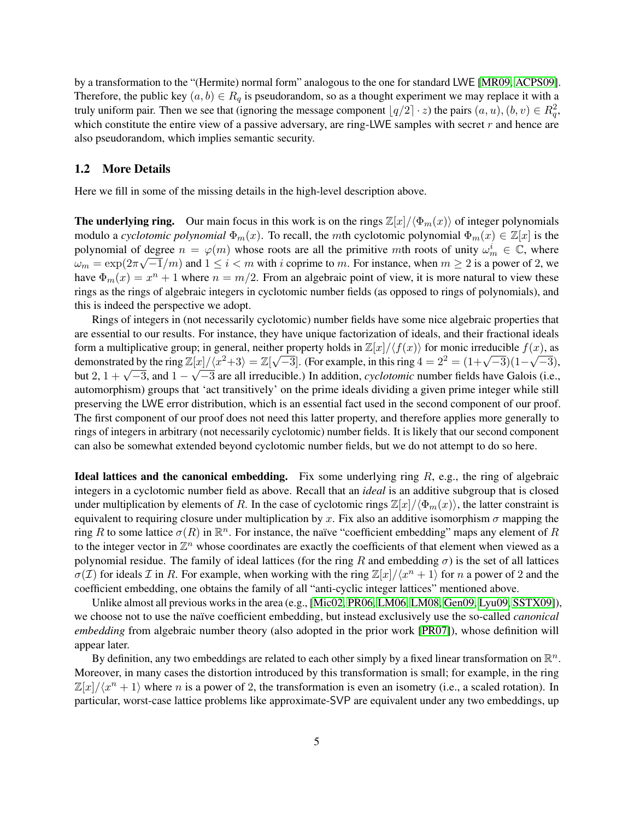by a transformation to the "(Hermite) normal form" analogous to the one for standard LWE [\[MR09,](#page-32-6) [ACPS09\]](#page-30-4). Therefore, the public key  $(a, b) \in R_q$  is pseudorandom, so as a thought experiment we may replace it with a truly uniform pair. Then we see that (ignoring the message component  $\lfloor q/2 \rfloor \cdot z$ ) the pairs  $(a, u), (b, v) \in R_q^2$ , which constitute the entire view of a passive adversary, are ring-LWE samples with secret  $r$  and hence are also pseudorandom, which implies semantic security.

## <span id="page-4-0"></span>1.2 More Details

Here we fill in some of the missing details in the high-level description above.

**The underlying ring.** Our main focus in this work is on the rings  $\mathbb{Z}[x]/\langle\Phi_m(x)\rangle$  of integer polynomials modulo a *cyclotomic polynomial*  $\Phi_m(x)$ . To recall, the mth cyclotomic polynomial  $\Phi_m(x) \in \mathbb{Z}[x]$  is the polynomial of degree  $n = \varphi(m)$  whose roots are all the primitive mth roots of unity  $\omega_m^i \in \mathbb{C}$ , where  $\omega_m = \exp(2\pi\sqrt{-1/m})$  and  $1 \le i < m$  with i coprime to m. For instance, when  $m \ge 2$  is a power of 2, we have  $\Phi_m(x) = x^n + 1$  where  $n = m/2$ . From an algebraic point of view, it is more natural to view these rings as the rings of algebraic integers in cyclotomic number fields (as opposed to rings of polynomials), and this is indeed the perspective we adopt.

Rings of integers in (not necessarily cyclotomic) number fields have some nice algebraic properties that are essential to our results. For instance, they have unique factorization of ideals, and their fractional ideals form a multiplicative group; in general, neither property holds in  $\mathbb{Z}[x]/\langle f(x)\rangle$  for monic irreducible  $f(x)$ , as demonstrated by the ring  $\mathbb{Z}[x]/\langle x^2+3 \rangle = \mathbb{Z}[\sqrt{-3}]$ . (For example, in this ring  $4 = 2^2 = (1+\sqrt{-3})(1-\sqrt{3})$ ) √  $\mathbb{Z}[x]/(x^2+3) = \mathbb{Z}[\sqrt{-3}]$ . (For example, in this ring  $4 = 2^2 = (1+\sqrt{-3})(1-\sqrt{-3})$ , but 2,  $1 + \sqrt{-3}$ , and  $1 - \sqrt{-3}$  are all irreducible.) In addition, *cyclotomic* number fields have Galois (i.e., automorphism) groups that 'act transitively' on the prime ideals dividing a given prime integer while still preserving the LWE error distribution, which is an essential fact used in the second component of our proof. The first component of our proof does not need this latter property, and therefore applies more generally to rings of integers in arbitrary (not necessarily cyclotomic) number fields. It is likely that our second component can also be somewhat extended beyond cyclotomic number fields, but we do not attempt to do so here.

**Ideal lattices and the canonical embedding.** Fix some underlying ring  $R$ , e.g., the ring of algebraic integers in a cyclotomic number field as above. Recall that an *ideal* is an additive subgroup that is closed under multiplication by elements of R. In the case of cyclotomic rings  $\mathbb{Z}[x]/\langle \Phi_m(x)\rangle$ , the latter constraint is equivalent to requiring closure under multiplication by x. Fix also an additive isomorphism  $\sigma$  mapping the ring R to some lattice  $\sigma(R)$  in  $\mathbb{R}^n$ . For instance, the naïve "coefficient embedding" maps any element of R to the integer vector in  $\mathbb{Z}^n$  whose coordinates are exactly the coefficients of that element when viewed as a polynomial residue. The family of ideal lattices (for the ring R and embedding  $\sigma$ ) is the set of all lattices  $\sigma(\mathcal{I})$  for ideals  $\mathcal I$  in R. For example, when working with the ring  $\mathbb Z[x]/\langle x^n + 1 \rangle$  for n a power of 2 and the coefficient embedding, one obtains the family of all "anti-cyclic integer lattices" mentioned above.

Unlike almost all previous works in the area (e.g., [\[Mic02,](#page-32-7) [PR06,](#page-32-8) [LM06,](#page-31-11) [LM08,](#page-32-11) [Gen09,](#page-31-9) [Lyu09,](#page-32-10) [SSTX09\]](#page-33-3)), we choose not to use the naïve coefficient embedding, but instead exclusively use the so-called *canonical embedding* from algebraic number theory (also adopted in the prior work [\[PR07\]](#page-32-14)), whose definition will appear later.

By definition, any two embeddings are related to each other simply by a fixed linear transformation on  $\mathbb{R}^n$ . Moreover, in many cases the distortion introduced by this transformation is small; for example, in the ring  $\mathbb{Z}[x]/\langle x^n + 1 \rangle$  where n is a power of 2, the transformation is even an isometry (i.e., a scaled rotation). In particular, worst-case lattice problems like approximate-SVP are equivalent under any two embeddings, up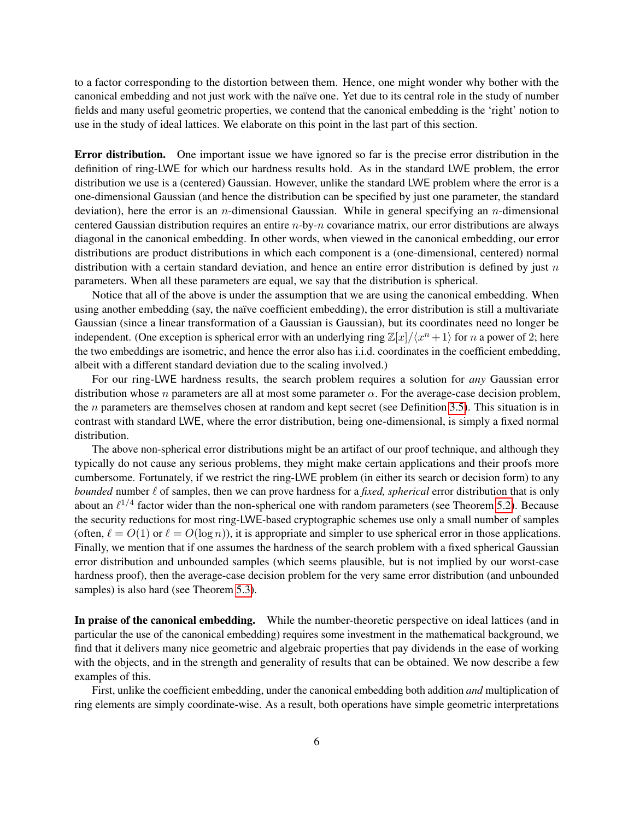to a factor corresponding to the distortion between them. Hence, one might wonder why bother with the canonical embedding and not just work with the naïve one. Yet due to its central role in the study of number fields and many useful geometric properties, we contend that the canonical embedding is the 'right' notion to use in the study of ideal lattices. We elaborate on this point in the last part of this section.

Error distribution. One important issue we have ignored so far is the precise error distribution in the definition of ring-LWE for which our hardness results hold. As in the standard LWE problem, the error distribution we use is a (centered) Gaussian. However, unlike the standard LWE problem where the error is a one-dimensional Gaussian (and hence the distribution can be specified by just one parameter, the standard deviation), here the error is an n-dimensional Gaussian. While in general specifying an n-dimensional centered Gaussian distribution requires an entire  $n$ -by- $n$  covariance matrix, our error distributions are always diagonal in the canonical embedding. In other words, when viewed in the canonical embedding, our error distributions are product distributions in which each component is a (one-dimensional, centered) normal distribution with a certain standard deviation, and hence an entire error distribution is defined by just  $n$ parameters. When all these parameters are equal, we say that the distribution is spherical.

Notice that all of the above is under the assumption that we are using the canonical embedding. When using another embedding (say, the naïve coefficient embedding), the error distribution is still a multivariate Gaussian (since a linear transformation of a Gaussian is Gaussian), but its coordinates need no longer be independent. (One exception is spherical error with an underlying ring  $\mathbb{Z}[x]/\langle x^n + 1 \rangle$  for n a power of 2; here the two embeddings are isometric, and hence the error also has i.i.d. coordinates in the coefficient embedding, albeit with a different standard deviation due to the scaling involved.)

For our ring-LWE hardness results, the search problem requires a solution for *any* Gaussian error distribution whose *n* parameters are all at most some parameter  $\alpha$ . For the average-case decision problem, the  $n$  parameters are themselves chosen at random and kept secret (see Definition [3.5\)](#page-18-0). This situation is in contrast with standard LWE, where the error distribution, being one-dimensional, is simply a fixed normal distribution.

The above non-spherical error distributions might be an artifact of our proof technique, and although they typically do not cause any serious problems, they might make certain applications and their proofs more cumbersome. Fortunately, if we restrict the ring-LWE problem (in either its search or decision form) to any *bounded* number  $\ell$  of samples, then we can prove hardness for a *fixed, spherical* error distribution that is only about an  $\ell^{1/4}$  factor wider than the non-spherical one with random parameters (see Theorem [5.2\)](#page-25-0). Because the security reductions for most ring-LWE-based cryptographic schemes use only a small number of samples (often,  $\ell = O(1)$  or  $\ell = O(\log n)$ ), it is appropriate and simpler to use spherical error in those applications. Finally, we mention that if one assumes the hardness of the search problem with a fixed spherical Gaussian error distribution and unbounded samples (which seems plausible, but is not implied by our worst-case hardness proof), then the average-case decision problem for the very same error distribution (and unbounded samples) is also hard (see Theorem [5.3\)](#page-25-1).

In praise of the canonical embedding. While the number-theoretic perspective on ideal lattices (and in particular the use of the canonical embedding) requires some investment in the mathematical background, we find that it delivers many nice geometric and algebraic properties that pay dividends in the ease of working with the objects, and in the strength and generality of results that can be obtained. We now describe a few examples of this.

First, unlike the coefficient embedding, under the canonical embedding both addition *and* multiplication of ring elements are simply coordinate-wise. As a result, both operations have simple geometric interpretations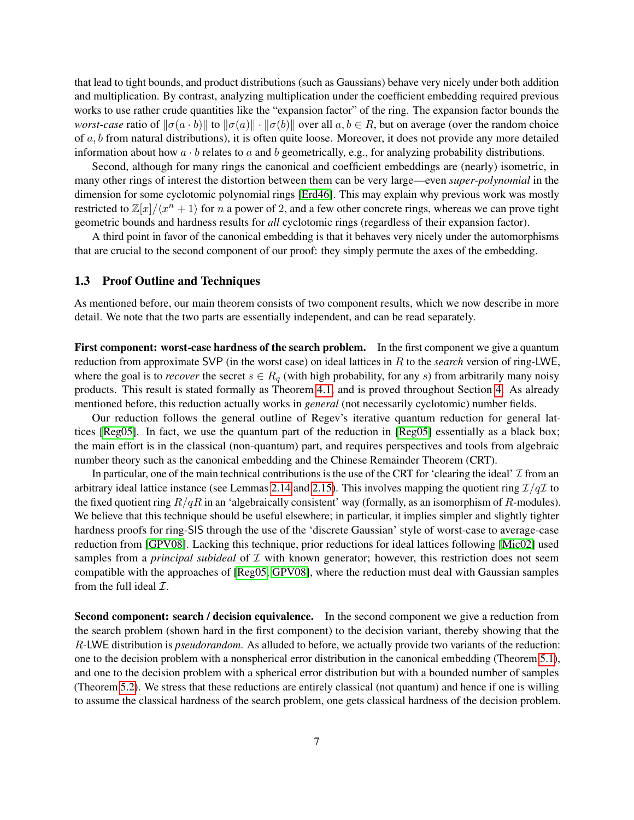that lead to tight bounds, and product distributions (such as Gaussians) behave very nicely under both addition and multiplication. By contrast, analyzing multiplication under the coefficient embedding required previous works to use rather crude quantities like the "expansion factor" of the ring. The expansion factor bounds the *worst-case* ratio of  $\|\sigma(a \cdot b)\|$  to  $\|\sigma(a)\| \cdot \|\sigma(b)\|$  over all  $a, b \in R$ , but on average (over the random choice of  $a, b$  from natural distributions), it is often quite loose. Moreover, it does not provide any more detailed information about how  $a \cdot b$  relates to a and b geometrically, e.g., for analyzing probability distributions.

Second, although for many rings the canonical and coefficient embeddings are (nearly) isometric, in many other rings of interest the distortion between them can be very large—even *super-polynomial* in the dimension for some cyclotomic polynomial rings [\[Erd46\]](#page-31-15). This may explain why previous work was mostly restricted to  $\mathbb{Z}[x]/\langle x^n + 1 \rangle$  for n a power of 2, and a few other concrete rings, whereas we can prove tight geometric bounds and hardness results for *all* cyclotomic rings (regardless of their expansion factor).

A third point in favor of the canonical embedding is that it behaves very nicely under the automorphisms that are crucial to the second component of our proof: they simply permute the axes of the embedding.

## <span id="page-6-0"></span>1.3 Proof Outline and Techniques

As mentioned before, our main theorem consists of two component results, which we now describe in more detail. We note that the two parts are essentially independent, and can be read separately.

First component: worst-case hardness of the search problem. In the first component we give a quantum reduction from approximate SVP (in the worst case) on ideal lattices in R to the *search* version of ring-LWE, where the goal is to *recover* the secret  $s \in R_q$  (with high probability, for any s) from arbitrarily many noisy products. This result is stated formally as Theorem [4.1,](#page-20-1) and is proved throughout Section [4.](#page-20-0) As already mentioned before, this reduction actually works in *general* (not necessarily cyclotomic) number fields.

Our reduction follows the general outline of Regev's iterative quantum reduction for general lattices [\[Reg05\]](#page-33-0). In fact, we use the quantum part of the reduction in [\[Reg05\]](#page-33-0) essentially as a black box; the main effort is in the classical (non-quantum) part, and requires perspectives and tools from algebraic number theory such as the canonical embedding and the Chinese Remainder Theorem (CRT).

In particular, one of the main technical contributions is the use of the CRT for 'clearing the ideal'  $\mathcal I$  from an arbitrary ideal lattice instance (see Lemmas [2.14](#page-15-0) and [2.15\)](#page-15-1). This involves mapping the quotient ring  $\mathcal{I}/q\mathcal{I}$  to the fixed quotient ring  $R/qR$  in an 'algebraically consistent' way (formally, as an isomorphism of R-modules). We believe that this technique should be useful elsewhere; in particular, it implies simpler and slightly tighter hardness proofs for ring-SIS through the use of the 'discrete Gaussian' style of worst-case to average-case reduction from [\[GPV08\]](#page-31-3). Lacking this technique, prior reductions for ideal lattices following [\[Mic02\]](#page-32-7) used samples from a *principal subideal* of  $I$  with known generator; however, this restriction does not seem compatible with the approaches of [\[Reg05,](#page-33-0) [GPV08\]](#page-31-3), where the reduction must deal with Gaussian samples from the full ideal  $\mathcal{I}$ .

Second component: search / decision equivalence. In the second component we give a reduction from the search problem (shown hard in the first component) to the decision variant, thereby showing that the R-LWE distribution is *pseudorandom*. As alluded to before, we actually provide two variants of the reduction: one to the decision problem with a nonspherical error distribution in the canonical embedding (Theorem [5.1\)](#page-24-1), and one to the decision problem with a spherical error distribution but with a bounded number of samples (Theorem [5.2\)](#page-25-0). We stress that these reductions are entirely classical (not quantum) and hence if one is willing to assume the classical hardness of the search problem, one gets classical hardness of the decision problem.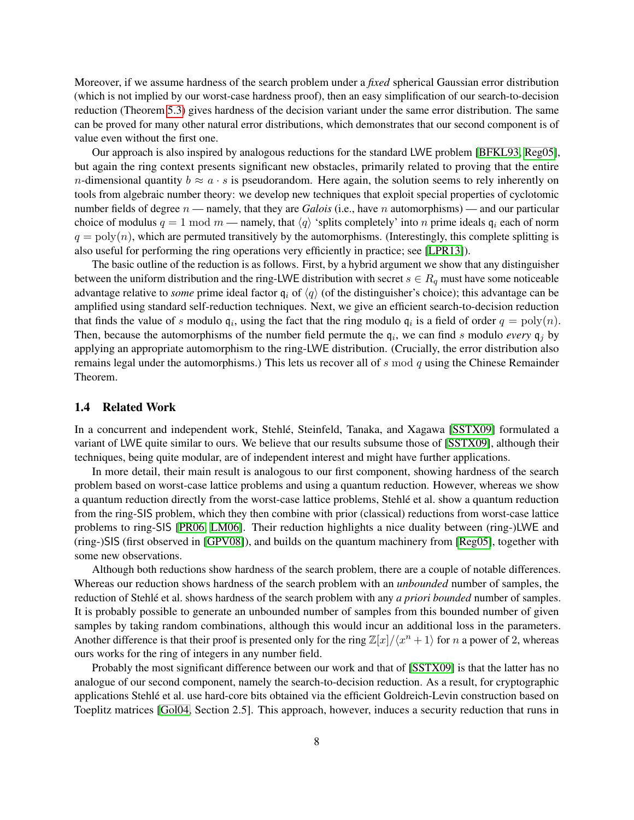Moreover, if we assume hardness of the search problem under a *fixed* spherical Gaussian error distribution (which is not implied by our worst-case hardness proof), then an easy simplification of our search-to-decision reduction (Theorem [5.3\)](#page-25-1) gives hardness of the decision variant under the same error distribution. The same can be proved for many other natural error distributions, which demonstrates that our second component is of value even without the first one.

Our approach is also inspired by analogous reductions for the standard LWE problem [\[BFKL93,](#page-30-6) [Reg05\]](#page-33-0), but again the ring context presents significant new obstacles, primarily related to proving that the entire *n*-dimensional quantity  $b \approx a \cdot s$  is pseudorandom. Here again, the solution seems to rely inherently on tools from algebraic number theory: we develop new techniques that exploit special properties of cyclotomic number fields of degree  $n$  — namely, that they are *Galois* (i.e., have n automorphisms) — and our particular choice of modulus  $q = 1 \text{ mod } m$  — namely, that  $\langle q \rangle$  'splits completely' into n prime ideals  $q_i$  each of norm  $q = \text{poly}(n)$ , which are permuted transitively by the automorphisms. (Interestingly, this complete splitting is also useful for performing the ring operations very efficiently in practice; see [\[LPR13\]](#page-32-12)).

The basic outline of the reduction is as follows. First, by a hybrid argument we show that any distinguisher between the uniform distribution and the ring-LWE distribution with secret  $s \in R_q$  must have some noticeable advantage relative to *some* prime ideal factor  $q_i$  of  $\langle q \rangle$  (of the distinguisher's choice); this advantage can be amplified using standard self-reduction techniques. Next, we give an efficient search-to-decision reduction that finds the value of s modulo  $q_i$ , using the fact that the ring modulo  $q_i$  is a field of order  $q = \text{poly}(n)$ . Then, because the automorphisms of the number field permute the  $q_i$ , we can find s modulo *every*  $q_j$  by applying an appropriate automorphism to the ring-LWE distribution. (Crucially, the error distribution also remains legal under the automorphisms.) This lets us recover all of s mod q using the Chinese Remainder Theorem.

## <span id="page-7-0"></span>1.4 Related Work

In a concurrent and independent work, Stehlé, Steinfeld, Tanaka, and Xagawa [[SSTX09\]](#page-33-3) formulated a variant of LWE quite similar to ours. We believe that our results subsume those of [\[SSTX09\]](#page-33-3), although their techniques, being quite modular, are of independent interest and might have further applications.

In more detail, their main result is analogous to our first component, showing hardness of the search problem based on worst-case lattice problems and using a quantum reduction. However, whereas we show a quantum reduction directly from the worst-case lattice problems, Stehle et al. show a quantum reduction ´ from the ring-SIS problem, which they then combine with prior (classical) reductions from worst-case lattice problems to ring-SIS [\[PR06,](#page-32-8) [LM06\]](#page-31-11). Their reduction highlights a nice duality between (ring-)LWE and (ring-)SIS (first observed in [\[GPV08\]](#page-31-3)), and builds on the quantum machinery from [\[Reg05\]](#page-33-0), together with some new observations.

Although both reductions show hardness of the search problem, there are a couple of notable differences. Whereas our reduction shows hardness of the search problem with an *unbounded* number of samples, the reduction of Stehlé et al. shows hardness of the search problem with any *a priori bounded* number of samples. It is probably possible to generate an unbounded number of samples from this bounded number of given samples by taking random combinations, although this would incur an additional loss in the parameters. Another difference is that their proof is presented only for the ring  $\mathbb{Z}[x]/\langle x^n + 1 \rangle$  for n a power of 2, whereas ours works for the ring of integers in any number field.

Probably the most significant difference between our work and that of [\[SSTX09\]](#page-33-3) is that the latter has no analogue of our second component, namely the search-to-decision reduction. As a result, for cryptographic applications Stehle et al. use hard-core bits obtained via the efficient Goldreich-Levin construction based on ´ Toeplitz matrices [\[Gol04,](#page-31-16) Section 2.5]. This approach, however, induces a security reduction that runs in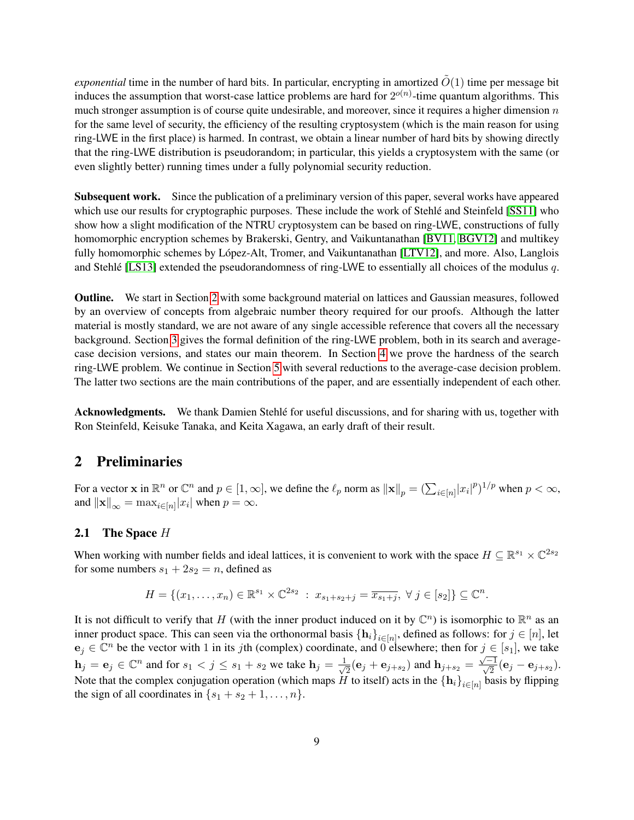*exponential* time in the number of hard bits. In particular, encrypting in amortized  $\tilde{O}(1)$  time per message bit induces the assumption that worst-case lattice problems are hard for  $2^{o(n)}$ -time quantum algorithms. This much stronger assumption is of course quite undesirable, and moreover, since it requires a higher dimension  $n$ for the same level of security, the efficiency of the resulting cryptosystem (which is the main reason for using ring-LWE in the first place) is harmed. In contrast, we obtain a linear number of hard bits by showing directly that the ring-LWE distribution is pseudorandom; in particular, this yields a cryptosystem with the same (or even slightly better) running times under a fully polynomial security reduction.

Subsequent work. Since the publication of a preliminary version of this paper, several works have appeared which use our results for cryptographic purposes. These include the work of Stehle and Steinfeld [[SS11\]](#page-33-4) who show how a slight modification of the NTRU cryptosystem can be based on ring-LWE, constructions of fully homomorphic encryption schemes by Brakerski, Gentry, and Vaikuntanathan [\[BV11,](#page-31-7) [BGV12\]](#page-31-8) and multikey fully homomorphic schemes by López-Alt, Tromer, and Vaikuntanathan [[LTV12\]](#page-32-15), and more. Also, Langlois and Stehle [\[LS13\]](#page-32-16) extended the pseudorandomness of ring-LWE to essentially all choices of the modulus  $q$ .

Outline. We start in Section [2](#page-8-0) with some background material on lattices and Gaussian measures, followed by an overview of concepts from algebraic number theory required for our proofs. Although the latter material is mostly standard, we are not aware of any single accessible reference that covers all the necessary background. Section [3](#page-17-0) gives the formal definition of the ring-LWE problem, both in its search and averagecase decision versions, and states our main theorem. In Section [4](#page-20-0) we prove the hardness of the search ring-LWE problem. We continue in Section [5](#page-24-0) with several reductions to the average-case decision problem. The latter two sections are the main contributions of the paper, and are essentially independent of each other.

Acknowledgments. We thank Damien Stehle for useful discussions, and for sharing with us, together with Ron Steinfeld, Keisuke Tanaka, and Keita Xagawa, an early draft of their result.

## <span id="page-8-0"></span>2 Preliminaries

For a vector **x** in  $\mathbb{R}^n$  or  $\mathbb{C}^n$  and  $p \in [1, \infty]$ , we define the  $\ell_p$  norm as  $\|\mathbf{x}\|_p = (\sum_{i \in [n]} |x_i|^p)^{1/p}$  when  $p < \infty$ , and  $\|\mathbf{x}\|_{\infty} = \max_{i \in [n]} |x_i|$  when  $p = \infty$ .

## <span id="page-8-1"></span>**2.1** The Space  $H$

When working with number fields and ideal lattices, it is convenient to work with the space  $H \subseteq \mathbb{R}^{s_1} \times \mathbb{C}^{2s_2}$ for some numbers  $s_1 + 2s_2 = n$ , defined as

$$
H = \{(x_1, \ldots, x_n) \in \mathbb{R}^{s_1} \times \mathbb{C}^{2s_2} : x_{s_1+s_2+j} = \overline{x_{s_1+j}}, \ \forall \ j \in [s_2] \} \subseteq \mathbb{C}^n.
$$

It is not difficult to verify that H (with the inner product induced on it by  $\mathbb{C}^n$ ) is isomorphic to  $\mathbb{R}^n$  as an inner product space. This can seen via the orthonormal basis  $\{h_i\}_{i\in[n]}$ , defined as follows: for  $j\in[n]$ , let  $e_j \in \mathbb{C}^n$  be the vector with 1 in its jth (complex) coordinate, and 0 elsewhere; then for  $j \in [s_1]$ , we take  $\mathbf{h}_j = \mathbf{e}_j \in \mathbb{C}^n$  and for  $s_1 < j \leq s_1 + s_2$  we take  $\mathbf{h}_j = \frac{1}{\sqrt{n}}$  $\frac{1}{2}(\mathbf{e}_j + \mathbf{e}_{j+s_2})$  and  $\mathbf{h}_{j+s_2} = \frac{\sqrt{-1}}{\sqrt{2}}(\mathbf{e}_j - \mathbf{e}_{j+s_2}).$ Note that the complex conjugation operation (which maps H to itself) acts in the  $\{h_i\}_{i\in[n]}$  basis by flipping the sign of all coordinates in  $\{s_1 + s_2 + 1, \ldots, n\}.$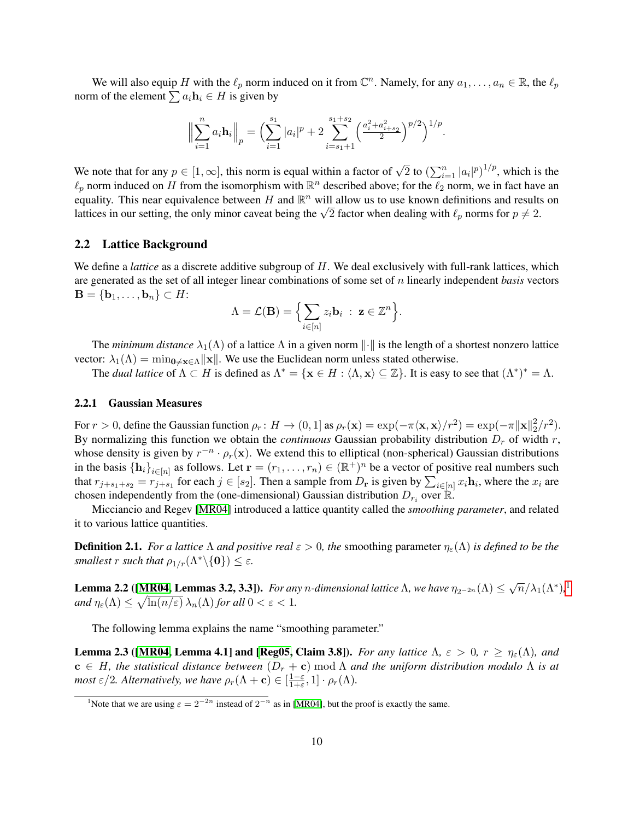We will also equip H with the  $\ell_p$  norm induced on it from  $\mathbb{C}^n$ . Namely, for any  $a_1, \ldots, a_n \in \mathbb{R}$ , the  $\ell_p$ norm of the element  $\sum a_i \mathbf{h}_i \in H$  is given by

$$
\Big\|\sum_{i=1}^n a_i \mathbf{h}_i\Big\|_p = \Big(\sum_{i=1}^{s_1} |a_i|^p + 2 \sum_{i=s_1+1}^{s_1+s_2} \Big(\frac{a_i^2 + a_{i+s_2}^2}{2}\Big)^{p/2}\Big)^{1/p}.
$$

We note that for any  $p \in [1,\infty]$ , this norm is equal within a factor of  $\sqrt{2}$  to  $(\sum_{i=1}^n |a_i|^p)^{1/p}$ , which is the  $\ell_p$  norm induced on H from the isomorphism with  $\mathbb{R}^n$  described above; for the  $\ell_2$  norm, we in fact have an equality. This near equivalence between H and  $\mathbb{R}^n$  will allow us to use known definitions and results on equanty. This hear equivalence between *H* and K<sup>--</sup> will allow us to use known definitions and results lattices in our setting, the only minor caveat being the  $\sqrt{2}$  factor when dealing with  $\ell_p$  norms for  $p \neq 2$ .

## 2.2 Lattice Background

We define a *lattice* as a discrete additive subgroup of H. We deal exclusively with full-rank lattices, which are generated as the set of all integer linear combinations of some set of n linearly independent *basis* vectors  $\mathbf{B} = \{\mathbf{b}_1, \ldots, \mathbf{b}_n\} \subset H$ :

$$
\Lambda = \mathcal{L}(\mathbf{B}) = \Big\{ \sum_{i \in [n]} z_i \mathbf{b}_i \ : \ \mathbf{z} \in \mathbb{Z}^n \Big\}.
$$

The *minimum distance*  $\lambda_1(\Lambda)$  of a lattice  $\Lambda$  in a given norm  $\|\cdot\|$  is the length of a shortest nonzero lattice vector:  $\lambda_1(\Lambda) = \min_{0 \le x \in \Lambda} ||x||$ . We use the Euclidean norm unless stated otherwise.

The *dual lattice* of  $\Lambda \subset H$  is defined as  $\Lambda^* = {\mathbf{x} \in H : \langle \Lambda, \mathbf{x} \rangle \subseteq \mathbb{Z}}$ . It is easy to see that  $(\Lambda^*)^* = \Lambda$ .

## <span id="page-9-1"></span>2.2.1 Gaussian Measures

For  $r > 0$ , define the Gaussian function  $\rho_r \colon H \to (0,1]$  as  $\rho_r(\mathbf{x}) = \exp(-\pi \langle \mathbf{x}, \mathbf{x} \rangle / r^2) = \exp(-\pi \|\mathbf{x}\|_2^2)$  $^{2}_{2}/r^{2}).$ By normalizing this function we obtain the *continuous* Gaussian probability distribution  $D<sub>r</sub>$  of width r, whose density is given by  $r^{-n} \cdot \rho_r(\mathbf{x})$ . We extend this to elliptical (non-spherical) Gaussian distributions in the basis  $\{\mathbf h_i\}_{i\in[n]}$  as follows. Let  $\mathbf r = (r_1,\ldots,r_n) \in (\mathbb R^+)^n$  be a vector of positive real numbers such that  $r_{j+s_1+s_2} = r_{j+s_1}$  for each  $j \in [s_2]$ . Then a sample from  $D_r$  is given by  $\sum_{i \in [n]} x_i \mathbf{h}_i$ , where the  $x_i$  are chosen independently from the (one-dimensional) Gaussian distribution  $D_{r_i}$  over  $\mathbb{R}$ .

Micciancio and Regev [\[MR04\]](#page-32-17) introduced a lattice quantity called the *smoothing parameter*, and related it to various lattice quantities.

**Definition 2.1.** *For a lattice*  $\Lambda$  *and positive real*  $\varepsilon > 0$ *, the* smoothing parameter  $\eta_{\varepsilon}(\Lambda)$  *is defined to be the smallest r such that*  $\rho_{1/r}(\Lambda^*\backslash\{\mathbf{0}\}) \leq \varepsilon$ .

<span id="page-9-2"></span>**Lemma 2.2** ([\[MR04,](#page-32-17) Lemmas 3.2, 3.3]). *For any n-dimensional lattice*  $\Lambda$ , we have  $\eta_{2^{-2n}}(\Lambda) \leq \sqrt{n}/\lambda_1(\Lambda^*)$  $\eta_{2^{-2n}}(\Lambda) \leq \sqrt{n}/\lambda_1(\Lambda^*)$  $\eta_{2^{-2n}}(\Lambda) \leq \sqrt{n}/\lambda_1(\Lambda^*)$ ,<sup>1</sup> and  $\eta_{\varepsilon}(\Lambda) \leq \sqrt{\ln(n/\varepsilon)} \, \lambda_n(\Lambda)$  for all  $0 < \varepsilon < 1$ .

The following lemma explains the name "smoothing parameter."

<span id="page-9-3"></span>**Lemma 2.3** ([\[MR04,](#page-32-17) Lemma 4.1] and [\[Reg05,](#page-33-0) Claim 3.8]). *For any lattice*  $\Lambda$ ,  $\varepsilon > 0$ ,  $r \ge \eta_{\varepsilon}(\Lambda)$ , and  $c \in H$ , the statistical distance between  $(D_r + c) \mod \Lambda$  and the uniform distribution modulo  $\Lambda$  is at *most*  $\varepsilon/2$ *. Alternatively, we have*  $\rho_r(\Lambda + \mathbf{c}) \in \left[\frac{1-\varepsilon}{1+\varepsilon}\right]$  $\frac{1-\varepsilon}{1+\varepsilon}, 1] \cdot \rho_r(\Lambda).$ 

<span id="page-9-0"></span><sup>&</sup>lt;sup>1</sup>Note that we are using  $\varepsilon = 2^{-2n}$  instead of  $2^{-n}$  as in [\[MR04\]](#page-32-17), but the proof is exactly the same.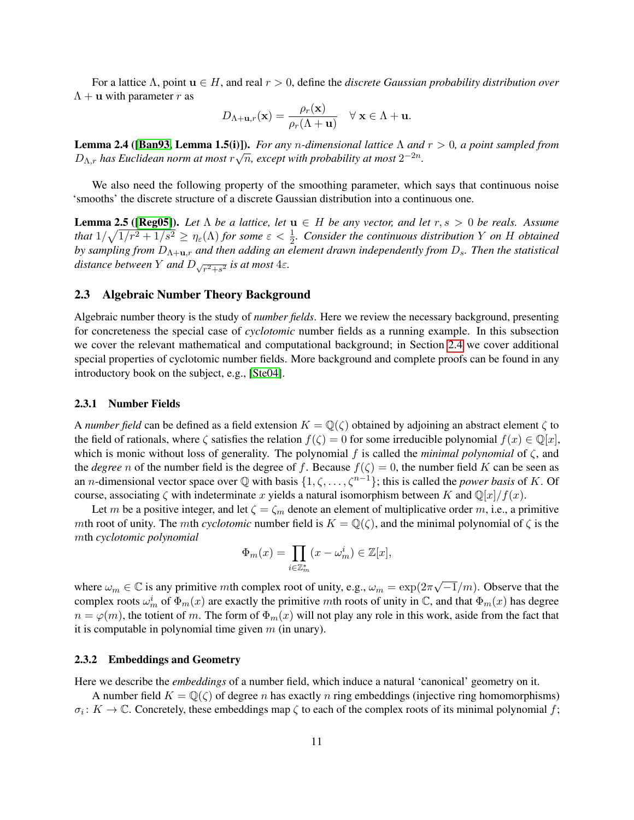For a lattice Λ, point u ∈ H, and real r > 0, define the *discrete Gaussian probability distribution over*  $\Lambda + \mathbf{u}$  with parameter r as

$$
D_{\Lambda+\mathbf{u},r}(\mathbf{x}) = \frac{\rho_r(\mathbf{x})}{\rho_r(\Lambda+\mathbf{u})} \quad \forall \mathbf{x} \in \Lambda + \mathbf{u}.
$$

<span id="page-10-0"></span>Lemma 2.4 ([\[Ban93,](#page-30-7) Lemma 1.5(i)]). *For any* n*-dimensional lattice* Λ *and* r > 0*, a point sampled from* **D**<sub> $\Lambda,r$ </sub> has Euclidean norm at most  $r\sqrt{n}$ , except with probability at most  $2^{-2n}$ .

We also need the following property of the smoothing parameter, which says that continuous noise 'smooths' the discrete structure of a discrete Gaussian distribution into a continuous one.

<span id="page-10-1"></span>**Lemma 2.5 ([\[Reg05\]](#page-33-0)).** Let  $\Lambda$  be a lattice, let  $\mathbf{u} \in H$  be any vector, and let  $r, s > 0$  be reals. Assume *that*  $1/\sqrt{1/r^2 + 1/s^2} \ge \eta_\varepsilon(\Lambda)$  *for some*  $\varepsilon < \frac{1}{2}$ *. Consider the continuous distribution* Y *on* H *obtained by sampling from*  $D_{\Lambda+\mathbf{u},r}$  *and then adding an element drawn independently from*  $D_s$ *. Then the statistical* distance between Y and  $D_{\sqrt{r^2+s^2}}$  is at most  $4\varepsilon$ .

## 2.3 Algebraic Number Theory Background

Algebraic number theory is the study of *number fields*. Here we review the necessary background, presenting for concreteness the special case of *cyclotomic* number fields as a running example. In this subsection we cover the relevant mathematical and computational background; in Section [2.4](#page-16-0) we cover additional special properties of cyclotomic number fields. More background and complete proofs can be found in any introductory book on the subject, e.g., [\[Ste04\]](#page-33-5).

## 2.3.1 Number Fields

A *number field* can be defined as a field extension  $K = \mathbb{Q}(\zeta)$  obtained by adjoining an abstract element  $\zeta$  to the field of rationals, where  $\zeta$  satisfies the relation  $f(\zeta) = 0$  for some irreducible polynomial  $f(x) \in \mathbb{Q}[x]$ , which is monic without loss of generality. The polynomial f is called the *minimal polynomial* of  $\zeta$ , and the *degree* n of the number field is the degree of f. Because  $f(\zeta) = 0$ , the number field K can be seen as an *n*-dimensional vector space over  $\mathbb Q$  with basis  $\{1, \zeta, \ldots, \zeta^{n-1}\}$ ; this is called the *power basis* of K. Of course, associating  $\zeta$  with indeterminate x yields a natural isomorphism between K and  $\mathbb{Q}[x]/f(x)$ .

Let m be a positive integer, and let  $\zeta = \zeta_m$  denote an element of multiplicative order m, i.e., a primitive mth root of unity. The mth *cyclotomic* number field is  $K = \mathbb{Q}(\zeta)$ , and the minimal polynomial of  $\zeta$  is the mth *cyclotomic polynomial*

$$
\Phi_m(x) = \prod_{i \in \mathbb{Z}_m^*} (x - \omega_m^i) \in \mathbb{Z}[x],
$$

where  $\omega_m \in \mathbb{C}$  is any primitive mth complex root of unity, e.g.,  $\omega_m = \exp(2\pi\sqrt{m})$  $\sqrt{-1}/m$ ). Observe that the complex roots  $\omega_m^i$  of  $\Phi_m(x)$  are exactly the primitive mth roots of unity in  $\mathbb C$ , and that  $\Phi_m(x)$  has degree  $n = \varphi(m)$ , the totient of m. The form of  $\Phi_m(x)$  will not play any role in this work, aside from the fact that it is computable in polynomial time given  $m$  (in unary).

## 2.3.2 Embeddings and Geometry

Here we describe the *embeddings* of a number field, which induce a natural 'canonical' geometry on it.

A number field  $K = \mathbb{Q}(\zeta)$  of degree n has exactly n ring embeddings (injective ring homomorphisms)  $\sigma_i: K \to \mathbb{C}$ . Concretely, these embeddings map  $\zeta$  to each of the complex roots of its minimal polynomial f;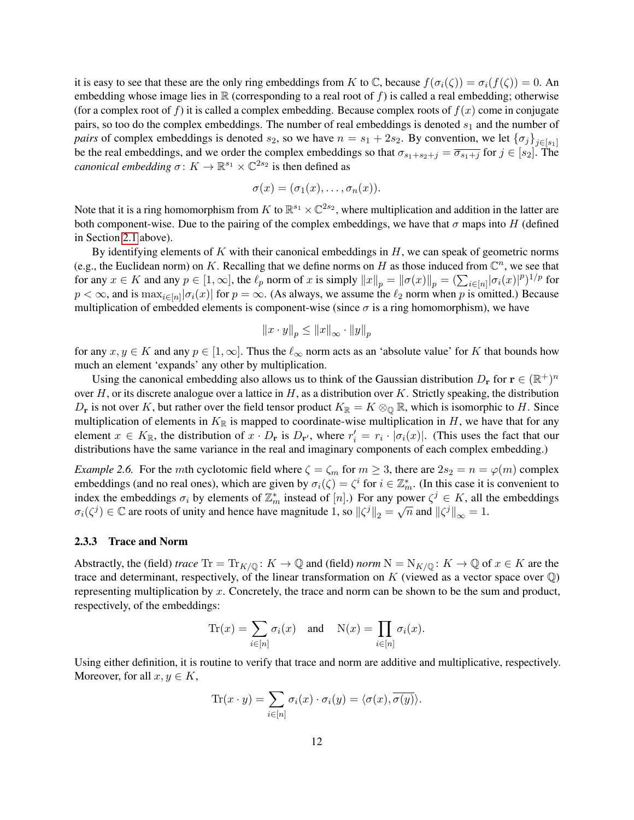it is easy to see that these are the only ring embeddings from K to C, because  $f(\sigma_i(\zeta)) = \sigma_i(f(\zeta)) = 0$ . An embedding whose image lies in  $\mathbb R$  (corresponding to a real root of f) is called a real embedding; otherwise (for a complex root of f) it is called a complex embedding. Because complex roots of  $f(x)$  come in conjugate pairs, so too do the complex embeddings. The number of real embeddings is denoted  $s_1$  and the number of *pairs* of complex embeddings is denoted  $s_2$ , so we have  $n = s_1 + 2s_2$ . By convention, we let  $\{\sigma_j\}_{j \in [s_1]}$ be the real embeddings, and we order the complex embeddings so that  $\sigma_{s_1+s_2+j} = \overline{\sigma_{s_1+j}}$  for  $j \in [s_2]$ . The *canonical embedding*  $\sigma: K \to \mathbb{R}^{s_1} \times \mathbb{C}^{2s_2}$  is then defined as

$$
\sigma(x)=(\sigma_1(x),\ldots,\sigma_n(x)).
$$

Note that it is a ring homomorphism from K to  $\mathbb{R}^{s_1} \times \mathbb{C}^{2s_2}$ , where multiplication and addition in the latter are both component-wise. Due to the pairing of the complex embeddings, we have that  $\sigma$  maps into H (defined in Section [2.1](#page-8-1) above).

By identifying elements of K with their canonical embeddings in  $H$ , we can speak of geometric norms (e.g., the Euclidean norm) on K. Recalling that we define norms on H as those induced from  $\mathbb{C}^n$ , we see that for any  $x \in K$  and any  $p \in [1, \infty]$ , the  $\ell_p$  norm of x is simply  $||x||_p = ||\sigma(x)||_p = (\sum_{i \in [n]} |\sigma_i(x)|^p)^{1/p}$  for  $p < \infty$ , and is  $\max_{i \in [n]} |\sigma_i(x)|$  for  $p = \infty$ . (As always, we assume the  $\ell_2$  norm when p is omitted.) Because multiplication of embedded elements is component-wise (since  $\sigma$  is a ring homomorphism), we have

$$
||x \cdot y||_p \le ||x||_{\infty} \cdot ||y||_p
$$

for any  $x, y \in K$  and any  $p \in [1, \infty]$ . Thus the  $\ell_{\infty}$  norm acts as an 'absolute value' for K that bounds how much an element 'expands' any other by multiplication.

Using the canonical embedding also allows us to think of the Gaussian distribution  $D_r$  for  $r \in (\mathbb{R}^+)^n$ over H, or its discrete analogue over a lattice in H, as a distribution over K. Strictly speaking, the distribution  $D_r$  is not over K, but rather over the field tensor product  $K_{\mathbb{R}} = K \otimes_{\mathbb{Q}} \mathbb{R}$ , which is isomorphic to H. Since multiplication of elements in  $K_{\mathbb{R}}$  is mapped to coordinate-wise multiplication in H, we have that for any element  $x \in K_{\mathbb{R}}$ , the distribution of  $x \cdot D_{\mathbf{r}}$  is  $D_{\mathbf{r}'}$ , where  $r'_i = r_i \cdot |\sigma_i(x)|$ . (This uses the fact that our distributions have the same variance in the real and imaginary components of each complex embedding.)

*Example 2.6.* For the *mth* cyclotomic field where  $\zeta = \zeta_m$  for  $m \geq 3$ , there are  $2s_2 = n = \varphi(m)$  complex embeddings (and no real ones), which are given by  $\sigma_i(\zeta) = \zeta^i$  for  $i \in \mathbb{Z}_m^*$ . (In this case it is convenient to index the embeddings  $\sigma_i$  by elements of  $\mathbb{Z}_m^*$  instead of [n].) For any power  $\zeta^j \in K$ , all the embeddings  $\sigma_i(\zeta^j) \in \mathbb{C}$  are roots of unity and hence have magnitude 1, so  $\|\zeta^j\|_2 = \sqrt{n}$  and  $\|\zeta^j\|_{\infty} = 1$ .

## 2.3.3 Trace and Norm

Abstractly, the (field) *trace*  $\text{Tr} = \text{Tr}_{K/\mathbb{Q}} : K \to \mathbb{Q}$  and (field) *norm*  $N = N_{K/\mathbb{Q}} : K \to \mathbb{Q}$  of  $x \in K$  are the trace and determinant, respectively, of the linear transformation on K (viewed as a vector space over  $\mathbb{Q}$ ) representing multiplication by  $x$ . Concretely, the trace and norm can be shown to be the sum and product, respectively, of the embeddings:

$$
\text{Tr}(x) = \sum_{i \in [n]} \sigma_i(x) \quad \text{and} \quad \text{N}(x) = \prod_{i \in [n]} \sigma_i(x).
$$

Using either definition, it is routine to verify that trace and norm are additive and multiplicative, respectively. Moreover, for all  $x, y \in K$ ,

$$
\text{Tr}(x \cdot y) = \sum_{i \in [n]} \sigma_i(x) \cdot \sigma_i(y) = \langle \sigma(x), \overline{\sigma(y)} \rangle.
$$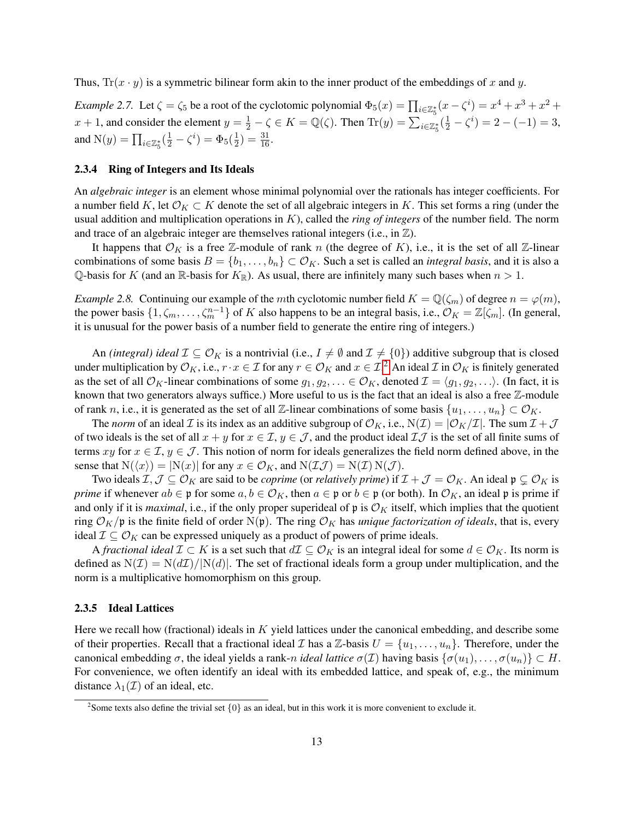Thus,  $Tr(x \cdot y)$  is a symmetric bilinear form akin to the inner product of the embeddings of x and y.

*Example 2.7.* Let  $\zeta = \zeta_5$  be a root of the cyclotomic polynomial  $\Phi_5(x) = \prod_{i \in \mathbb{Z}_5^*} (x - \zeta^i) = x^4 + x^3 + x^2 +$ x + 1, and consider the element  $y = \frac{1}{2} - \zeta \in K = \mathbb{Q}(\zeta)$ . Then  $\text{Tr}(y) = \sum_{i \in \mathbb{Z}_5^*} (\frac{1}{2} - \zeta^i) = 2 - (-1) = 3$ , and  $N(y) = \prod_{i \in \mathbb{Z}_5^*} (\frac{1}{2} - \zeta^i) = \Phi_5(\frac{1}{2})$  $(\frac{1}{2}) = \frac{31}{16}.$ 

## 2.3.4 Ring of Integers and Its Ideals

An *algebraic integer* is an element whose minimal polynomial over the rationals has integer coefficients. For a number field K, let  $\mathcal{O}_K \subset K$  denote the set of all algebraic integers in K. This set forms a ring (under the usual addition and multiplication operations in K), called the *ring of integers* of the number field. The norm and trace of an algebraic integer are themselves rational integers (i.e., in  $\mathbb{Z}$ ).

It happens that  $\mathcal{O}_K$  is a free Z-module of rank n (the degree of K), i.e., it is the set of all Z-linear combinations of some basis  $B = \{b_1, \ldots, b_n\} \subset \mathcal{O}_K$ . Such a set is called an *integral basis*, and it is also a Q-basis for K (and an R-basis for  $K_{\mathbb{R}}$ ). As usual, there are infinitely many such bases when  $n > 1$ .

*Example 2.8.* Continuing our example of the *mth* cyclotomic number field  $K = \mathbb{Q}(\zeta_m)$  of degree  $n = \varphi(m)$ , the power basis  $\{1, \zeta_m, \ldots, \zeta_m^{n-1}\}$  of K also happens to be an integral basis, i.e.,  $\mathcal{O}_K = \mathbb{Z}[\zeta_m]$ . (In general, it is unusual for the power basis of a number field to generate the entire ring of integers.)

An *(integral) ideal*  $\mathcal{I} \subseteq \mathcal{O}_K$  is a nontrivial (i.e.,  $I \neq \emptyset$  and  $\mathcal{I} \neq \{0\}$ ) additive subgroup that is closed under multiplication by  $\mathcal{O}_K$ , i.e.,  $r \cdot x \in \mathcal{I}$  for any  $r \in \mathcal{O}_K$  and  $x \in \mathcal{I}.^2$  $x \in \mathcal{I}.^2$  An ideal  $\mathcal{I}$  in  $\mathcal{O}_K$  is finitely generated as the set of all  $\mathcal{O}_K$ -linear combinations of some  $g_1, g_2, \ldots \in \mathcal{O}_K$ , denoted  $\mathcal{I} = \langle g_1, g_2, \ldots \rangle$ . (In fact, it is known that two generators always suffice.) More useful to us is the fact that an ideal is also a free Z-module of rank n, i.e., it is generated as the set of all Z-linear combinations of some basis  $\{u_1, \ldots, u_n\} \subset \mathcal{O}_K$ .

The *norm* of an ideal Z is its index as an additive subgroup of  $\mathcal{O}_K$ , i.e.,  $N(\mathcal{I}) = |\mathcal{O}_K/\mathcal{I}|$ . The sum  $\mathcal{I} + \mathcal{J}$ of two ideals is the set of all  $x + y$  for  $x \in \mathcal{I}$ ,  $y \in \mathcal{J}$ , and the product ideal  $\mathcal{I} \mathcal{J}$  is the set of all finite sums of terms xy for  $x \in \mathcal{I}$ ,  $y \in \mathcal{J}$ . This notion of norm for ideals generalizes the field norm defined above, in the sense that  $N(\langle x \rangle) = |N(x)|$  for any  $x \in \mathcal{O}_K$ , and  $N(\mathcal{I} \mathcal{J}) = N(\mathcal{I}) N(\mathcal{J})$ .

Two ideals  $\mathcal{I},\mathcal{J}\subseteq\mathcal{O}_K$  are said to be *coprime* (or *relatively prime*) if  $\mathcal{I}+\mathcal{J}=\mathcal{O}_K$ . An ideal  $\mathfrak{p}\subsetneq\mathcal{O}_K$  is *prime* if whenever  $ab \in \mathfrak{p}$  for some  $a, b \in \mathcal{O}_K$ , then  $a \in \mathfrak{p}$  or  $b \in \mathfrak{p}$  (or both). In  $\mathcal{O}_K$ , an ideal  $\mathfrak{p}$  is prime if and only if it is *maximal*, i.e., if the only proper superideal of  $\mathfrak{p}$  is  $\mathcal{O}_K$  itself, which implies that the quotient ring  $\mathcal{O}_K/\mathfrak{p}$  is the finite field of order N(p). The ring  $\mathcal{O}_K$  has *unique factorization of ideals*, that is, every ideal  $\mathcal{I} \subseteq \mathcal{O}_K$  can be expressed uniquely as a product of powers of prime ideals.

A *fractional ideal*  $\mathcal{I} \subset K$  is a set such that  $d\mathcal{I} \subseteq \mathcal{O}_K$  is an integral ideal for some  $d \in \mathcal{O}_K$ . Its norm is defined as  $N(\mathcal{I}) = N(d\mathcal{I})/|N(d)|$ . The set of fractional ideals form a group under multiplication, and the norm is a multiplicative homomorphism on this group.

## 2.3.5 Ideal Lattices

Here we recall how (fractional) ideals in  $K$  yield lattices under the canonical embedding, and describe some of their properties. Recall that a fractional ideal I has a  $\mathbb{Z}$ -basis  $U = \{u_1, \ldots, u_n\}$ . Therefore, under the canonical embedding  $\sigma$ , the ideal yields a rank-n *ideal lattice*  $\sigma(\mathcal{I})$  having basis  $\{\sigma(u_1), \ldots, \sigma(u_n)\} \subset H$ . For convenience, we often identify an ideal with its embedded lattice, and speak of, e.g., the minimum distance  $\lambda_1(\mathcal{I})$  of an ideal, etc.

<span id="page-12-0"></span><sup>&</sup>lt;sup>2</sup> Some texts also define the trivial set  $\{0\}$  as an ideal, but in this work it is more convenient to exclude it.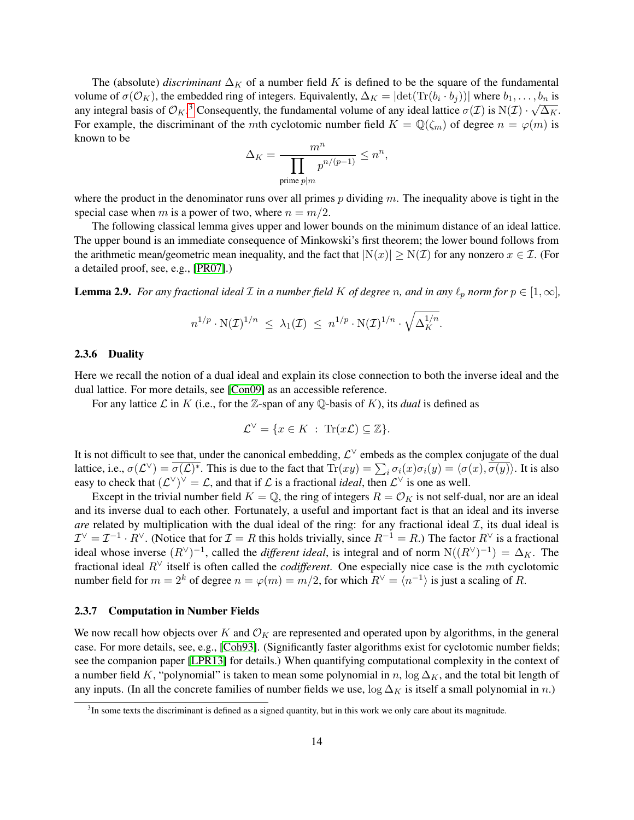The (absolute) *discriminant*  $\Delta_K$  of a number field K is defined to be the square of the fundamental volume of  $\sigma(\mathcal{O}_K)$ , the embedded ring of integers. Equivalently,  $\Delta_K = |\text{det}(\text{Tr}(b_i \cdot b_j))|$  where  $b_1, \ldots, b_n$  is any integral basis of  $\mathcal{O}_K$ .<sup>[3](#page-13-1)</sup> Consequently, the fundamental volume of any ideal lattice  $\sigma(\mathcal{I})$  is  $N(\mathcal{I}) \cdot \sqrt{\Delta_K}$ . For example, the discriminant of the mth cyclotomic number field  $K = \mathbb{Q}(\zeta_m)$  of degree  $n = \varphi(m)$  is known to be

$$
\Delta_K = \frac{m^n}{\prod_{\text{prime }p|m} p^{n/(p-1)}} \le n^n,
$$

where the product in the denominator runs over all primes  $p$  dividing  $m$ . The inequality above is tight in the special case when m is a power of two, where  $n = m/2$ .

The following classical lemma gives upper and lower bounds on the minimum distance of an ideal lattice. The upper bound is an immediate consequence of Minkowski's first theorem; the lower bound follows from the arithmetic mean/geometric mean inequality, and the fact that  $|N(x)| \geq N(\mathcal{I})$  for any nonzero  $x \in \mathcal{I}$ . (For a detailed proof, see, e.g., [\[PR07\]](#page-32-14).)

<span id="page-13-0"></span>**Lemma 2.9.** *For any fractional ideal*  $\mathcal I$  *in a number field*  $K$  *of degree*  $n$ *, and in any*  $\ell_p$  *norm for*  $p \in [1, \infty]$ *,* 

$$
n^{1/p} \cdot \mathcal{N}(\mathcal{I})^{1/n} \leq \lambda_1(\mathcal{I}) \leq n^{1/p} \cdot \mathcal{N}(\mathcal{I})^{1/n} \cdot \sqrt{\Delta_K^{1/n}}.
$$

#### 2.3.6 Duality

Here we recall the notion of a dual ideal and explain its close connection to both the inverse ideal and the dual lattice. For more details, see [\[Con09\]](#page-31-17) as an accessible reference.

For any lattice  $\mathcal L$  in  $K$  (i.e., for the  $\mathbb Z$ -span of any  $\mathbb Q$ -basis of  $K$ ), its *dual* is defined as

$$
\mathcal{L}^{\vee} = \{ x \in K \; : \; \text{Tr}(x\mathcal{L}) \subseteq \mathbb{Z} \}.
$$

It is not difficult to see that, under the canonical embedding,  $\mathcal{L}^{\vee}$  embeds as the complex conjugate of the dual lattice, i.e.,  $\sigma(\mathcal{L}^{\vee}) = \overline{\sigma(\mathcal{L})^*}$ . This is due to the fact that  $\text{Tr}(xy) = \sum_i \sigma_i(x)\sigma_i(y) = \langle \sigma(x), \overline{\sigma(y)} \rangle$ . It is also easy to check that  $(\mathcal{L}^{\vee})^{\vee} = \mathcal{L}$ , and that if  $\mathcal{L}$  is a fractional *ideal*, then  $\mathcal{L}^{\vee}$  is one as well.

Except in the trivial number field  $K = \mathbb{Q}$ , the ring of integers  $R = \mathcal{O}_K$  is not self-dual, nor are an ideal and its inverse dual to each other. Fortunately, a useful and important fact is that an ideal and its inverse *are* related by multiplication with the dual ideal of the ring: for any fractional ideal  $I$ , its dual ideal is  $\mathcal{I}^{\vee} = \mathcal{I}^{-1} \cdot R^{\vee}$ . (Notice that for  $\mathcal{I} = R$  this holds trivially, since  $R^{-1} = R$ .) The factor  $R^{\vee}$  is a fractional ideal whose inverse  $(R^{\vee})^{-1}$ , called the *different ideal*, is integral and of norm  $N((R^{\vee})^{-1}) = \Delta_K$ . The fractional ideal R<sup>∨</sup> itself is often called the *codifferent*. One especially nice case is the mth cyclotomic number field for  $m = 2^k$  of degree  $n = \varphi(m) = m/2$ , for which  $R^{\vee} = \langle n^{-1} \rangle$  is just a scaling of R.

#### 2.3.7 Computation in Number Fields

We now recall how objects over K and  $\mathcal{O}_K$  are represented and operated upon by algorithms, in the general case. For more details, see, e.g., [\[Coh93\]](#page-31-12). (Significantly faster algorithms exist for cyclotomic number fields; see the companion paper [\[LPR13\]](#page-32-12) for details.) When quantifying computational complexity in the context of a number field K, "polynomial" is taken to mean some polynomial in n,  $\log \Delta_K$ , and the total bit length of any inputs. (In all the concrete families of number fields we use,  $\log \Delta_K$  is itself a small polynomial in n.)

<span id="page-13-1"></span><sup>&</sup>lt;sup>3</sup>In some texts the discriminant is defined as a signed quantity, but in this work we only care about its magnitude.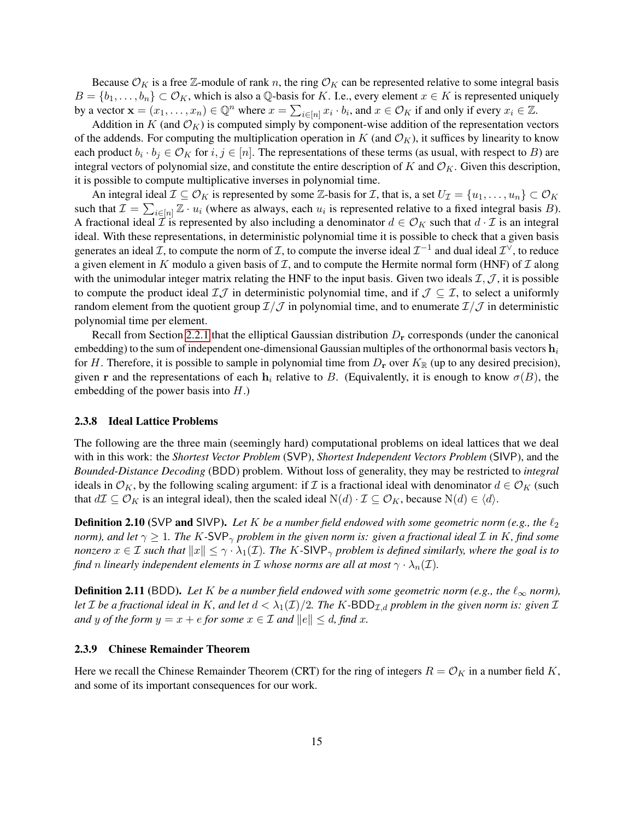Because  $\mathcal{O}_K$  is a free Z-module of rank n, the ring  $\mathcal{O}_K$  can be represented relative to some integral basis  $B = \{b_1, \ldots, b_n\} \subset \mathcal{O}_K$ , which is also a Q-basis for K. I.e., every element  $x \in K$  is represented uniquely by a vector  $\mathbf{x} = (x_1, \dots, x_n) \in \mathbb{Q}^n$  where  $x = \sum_{i \in [n]} x_i \cdot b_i$ , and  $x \in \mathcal{O}_K$  if and only if every  $x_i \in \mathbb{Z}$ .

Addition in  $K$  (and  $\mathcal{O}_K$ ) is computed simply by component-wise addition of the representation vectors of the addends. For computing the multiplication operation in K (and  $\mathcal{O}_K$ ), it suffices by linearity to know each product  $b_i \cdot b_j \in \mathcal{O}_K$  for  $i, j \in [n]$ . The representations of these terms (as usual, with respect to B) are integral vectors of polynomial size, and constitute the entire description of K and  $\mathcal{O}_K$ . Given this description, it is possible to compute multiplicative inverses in polynomial time.

An integral ideal  $\mathcal{I} \subseteq \mathcal{O}_K$  is represented by some Z-basis for  $\mathcal{I}$ , that is, a set  $U_\mathcal{I} = \{u_1, \ldots, u_n\} \subset \mathcal{O}_K$ such that  $\mathcal{I} = \sum_{i \in [n]} \mathbb{Z} \cdot u_i$  (where as always, each  $u_i$  is represented relative to a fixed integral basis B). A fractional ideal  $\vec{\mathcal{I}}$  is represented by also including a denominator  $d \in \mathcal{O}_K$  such that  $d \cdot \vec{\mathcal{I}}$  is an integral ideal. With these representations, in deterministic polynomial time it is possible to check that a given basis generates an ideal  $\mathcal I$ , to compute the norm of  $\mathcal I$ , to compute the inverse ideal  $\mathcal I^{-1}$  and dual ideal  $\mathcal I^{\vee}$ , to reduce a given element in K modulo a given basis of  $\mathcal I$ , and to compute the Hermite normal form (HNF) of  $\mathcal I$  along with the unimodular integer matrix relating the HNF to the input basis. Given two ideals  $\mathcal{I},\mathcal{J}$ , it is possible to compute the product ideal  $\mathcal{I}\mathcal{J}$  in deterministic polynomial time, and if  $\mathcal{J} \subseteq \mathcal{I}$ , to select a uniformly random element from the quotient group  $\mathcal{I}/\mathcal{J}$  in polynomial time, and to enumerate  $\mathcal{I}/\mathcal{J}$  in deterministic polynomial time per element.

Recall from Section [2.2.1](#page-9-1) that the elliptical Gaussian distribution  $D_r$  corresponds (under the canonical embedding) to the sum of independent one-dimensional Gaussian multiples of the orthonormal basis vectors  $\mathbf{h}_i$ for H. Therefore, it is possible to sample in polynomial time from  $D_r$  over  $K_{\mathbb{R}}$  (up to any desired precision), given r and the representations of each  $h_i$  relative to B. (Equivalently, it is enough to know  $\sigma(B)$ , the embedding of the power basis into  $H$ .)

## <span id="page-14-1"></span>2.3.8 Ideal Lattice Problems

The following are the three main (seemingly hard) computational problems on ideal lattices that we deal with in this work: the *Shortest Vector Problem* (SVP), *Shortest Independent Vectors Problem* (SIVP), and the *Bounded-Distance Decoding* (BDD) problem. Without loss of generality, they may be restricted to *integral* ideals in  $\mathcal{O}_K$ , by the following scaling argument: if  $\mathcal I$  is a fractional ideal with denominator  $d \in \mathcal{O}_K$  (such that  $d\mathcal{I} \subseteq \mathcal{O}_K$  is an integral ideal), then the scaled ideal  $N(d) \cdot \mathcal{I} \subseteq \mathcal{O}_K$ , because  $N(d) \in \langle d \rangle$ .

**Definition 2.10** (SVP and SIVP). Let K be a number field endowed with some geometric norm (e.g., the  $\ell_2$ *norm), and let*  $\gamma \geq 1$ *. The* K-SVP<sub> $\gamma$ </sub> problem in the given norm is: given a fractional ideal  $\mathcal I$  in K, find some *nonzero*  $x \in \mathcal{I}$  *such that*  $||x|| \leq \gamma \cdot \lambda_1(\mathcal{I})$ *. The* K-SIVP<sub> $\gamma$ </sub> problem is defined similarly, where the goal is to *find* n *linearly independent elements in I* whose norms are all at most  $\gamma \cdot \lambda_n(\mathcal{I})$ *.* 

**Definition 2.11** (BDD). Let K be a number field endowed with some geometric norm (e.g., the  $\ell_{\infty}$  norm), *let*  $\mathcal I$  *be a fractional ideal in*  $K$ *, and let*  $d < \lambda_1(\mathcal I)/2$ *. The*  $K$ -BDD<sub> $\mathcal I$ , *a* problem in the given norm is: given  $\mathcal I$ </sub> *and* y of the form  $y = x + e$  for some  $x \in \mathcal{I}$  and  $||e|| \leq d$ , find x.

#### 2.3.9 Chinese Remainder Theorem

<span id="page-14-0"></span>Here we recall the Chinese Remainder Theorem (CRT) for the ring of integers  $R = \mathcal{O}_K$  in a number field K, and some of its important consequences for our work.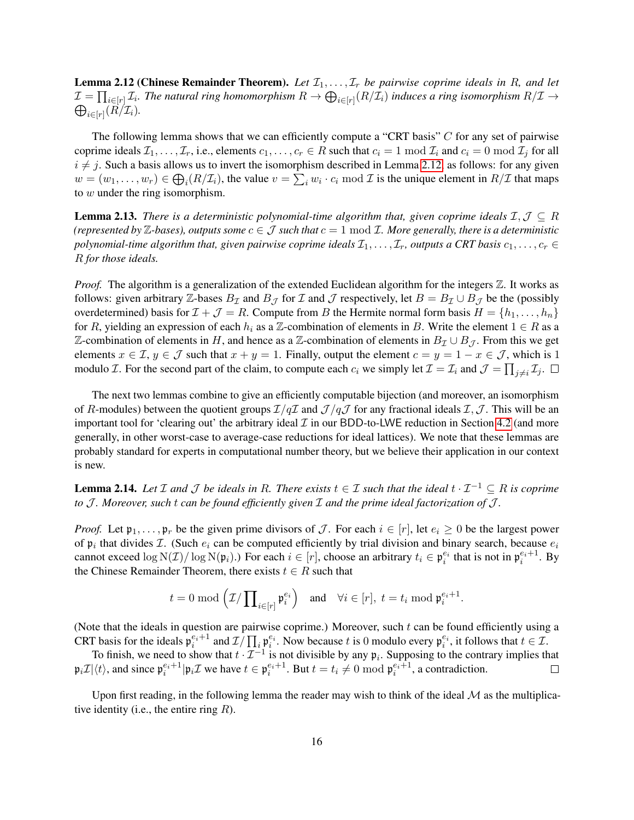**Lemma 2.12 (Chinese Remainder Theorem).** Let  $\mathcal{I}_1, \ldots, \mathcal{I}_r$  be pairwise coprime ideals in R, and let  $\mathcal{I}=\prod_{i\in [r]}\mathcal{I}_i$ . The natural ring homomorphism  $R\to\bigoplus_{i\in [r]}(R/\mathcal{I}_i)$  induces a ring isomorphism  $R/\mathcal{I}\to\mathcal{I}_i$  $\bigoplus_{i\in [r]}(R/\mathcal{I}_i)$ .

The following lemma shows that we can efficiently compute a "CRT basis"  $C$  for any set of pairwise coprime ideals  $\mathcal{I}_1, \ldots, \mathcal{I}_r$ , i.e., elements  $c_1, \ldots, c_r \in R$  such that  $c_i = 1 \mod \mathcal{I}_i$  and  $c_i = 0 \mod \mathcal{I}_j$  for all  $i \neq j$ . Such a basis allows us to invert the isomorphism described in Lemma [2.12,](#page-14-0) as follows: for any given  $w = (w_1, \dots, w_r) \in \bigoplus_i (R/\mathcal{I}_i)$ , the value  $v = \sum_i w_i \cdot c_i \mod \mathcal{I}$  is the unique element in  $R/\mathcal{I}$  that maps to w under the ring isomorphism.

<span id="page-15-2"></span>**Lemma 2.13.** *There is a deterministic polynomial-time algorithm that, given coprime ideals*  $\mathcal{I}, \mathcal{J} \subseteq R$ *(represented by*  $\mathbb{Z}$ *-bases), outputs some*  $c \in \mathcal{J}$  *such that*  $c = 1 \mod \mathcal{I}$ *. More generally, there is a deterministic polynomial-time algorithm that, given pairwise coprime ideals*  $\mathcal{I}_1, \ldots, \mathcal{I}_r$ *, outputs a CRT basis*  $c_1, \ldots, c_r \in$ R *for those ideals.*

*Proof.* The algorithm is a generalization of the extended Euclidean algorithm for the integers  $\mathbb{Z}$ . It works as follows: given arbitrary Z-bases  $B_{\mathcal{I}}$  and  $B_{\mathcal{J}}$  for  $\mathcal{I}$  and  $\mathcal{J}$  respectively, let  $B = B_{\mathcal{I}} \cup B_{\mathcal{J}}$  be the (possibly overdetermined) basis for  $\mathcal{I} + \mathcal{J} = R$ . Compute from B the Hermite normal form basis  $H = \{h_1, \ldots, h_n\}$ for R, yielding an expression of each  $h_i$  as a Z-combination of elements in B. Write the element  $1 \in R$  as a Z-combination of elements in H, and hence as a Z-combination of elements in  $B<sub>I</sub> ∪ B<sub>J</sub>$ . From this we get elements  $x \in \mathcal{I}, y \in \mathcal{J}$  such that  $x + y = 1$ . Finally, output the element  $c = y = 1 - x \in \mathcal{J}$ , which is 1 modulo *I*. For the second part of the claim, to compute each  $c_i$  we simply let  $\mathcal{I} = \mathcal{I}_i$  and  $\mathcal{J} = \prod_{j \neq i} \mathcal{I}_j$ .

The next two lemmas combine to give an efficiently computable bijection (and moreover, an isomorphism of R-modules) between the quotient groups  $\mathcal{I}/q\mathcal{I}$  and  $\mathcal{J}/q\mathcal{J}$  for any fractional ideals  $\mathcal{I},\mathcal{J}$ . This will be an important tool for 'clearing out' the arbitrary ideal  $\mathcal I$  in our BDD-to-LWE reduction in Section [4.2](#page-22-0) (and more generally, in other worst-case to average-case reductions for ideal lattices). We note that these lemmas are probably standard for experts in computational number theory, but we believe their application in our context is new.

<span id="page-15-0"></span>**Lemma 2.14.** *Let I and J be ideals in R. There exists*  $t \in I$  *such that the ideal*  $t \cdot I^{-1} ⊆ R$  *is coprime to* J. Moreover, such t can be found efficiently given I and the prime ideal factorization of J.

*Proof.* Let  $\mathfrak{p}_1, \ldots, \mathfrak{p}_r$  be the given prime divisors of  $\mathcal{J}$ . For each  $i \in [r]$ , let  $e_i \geq 0$  be the largest power of  $\mathfrak{p}_i$  that divides *I*. (Such  $e_i$  can be computed efficiently by trial division and binary search, because  $e_i$ cannot exceed  $\log N(\mathcal{I})/\log N(\mathfrak{p}_i)$ .) For each  $i \in [r]$ , choose an arbitrary  $t_i \in \mathfrak{p}_i^{e_i}$  that is not in  $\mathfrak{p}_i^{e_i+1}$ . By the Chinese Remainder Theorem, there exists  $t \in R$  such that

$$
t = 0 \bmod \left(\mathcal{I}/\prod_{i \in [r]} \mathfrak{p}_i^{e_i}\right) \quad \text{and} \quad \forall i \in [r], \ t = t_i \bmod \mathfrak{p}_i^{e_i+1}.
$$

(Note that the ideals in question are pairwise coprime.) Moreover, such t can be found efficiently using a CRT basis for the ideals  $\mathfrak{p}_i^{e_i+1}$  and  $\mathcal{I}/\prod_i \mathfrak{p}_i^{e_i}$ . Now because t is 0 modulo every  $\mathfrak{p}_i^{e_i}$ , it follows that  $t \in \mathcal{I}$ .

To finish, we need to show that  $t \cdot \mathcal{I}^{-1}$  is not divisible by any  $\mathfrak{p}_i$ . Supposing to the contrary implies that  $\mathfrak{p}_i \mathcal{I} | \langle t \rangle$ , and since  $\mathfrak{p}_i^{e_i+1} | \mathfrak{p}_i \mathcal{I}$  we have  $t \in \mathfrak{p}_i^{e_i+1}$ . But  $t = t_i \neq 0 \mod \mathfrak{p}_i^{e_i+1}$ , a contradiction.  $\Box$ 

<span id="page-15-1"></span>Upon first reading, in the following lemma the reader may wish to think of the ideal  $\mathcal M$  as the multiplicative identity (i.e., the entire ring  $R$ ).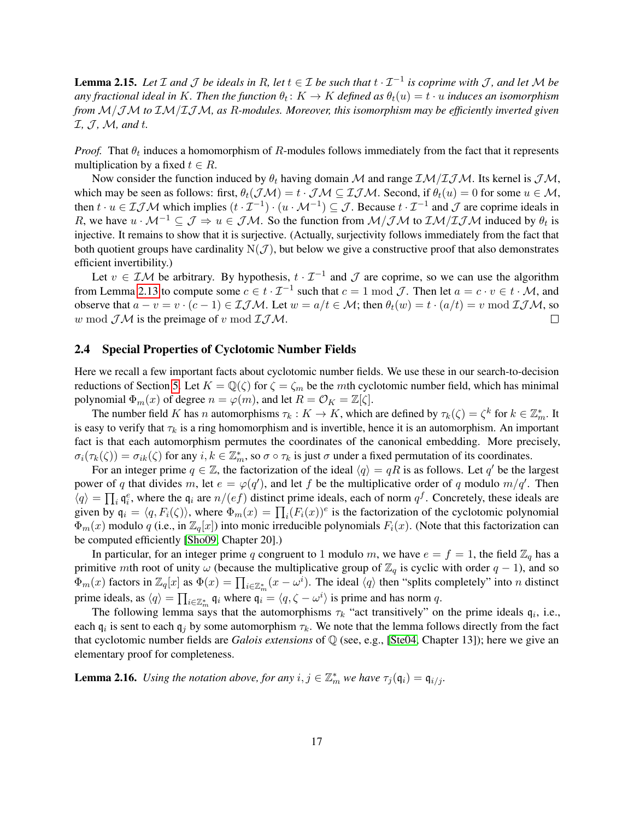**Lemma 2.15.** Let  $\mathcal I$  and  $\mathcal J$  be ideals in R, let  $t \in \mathcal I$  be such that  $t \cdot \mathcal I^{-1}$  is coprime with  $\mathcal J$ , and let  $\mathcal M$  be any fractional ideal in  $K.$  Then the function  $\theta_t\colon K\to K$  defined as  $\theta_t(u)=t\cdot u$  induces an isomorphism *from* M/JM *to* IM/IJM*, as* R*-modules. Moreover, this isomorphism may be efficiently inverted given* I*,* J *,* M*, and* t*.*

*Proof.* That  $\theta_t$  induces a homomorphism of R-modules follows immediately from the fact that it represents multiplication by a fixed  $t \in R$ .

Now consider the function induced by  $\theta_t$  having domain M and range  $\mathcal{IM}/\mathcal{I} \mathcal{JM}$ . Its kernel is  $\mathcal{JM}$ , which may be seen as follows: first,  $\theta_t(\mathcal{JM}) = t \cdot \mathcal{JM} \subseteq \mathcal{IJM}$ . Second, if  $\theta_t(u) = 0$  for some  $u \in \mathcal{M}$ , then  $t \cdot u \in I \mathcal{JM}$  which implies  $(t \cdot \mathcal{I}^{-1}) \cdot (u \cdot \mathcal{M}^{-1}) \subseteq \mathcal{J}$ . Because  $t \cdot \mathcal{I}^{-1}$  and  $\mathcal{J}$  are coprime ideals in R, we have  $u \cdot M^{-1} \subseteq \mathcal{J} \Rightarrow u \in \mathcal{JM}$ . So the function from  $\mathcal{M}/\mathcal{JM}$  to  $\mathcal{IM}/\mathcal{I} \mathcal{JM}$  induced by  $\theta_t$  is injective. It remains to show that it is surjective. (Actually, surjectivity follows immediately from the fact that both quotient groups have cardinality  $N(\mathcal{J})$ , but below we give a constructive proof that also demonstrates efficient invertibility.)

Let  $v \in \mathcal{IM}$  be arbitrary. By hypothesis,  $t \cdot \mathcal{I}^{-1}$  and  $\mathcal J$  are coprime, so we can use the algorithm from Lemma [2.13](#page-15-2) to compute some  $c \in t \cdot \mathcal{I}^{-1}$  such that  $c = 1 \mod \mathcal{J}$ . Then let  $a = c \cdot v \in t \cdot \mathcal{M}$ , and observe that  $a - v = v \cdot (c - 1) \in \mathcal{I} \mathcal{J} \mathcal{M}$ . Let  $w = a/t \in \mathcal{M}$ ; then  $\theta_t(w) = t \cdot (a/t) = v \mod \mathcal{I} \mathcal{J} \mathcal{M}$ , so w mod  $J\mathcal{M}$  is the preimage of v mod  $J\mathcal{J}\mathcal{M}$ .  $\Box$ 

## <span id="page-16-0"></span>2.4 Special Properties of Cyclotomic Number Fields

Here we recall a few important facts about cyclotomic number fields. We use these in our search-to-decision reductions of Section [5.](#page-24-0) Let  $K = \mathbb{Q}(\zeta)$  for  $\zeta = \zeta_m$  be the mth cyclotomic number field, which has minimal polynomial  $\Phi_m(x)$  of degree  $n = \varphi(m)$ , and let  $R = \mathcal{O}_K = \mathbb{Z}[\zeta]$ .

The number field K has n automorphisms  $\tau_k: K \to K$ , which are defined by  $\tau_k(\zeta) = \zeta^k$  for  $k \in \mathbb{Z}_m^*$ . It is easy to verify that  $\tau_k$  is a ring homomorphism and is invertible, hence it is an automorphism. An important fact is that each automorphism permutes the coordinates of the canonical embedding. More precisely,  $\sigma_i(\tau_k(\zeta)) = \sigma_{ik}(\zeta)$  for any  $i, k \in \mathbb{Z}_m^*$ , so  $\sigma \circ \tau_k$  is just  $\sigma$  under a fixed permutation of its coordinates.

For an integer prime  $q \in \mathbb{Z}$ , the factorization of the ideal  $\langle q \rangle = qR$  is as follows. Let q' be the largest power of q that divides m, let  $e = \varphi(q')$ , and let f be the multiplicative order of q modulo  $m/q'$ . Then  $\langle q \rangle = \prod_i \mathfrak{q}_i^e$ , where the  $\mathfrak{q}_i$  are  $n/(ef)$  distinct prime ideals, each of norm  $q^f$ . Concretely, these ideals are given by  $\mathfrak{q}_i = \langle q, F_i(\zeta) \rangle$ , where  $\Phi_m(x) = \prod_i (F_i(x))^e$  is the factorization of the cyclotomic polynomial  $\Phi_m(x)$  modulo q (i.e., in  $\mathbb{Z}_q[x]$ ) into monic irreducible polynomials  $F_i(x)$ . (Note that this factorization can be computed efficiently [\[Sho09,](#page-33-6) Chapter 20].)

In particular, for an integer prime q congruent to 1 modulo m, we have  $e = f = 1$ , the field  $\mathbb{Z}_q$  has a primitive mth root of unity  $\omega$  (because the multiplicative group of  $\mathbb{Z}_q$  is cyclic with order  $q - 1$ ), and so  $\Phi_m(x)$  factors in  $\mathbb{Z}_q[x]$  as  $\Phi(x) = \prod_{i \in \mathbb{Z}_m^*} (x - \omega^i)$ . The ideal  $\langle q \rangle$  then "splits completely" into *n* distinct prime ideals, as  $\langle q \rangle = \prod_{i \in \mathbb{Z}_m^*} q_i$  where  $q_i = \langle q, \zeta - \omega^i \rangle$  is prime and has norm q.

The following lemma says that the automorphisms  $\tau_k$  "act transitively" on the prime ideals  $\mathfrak{q}_i$ , i.e., each  $\mathfrak{q}_i$  is sent to each  $\mathfrak{q}_j$  by some automorphism  $\tau_k$ . We note that the lemma follows directly from the fact that cyclotomic number fields are *Galois extensions* of Q (see, e.g., [\[Ste04,](#page-33-5) Chapter 13]); here we give an elementary proof for completeness.

**Lemma 2.16.** Using the notation above, for any  $i, j \in \mathbb{Z}_m^*$  we have  $\tau_j(\mathfrak{q}_i) = \mathfrak{q}_{i/j}$ .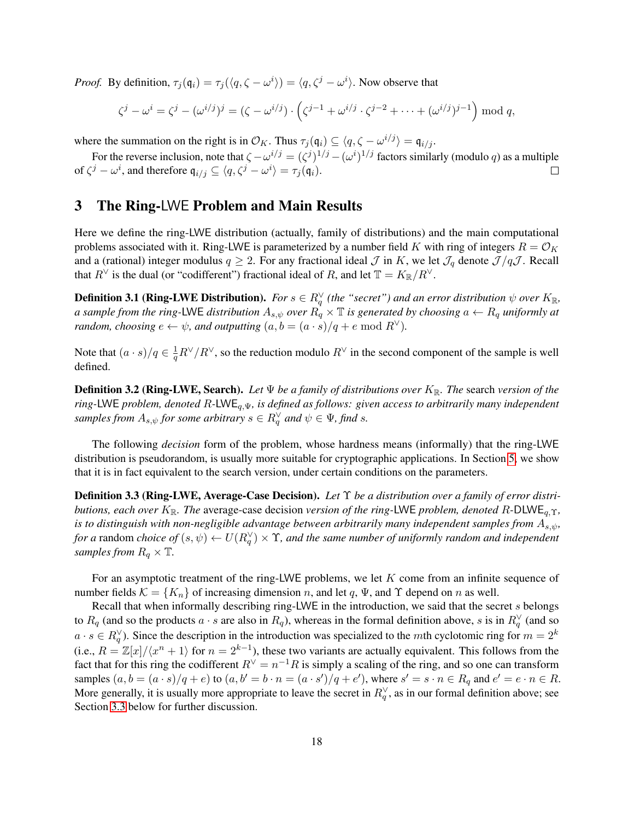*Proof.* By definition,  $\tau_j(\mathfrak{q}_i) = \tau_j(\langle q, \zeta - \omega^i \rangle) = \langle q, \zeta^j - \omega^i \rangle$ . Now observe that

$$
\zeta^j - \omega^i = \zeta^j - (\omega^{i/j})^j = (\zeta - \omega^{i/j}) \cdot \left( \zeta^{j-1} + \omega^{i/j} \cdot \zeta^{j-2} + \dots + (\omega^{i/j})^{j-1} \right) \mod q,
$$

where the summation on the right is in  $\mathcal{O}_K$ . Thus  $\tau_j(\mathfrak{q}_i) \subseteq \langle q, \zeta - \omega^{i/j} \rangle = \mathfrak{q}_{i/j}$ .

For the reverse inclusion, note that  $\zeta - \omega^{i/j} = (\zeta^j)^{1/j} - (\omega^i)^{1/j}$  factors similarly (modulo q) as a multiple of  $\zeta^j - \omega^i$ , and therefore  $\mathfrak{q}_{i/j} \subseteq \langle q, \zeta^j - \omega^i \rangle = \tau_j(\mathfrak{q}_i)$ .  $\Box$ 

## <span id="page-17-0"></span>3 The Ring-LWE Problem and Main Results

Here we define the ring-LWE distribution (actually, family of distributions) and the main computational problems associated with it. Ring-LWE is parameterized by a number field K with ring of integers  $R = \mathcal{O}_K$ and a (rational) integer modulus  $q \geq 2$ . For any fractional ideal  $\mathcal J$  in K, we let  $\mathcal J_q$  denote  $\mathcal J/q\mathcal J$ . Recall that  $R^{\vee}$  is the dual (or "codifferent") fractional ideal of R, and let  $\mathbb{T} = K_{\mathbb{R}}/R^{\vee}$ .

**Definition 3.1 (Ring-LWE Distribution).** For  $s \in R_q^{\vee}$  (the "secret") and an error distribution  $\psi$  over  $K_{\mathbb{R}}$ , *a sample from the ring-LWE distribution*  $A_{s,\psi}$  *over*  $R_q \times T$  *is generated by choosing*  $a \leftarrow R_q$  *uniformly at random, choosing*  $e \leftarrow \psi$ *, and outputting*  $(a, b = (a \cdot s)/q + e \mod R^{\vee})$ *.* 

Note that  $(a \cdot s)/q \in \frac{1}{a}$  $\frac{1}{q}R^{\vee}/R^{\vee}$ , so the reduction modulo  $R^{\vee}$  in the second component of the sample is well defined.

**Definition 3.2 (Ring-LWE, Search).** *Let*  $\Psi$  *be a family of distributions over*  $K_{\mathbb{R}}$ *. The search version of the ring-*LWE *problem, denoted* R*-*LWEq,Ψ*, is defined as follows: given access to arbitrarily many independent*  $s$ *amples from*  $A_{s,\psi}$  *for some arbitrary*  $s \in R_q^{\vee}$  *and*  $\psi \in \Psi$ *, find s*.

The following *decision* form of the problem, whose hardness means (informally) that the ring-LWE distribution is pseudorandom, is usually more suitable for cryptographic applications. In Section [5,](#page-24-0) we show that it is in fact equivalent to the search version, under certain conditions on the parameters.

<span id="page-17-1"></span>Definition 3.3 (Ring-LWE, Average-Case Decision). *Let* Υ *be a distribution over a family of error distributions, each over* K<sub>R</sub>. The average-case decision *version of the ring*-LWE *problem, denoted* R-DLWE<sub>a.Υ</sub>, *is to distinguish with non-negligible advantage between arbitrarily many independent samples from*  $A_{s,\psi}$ , *for a* random *choice of*  $(s, \psi) \leftarrow U(R_q^{\vee}) \times \Upsilon$ , and the same number of uniformly random and independent *samples from*  $R_q \times T$ .

For an asymptotic treatment of the ring-LWE problems, we let K come from an infinite sequence of number fields  $\mathcal{K} = \{K_n\}$  of increasing dimension n, and let q,  $\Psi$ , and  $\Upsilon$  depend on n as well.

Recall that when informally describing ring-LWE in the introduction, we said that the secret s belongs to  $R_q$  (and so the products  $a \cdot s$  are also in  $R_q$ ), whereas in the formal definition above, s is in  $R_q^{\vee}$  (and so  $a \cdot s \in R_q^{\vee}$ ). Since the description in the introduction was specialized to the mth cyclotomic ring for  $m = 2^k$ (i.e.,  $R = \mathbb{Z}[x]/\langle x^n + 1 \rangle$  for  $n = 2^{k-1}$ ), these two variants are actually equivalent. This follows from the fact that for this ring the codifferent  $R^{\vee} = n^{-1}R$  is simply a scaling of the ring, and so one can transform samples  $(a, b = (a \cdot s)/q + e)$  to  $(a, b' = b \cdot n = (a \cdot s')/q + e'$ , where  $s' = s \cdot n \in R_q$  and  $e' = e \cdot n \in R$ . More generally, it is usually more appropriate to leave the secret in  $R_q^{\vee}$ , as in our formal definition above; see Section [3.3](#page-19-0) below for further discussion.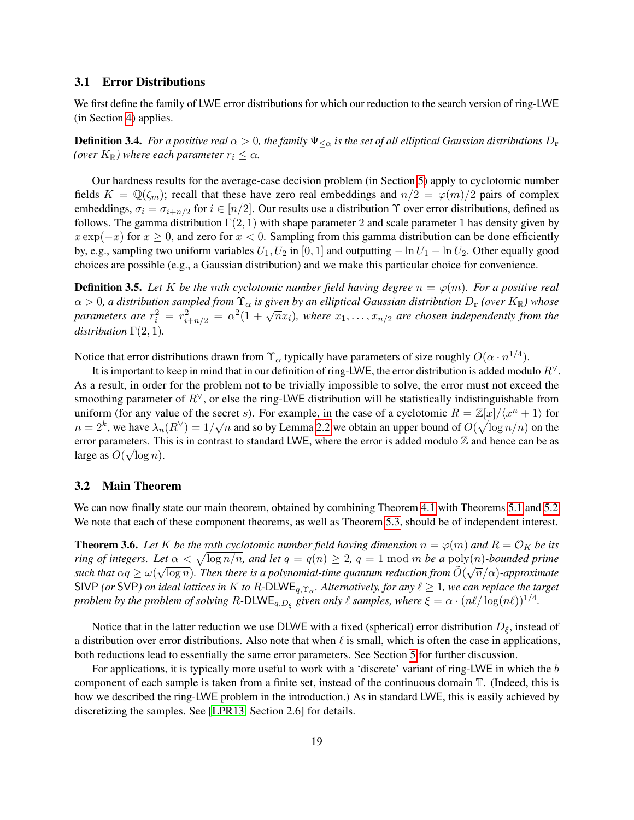## <span id="page-18-1"></span>3.1 Error Distributions

We first define the family of LWE error distributions for which our reduction to the search version of ring-LWE (in Section [4\)](#page-20-0) applies.

**Definition 3.4.** *For a positive real*  $\alpha > 0$ , the family  $\Psi_{\leq \alpha}$  is the set of all elliptical Gaussian distributions  $D_r$ *(over*  $K_{\mathbb{R}}$ *)* where each parameter  $r_i \leq \alpha$ .

Our hardness results for the average-case decision problem (in Section [5\)](#page-24-0) apply to cyclotomic number fields  $K = \mathbb{Q}(\zeta_m)$ ; recall that these have zero real embeddings and  $n/2 = \varphi(m)/2$  pairs of complex embeddings,  $\sigma_i = \overline{\sigma_{i+n/2}}$  for  $i \in [n/2]$ . Our results use a distribution  $\Upsilon$  over error distributions, defined as follows. The gamma distribution  $\Gamma(2, 1)$  with shape parameter 2 and scale parameter 1 has density given by  $x \exp(-x)$  for  $x \ge 0$ , and zero for  $x < 0$ . Sampling from this gamma distribution can be done efficiently by, e.g., sampling two uniform variables  $U_1, U_2$  in [0, 1] and outputting  $-\ln U_1 - \ln U_2$ . Other equally good choices are possible (e.g., a Gaussian distribution) and we make this particular choice for convenience.

<span id="page-18-0"></span>**Definition 3.5.** Let K be the mth cyclotomic number field having degree  $n = \varphi(m)$ . For a positive real  $\alpha > 0$ , a distribution sampled from  $\Upsilon_{\alpha}$  is given by an elliptical Gaussian distribution  $D_r$  *(over*  $K_{\mathbb{R}}$ *)* whose  $\alpha > 0$ , a also holon sampled from  $\Gamma_{\alpha}$  is given by an empirical Gaussian also holon  $D_{\mathbf{r}}$  (over  $K_{\mathbb{R}}$ ) whose<br>parameters are  $r_i^2 = r_{i+n/2}^2 = \alpha^2(1 + \sqrt{n}x_i)$ , where  $x_1, \ldots, x_{n/2}$  are chosen independently f *distribution*  $\Gamma(2, 1)$ *.* 

Notice that error distributions drawn from  $\Upsilon_\alpha$  typically have parameters of size roughly  $O(\alpha \cdot n^{1/4})$ .

It is important to keep in mind that in our definition of ring-LWE, the error distribution is added modulo  $R<sup>V</sup>$ . As a result, in order for the problem not to be trivially impossible to solve, the error must not exceed the smoothing parameter of  $R^{\vee}$ , or else the ring-LWE distribution will be statistically indistinguishable from uniform (for any value of the secret s). For example, in the case of a cyclotomic  $R = \mathbb{Z}[x]/\langle x^n + 1 \rangle$  for  $n=2^k$ , we have  $\lambda_n(R^{\vee})=1/\sqrt{n}$  and so by Lemma [2.2](#page-9-2) we obtain an upper bound of  $O(\sqrt{\log n/n})$  on the error parameters. This is in contrast to standard LWE, where the error is added modulo  $\mathbb{Z}$  and hence can be as large as  $O(\sqrt{\log n})$ .

## 3.2 Main Theorem

We can now finally state our main theorem, obtained by combining Theorem [4.1](#page-20-1) with Theorems [5.1](#page-24-1) and [5.2.](#page-25-0) We note that each of these component theorems, as well as Theorem [5.3,](#page-25-1) should be of independent interest.

**Theorem 3.6.** Let K be the mth cyclotomic number field having dimension  $n = \varphi(m)$  and  $R = \mathcal{O}_K$  be its *ring of integers. Let*  $\alpha < \sqrt{\log n/n}$ *, and let*  $q = q(n) \ge 2$ ,  $q = 1 \mod m$  *be a* poly(*n*)*-bounded prime* such that  $\alpha q \ge \omega(\sqrt{\log n})$ . Then there is a polynomial-time quantum reduction from  $\tilde O(\sqrt{n}/\alpha)$ -approximate SIVP (or SVP) on ideal lattices in  $K$  to  $R$ -DLWE<sub>q, $\Upsilon_{\alpha}$ . Alternatively, for any  $\ell \geq 1$ , we can replace the target</sub> *problem by the problem of solving*  $R$ -DLWE<sub>q,D<sub>ξ</sub> given only  $\ell$  samples, where  $\xi = \alpha \cdot (n\ell/\log(n\ell))^{1/4}$ .</sub>

Notice that in the latter reduction we use DLWE with a fixed (spherical) error distribution  $D_{\xi}$ , instead of a distribution over error distributions. Also note that when  $\ell$  is small, which is often the case in applications, both reductions lead to essentially the same error parameters. See Section [5](#page-24-0) for further discussion.

For applications, it is typically more useful to work with a 'discrete' variant of ring-LWE in which the b component of each sample is taken from a finite set, instead of the continuous domain T. (Indeed, this is how we described the ring-LWE problem in the introduction.) As in standard LWE, this is easily achieved by discretizing the samples. See [\[LPR13,](#page-32-12) Section 2.6] for details.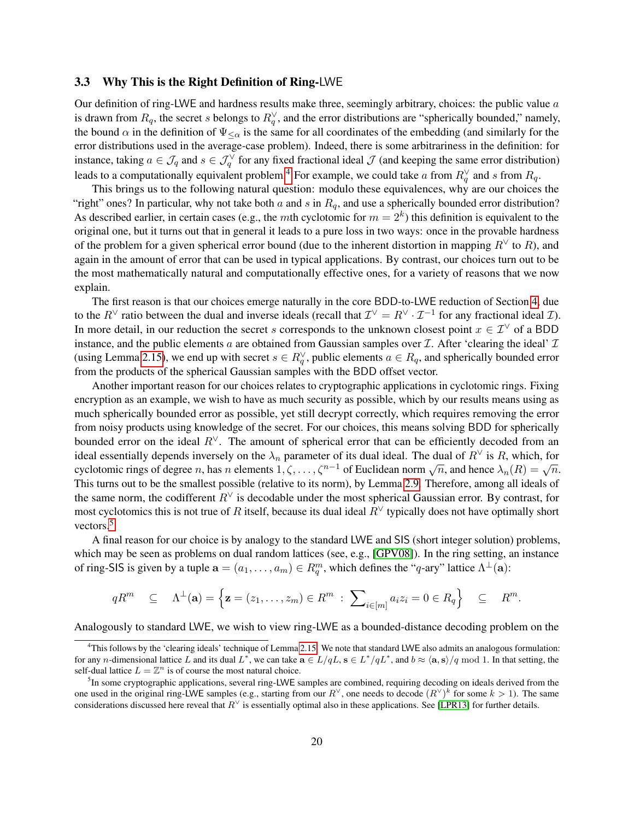## <span id="page-19-0"></span>3.3 Why This is the Right Definition of Ring-LWE

Our definition of ring-LWE and hardness results make three, seemingly arbitrary, choices: the public value  $a$ is drawn from  $R_q$ , the secret s belongs to  $R_q^{\vee}$ , and the error distributions are "spherically bounded," namely, the bound  $\alpha$  in the definition of  $\Psi_{\leq \alpha}$  is the same for all coordinates of the embedding (and similarly for the error distributions used in the average-case problem). Indeed, there is some arbitrariness in the definition: for instance, taking  $a \in \mathcal{J}_q$  and  $s \in \mathcal{J}_q^{\vee}$  for any fixed fractional ideal  $\mathcal J$  (and keeping the same error distribution) leads to a computationally equivalent problem.<sup>[4](#page-19-1)</sup> For example, we could take  $a$  from  $R_q^{\vee}$  and  $s$  from  $R_q$ .

This brings us to the following natural question: modulo these equivalences, why are our choices the "right" ones? In particular, why not take both  $a$  and  $s$  in  $R_q$ , and use a spherically bounded error distribution? As described earlier, in certain cases (e.g., the mth cyclotomic for  $m = 2<sup>k</sup>$ ) this definition is equivalent to the original one, but it turns out that in general it leads to a pure loss in two ways: once in the provable hardness of the problem for a given spherical error bound (due to the inherent distortion in mapping  $R<sup>√</sup>$  to  $R$ ), and again in the amount of error that can be used in typical applications. By contrast, our choices turn out to be the most mathematically natural and computationally effective ones, for a variety of reasons that we now explain.

The first reason is that our choices emerge naturally in the core BDD-to-LWE reduction of Section [4,](#page-20-0) due to the  $R^{\vee}$  ratio between the dual and inverse ideals (recall that  $\mathcal{I}^{\vee} = R^{\vee} \cdot \mathcal{I}^{-1}$  for any fractional ideal  $\mathcal{I}$ ). In more detail, in our reduction the secret s corresponds to the unknown closest point  $x \in \mathcal{I}^{\vee}$  of a BDD instance, and the public elements  $a$  are obtained from Gaussian samples over  $I$ . After 'clearing the ideal'  $I$ (using Lemma [2.15\)](#page-15-1), we end up with secret  $s \in R_q^{\vee}$ , public elements  $a \in R_q$ , and spherically bounded error from the products of the spherical Gaussian samples with the BDD offset vector.

Another important reason for our choices relates to cryptographic applications in cyclotomic rings. Fixing encryption as an example, we wish to have as much security as possible, which by our results means using as much spherically bounded error as possible, yet still decrypt correctly, which requires removing the error from noisy products using knowledge of the secret. For our choices, this means solving BDD for spherically bounded error on the ideal  $R^{\vee}$ . The amount of spherical error that can be efficiently decoded from an ideal essentially depends inversely on the  $\lambda_n$  parameter of its dual ideal. The dual of  $R^{\vee}$  is R, which, for cyclotomic rings of degree *n*, has n elements  $1, \zeta, ..., \zeta^{n-1}$  of Euclidean norm  $\sqrt{n}$ , and hence  $\lambda_n(R) = \sqrt{n}$ . This turns out to be the smallest possible (relative to its norm), by Lemma [2.9.](#page-13-0) Therefore, among all ideals of the same norm, the codifferent  $R<sup>∨</sup>$  is decodable under the most spherical Gaussian error. By contrast, for most cyclotomics this is not true of R itself, because its dual ideal  $R<sup>√</sup>$  typically does not have optimally short vectors.<sup>[5](#page-19-2)</sup>

A final reason for our choice is by analogy to the standard LWE and SIS (short integer solution) problems, which may be seen as problems on dual random lattices (see, e.g., [\[GPV08\]](#page-31-3)). In the ring setting, an instance of ring-SIS is given by a tuple  $\mathbf{a} = (a_1, \dots, a_m) \in R_q^m$ , which defines the "q-ary" lattice  $\Lambda^{\perp}(\mathbf{a})$ :

$$
qR^m \subseteq \Lambda^{\perp}(\mathbf{a}) = \left\{ \mathbf{z} = (z_1, \ldots, z_m) \in R^m \; : \; \sum_{i \in [m]} a_i z_i = 0 \in R_q \right\} \subseteq R^m.
$$

Analogously to standard LWE, we wish to view ring-LWE as a bounded-distance decoding problem on the

<span id="page-19-1"></span><sup>4</sup>This follows by the 'clearing ideals' technique of Lemma [2.15.](#page-15-1) We note that standard LWE also admits an analogous formulation: for any *n*-dimensional lattice L and its dual L<sup>\*</sup>, we can take  $\mathbf{a} \in L/qL$ ,  $\mathbf{s} \in L^*/qL^*$ , and  $b \approx \langle \mathbf{a}, \mathbf{s} \rangle/q \mod 1$ . In that setting, the self-dual lattice  $L = \mathbb{Z}^n$  is of course the most natural choice.

<span id="page-19-2"></span><sup>&</sup>lt;sup>5</sup>In some cryptographic applications, several ring-LWE samples are combined, requiring decoding on ideals derived from the one used in the original ring-LWE samples (e.g., starting from our  $R^{\vee}$ , one needs to decode  $(R^{\vee})^k$  for some  $k > 1$ ). The same considerations discussed here reveal that  $R^{\vee}$  is essentially optimal also in these applications. See [\[LPR13\]](#page-32-12) for further details.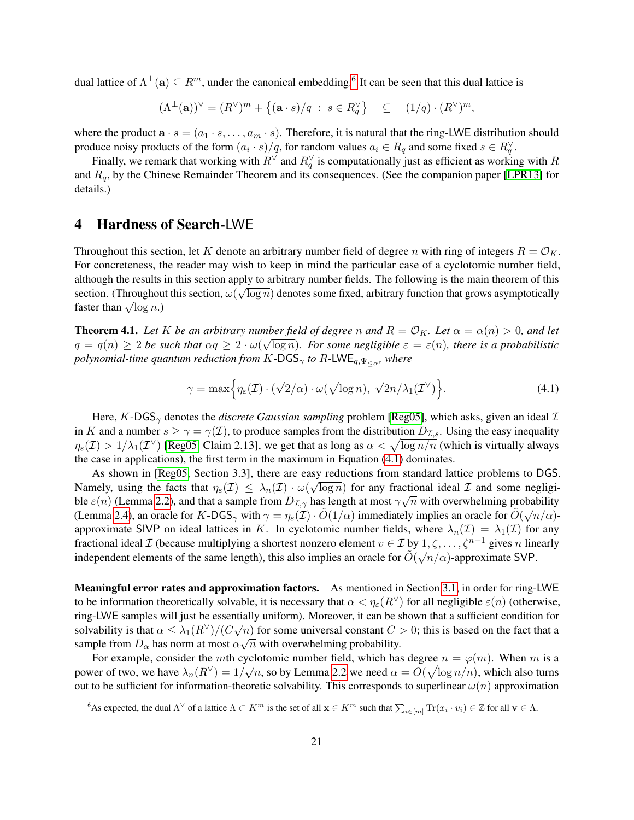dual lattice of  $\Lambda^{\perp}(\mathbf{a}) \subseteq R^m$ , under the canonical embedding.<sup>[6](#page-20-2)</sup> It can be seen that this dual lattice is

$$
(\Lambda^{\perp}(\mathbf{a}))^{\vee} = (R^{\vee})^m + \{(\mathbf{a} \cdot s)/q \; : \; s \in R_q^{\vee}\} \quad \subseteq \quad (1/q) \cdot (R^{\vee})^m,
$$

where the product  $\mathbf{a} \cdot s = (a_1 \cdot s, \dots, a_m \cdot s)$ . Therefore, it is natural that the ring-LWE distribution should produce noisy products of the form  $(a_i \cdot s)/q$ , for random values  $a_i \in R_q$  and some fixed  $s \in R_q^{\vee}$ .

Finally, we remark that working with  $R^{\vee}$  and  $R^{\vee}_q$  is computationally just as efficient as working with  $R$ and  $R_q$ , by the Chinese Remainder Theorem and its consequences. (See the companion paper [\[LPR13\]](#page-32-12) for details.)

## <span id="page-20-0"></span>4 Hardness of Search-LWE

Throughout this section, let K denote an arbitrary number field of degree n with ring of integers  $R = \mathcal{O}_K$ . For concreteness, the reader may wish to keep in mind the particular case of a cyclotomic number field, although the results in this section apply to arbitrary number fields. The following is the main theorem of this section. (Throughout this section,  $\omega(\sqrt{\log n})$  denotes some fixed, arbitrary function that grows asymptotically section. (Throughouse faster than  $\sqrt{\log n}$ .)

<span id="page-20-1"></span>**Theorem 4.1.** Let K be an arbitrary number field of degree n and  $R = \mathcal{O}_K$ . Let  $\alpha = \alpha(n) > 0$ , and let  $q = q(n) \ge 2$  be such that  $\alpha q \ge 2 \cdot \omega(\sqrt{\log n})$ . For some negligible  $\varepsilon = \varepsilon(n)$ , there is a probabilistic polynomial-time quantum reduction from  $K$ -DGS<sub> $\gamma$ </sub> to  $R$ -LWE $_{q, \Psi_{\leq \alpha}}$ , where

<span id="page-20-3"></span>
$$
\gamma = \max \Big\{ \eta_{\varepsilon}(\mathcal{I}) \cdot (\sqrt{2}/\alpha) \cdot \omega(\sqrt{\log n}), \sqrt{2n}/\lambda_1(\mathcal{I}^{\vee}) \Big\}.
$$
 (4.1)

Here, K-DGS<sub> $\gamma$ </sub> denotes the *discrete Gaussian sampling* problem [\[Reg05\]](#page-33-0), which asks, given an ideal  $\mathcal I$ in K and a number  $s \ge \gamma = \gamma(\mathcal{I})$ , to produce samples from the distribution  $D_{\mathcal{I},s}$ . Using the easy inequality  $\eta_\varepsilon(\mathcal{I})>1/\lambda_1(\mathcal{I}^{\vee})$  [\[Reg05,](#page-33-0) Claim 2.13], we get that as long as  $\alpha<\sqrt{\log n/n}$  (which is virtually always the case in applications), the first term in the maximum in Equation [\(4.1\)](#page-20-3) dominates.

As shown in [\[Reg05,](#page-33-0) Section 3.3], there are easy reductions from standard lattice problems to DGS. Namely, using the facts that  $\eta_{\varepsilon}(\mathcal{I}) \leq \lambda_n(\mathcal{I}) \cdot \omega(\sqrt{\log n})$  for any fractional ideal  $\mathcal{I}$  and some negligible  $\varepsilon(n)$  (Lemma [2.2\)](#page-9-2), and that a sample from  $D_{\mathcal{I},\gamma}$  has length at most  $\gamma\sqrt{n}$  with overwhelming probability (Lemma [2.4\)](#page-10-0), an oracle for K-DGS<sub> $\gamma$ </sub> with  $\gamma = \eta_{\varepsilon}(\mathcal{I}) \cdot \tilde{O}(1/\alpha)$  immediately implies an oracle for  $\tilde{O}(\sqrt{n}/\alpha)$ approximate SIVP on ideal lattices in K. In cyclotomic number fields, where  $\lambda_n(\mathcal{I}) = \lambda_1(\mathcal{I})$  for any fractional ideal  $\mathcal I$  (because multiplying a shortest nonzero element  $v \in \mathcal I$  by  $1, \zeta, \ldots, \zeta^{n-1}$  gives n linearly independent elements of the same length), this also implies an oracle for  $\tilde{O}(\sqrt{n}/\alpha)$ -approximate SVP.

Meaningful error rates and approximation factors. As mentioned in Section [3.1,](#page-18-1) in order for ring-LWE to be information theoretically solvable, it is necessary that  $\alpha < \eta_{\epsilon}(R^{\vee})$  for all negligible  $\varepsilon(n)$  (otherwise, ring-LWE samples will just be essentially uniform). Moreover, it can be shown that a sufficient condition for solvability is that  $\alpha \leq \lambda_1(R^{\vee})/(C\sqrt{n})$  for some universal constant  $C > 0$ ; this is based on the fact that a sample from  $D_{\alpha}$  has norm at most  $\alpha\sqrt{n}$  with overwhelming probability.

For example, consider the mth cyclotomic number field, which has degree  $n = \varphi(m)$ . When m is a power of two, we have  $\lambda_n(R^{\vee}) = 1/\sqrt{n}$ , so by Lemma [2.2](#page-9-2) we need  $\alpha = O(\sqrt{\log n/n})$ , which also turns out to be sufficient for information-theoretic solvability. This corresponds to superlinear  $\omega(n)$  approximation

<span id="page-20-2"></span><sup>&</sup>lt;sup>6</sup>As expected, the dual  $\Lambda^\vee$  of a lattice  $\Lambda \subset K^m$  is the set of all  $\mathbf{x} \in K^m$  such that  $\sum_{i \in [m]} \text{Tr}(x_i \cdot v_i) \in \mathbb{Z}$  for all  $\mathbf{v} \in \Lambda$ .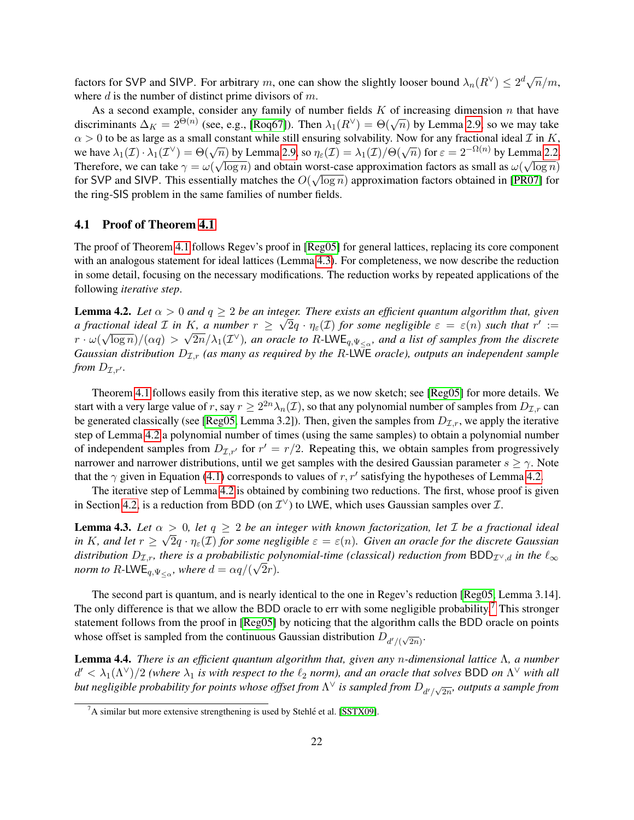factors for SVP and SIVP. For arbitrary m, one can show the slightly looser bound  $\lambda_n(R^{\vee}) \leq 2^d \sqrt{n/m}$ , where  $d$  is the number of distinct prime divisors of  $m$ .

As a second example, consider any family of number fields  $K$  of increasing dimension  $n$  that have discriminants  $\Delta_K = 2^{\Theta(n)}$  (see, e.g., [\[Roq67\]](#page-33-7)). Then  $\lambda_1(R^{\vee}) = \Theta(\sqrt{n})$  by Lemma [2.9,](#page-13-0) so we may take  $\alpha > 0$  to be as large as a small constant while still ensuring solvability. Now for any fractional ideal  $\mathcal I$  in  $K$ ,  $\alpha > 0$  to be as large as a small constant while still ensuring solvability. Now for any fractional ideal L in R,<br>we have  $\lambda_1(\mathcal{I}) \cdot \lambda_1(\mathcal{I}^{\vee}) = \Theta(\sqrt{n})$  by Lemma [2.9,](#page-13-0) so  $\eta_{\varepsilon}(\mathcal{I}) = \lambda_1(\mathcal{I})/\Theta(\sqrt{n})$  for  $\varepsilon = 2$ Therefore, we can take  $\gamma = \omega(\sqrt{\log n})$  and obtain worst-case approximation factors as small as  $\omega(\sqrt{\log n})$ for SVP and SIVP. This essentially matches the  $O(\sqrt{\log n})$  approximation factors obtained in [\[PR07\]](#page-32-14) for the ring-SIS problem in the same families of number fields.

## <span id="page-21-0"></span>4.1 Proof of Theorem [4.1](#page-20-1)

The proof of Theorem [4.1](#page-20-1) follows Regev's proof in [\[Reg05\]](#page-33-0) for general lattices, replacing its core component with an analogous statement for ideal lattices (Lemma [4.3\)](#page-21-1). For completeness, we now describe the reduction in some detail, focusing on the necessary modifications. The reduction works by repeated applications of the following *iterative step*.

<span id="page-21-2"></span>**Lemma 4.2.** *Let*  $\alpha > 0$  *and*  $q \geq 2$  *be an integer. There exists an efficient quantum algorithm that, given a* fractional ideal *I* in *K*, a number  $r \geq \sqrt{2}q \cdot \eta_{\varepsilon}(I)$  for some negligible  $\varepsilon = \varepsilon(n)$  such that  $r' :=$  $r\cdot\omega(\sqrt{\log n})/(\alpha q)>\sqrt{2n}/\lambda_1(\mathcal{I}^{\vee})$ , an oracle to R-LWE<sub>q, $\Psi_{\leq\alpha}$ </sub>, and a list of samples from the discrete *Gaussian distribution*  $D_{\mathcal{I},r}$  *(as many as required by the R-LWE oracle), outputs an independent sample from*  $D_{\mathcal{I},r'}$ .

Theorem [4.1](#page-20-1) follows easily from this iterative step, as we now sketch; see [\[Reg05\]](#page-33-0) for more details. We start with a very large value of  $r$ , say  $r\geq 2^{2n}\lambda_n(\mathcal{I}),$  so that any polynomial number of samples from  $D_{\mathcal{I},r}$  can be generated classically (see [\[Reg05,](#page-33-0) Lemma 3.2]). Then, given the samples from  $D_{\mathcal{I},r}$ , we apply the iterative step of Lemma [4.2](#page-21-2) a polynomial number of times (using the same samples) to obtain a polynomial number of independent samples from  $D_{\mathcal{I},r'}$  for  $r' = r/2$ . Repeating this, we obtain samples from progressively narrower and narrower distributions, until we get samples with the desired Gaussian parameter  $s \ge \gamma$ . Note that the  $\gamma$  given in Equation [\(4.1\)](#page-20-3) corresponds to values of r, r' satisfying the hypotheses of Lemma [4.2.](#page-21-2)

The iterative step of Lemma [4.2](#page-21-2) is obtained by combining two reductions. The first, whose proof is given in Section [4.2,](#page-22-0) is a reduction from BDD (on  $\mathcal{I}^{\vee}$ ) to LWE, which uses Gaussian samples over  $\mathcal{I}$ .

<span id="page-21-1"></span>**Lemma 4.3.** Let  $\alpha > 0$ , let  $q \geq 2$  be an integer with known factorization, let  $\mathcal{I}$  be a fractional ideal in K, and let  $r \geq \sqrt{2q} \cdot \eta_\varepsilon(\mathcal{I})$  for some negligible  $\varepsilon = \varepsilon(n)$ . Given an oracle for the discrete Gaussian distribution  $D_{\mathcal{I},r}$ , there is a probabilistic polynomial-time (classical) reduction from  $BDD_{\mathcal{I}^{\vee},d}$  in the  $\ell_{\infty}$ *norm to*  $R$ -LWE<sub>q, $\Psi_{\leq \alpha}$ , where  $d = \alpha q/(\sqrt{2r})$ .</sub>

The second part is quantum, and is nearly identical to the one in Regev's reduction [\[Reg05,](#page-33-0) Lemma 3.14]. The only difference is that we allow the BDD oracle to err with some negligible probability.<sup>[7](#page-21-3)</sup> This stronger statement follows from the proof in [\[Reg05\]](#page-33-0) by noticing that the algorithm calls the BDD oracle on points whose offset is sampled from the continuous Gaussian distribution  $D_{d'/( \sqrt{2n})}$ .

<span id="page-21-4"></span>Lemma 4.4. *There is an efficient quantum algorithm that, given any* n*-dimensional lattice* Λ*, a number*  $d' < \lambda_1(\Lambda^{\vee})/2$  (where  $\lambda_1$  is with respect to the  $\ell_2$  norm), and an oracle that solves BDD on  $\Lambda^{\vee}$  with all but negligible probability for points whose offset from  $\Lambda^\vee$  is sampled from  $D_{d'/\sqrt{2n}}$ , outputs a sample from

<span id="page-21-3"></span> $^7$ A similar but more extensive strengthening is used by Stehlé et al. [\[SSTX09\]](#page-33-3).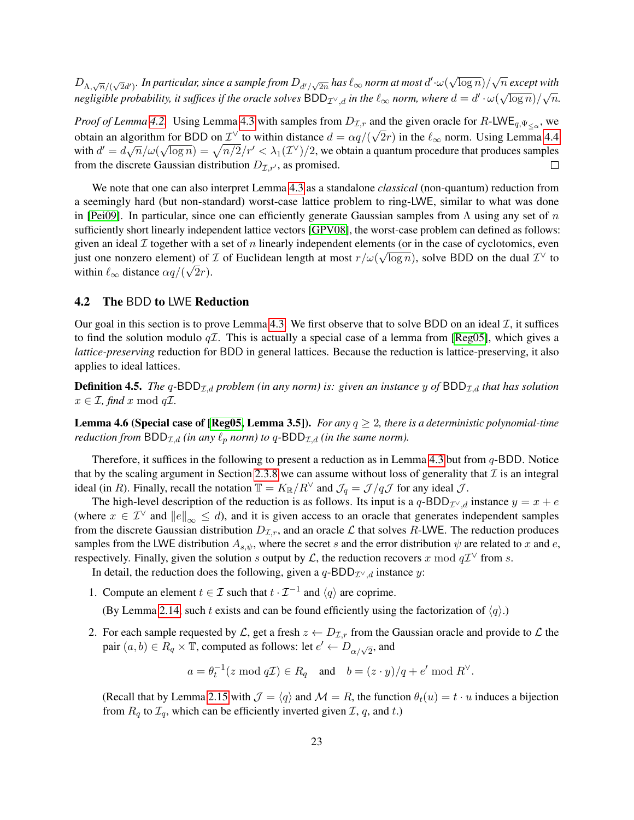$D_{\Lambda,\sqrt{n}/(\sqrt{2}d')}$ . In particular, since a sample from  $D_{d'/\sqrt{2n}}$  has  $\ell_\infty$  norm at most  $d'\cdot\omega($ √  $\frac{\log n}{\sqrt{n}}$  *except with* negligible probability, it suffices if the oracle solves  $BDD_{\mathcal{I}^\vee,d}$  in the  $\ell_\infty$  norm, where  $d=d'\cdot\omega(\sqrt{\log n})/\sqrt{n}.$ 

*Proof of Lemma* [4.2.](#page-21-2) Using Lemma [4.3](#page-21-1) with samples from  $D_{\mathcal{I},r}$  and the given oracle for R-LWE<sub>q,  $\Psi_{\leq \alpha}$ , we</sub> obtain an algorithm for BDD on  $\mathcal{I}^{\vee}$  to within distance  $d = \alpha q/(\sqrt{2}r)$  in the  $\ell_{\infty}$  norm. Using Lemma [4.4](#page-21-4) with  $d' = d\sqrt{n}/\omega(\sqrt{\log n}) = \sqrt{n/2}/r' < \lambda_1(\mathcal{I}^{\vee})/2$ , we obtain a quantum procedure that produces samples from the discrete Gaussian distribution  $D_{\mathcal{I},r'}$ , as promised.  $\Box$ 

We note that one can also interpret Lemma [4.3](#page-21-1) as a standalone *classical* (non-quantum) reduction from a seemingly hard (but non-standard) worst-case lattice problem to ring-LWE, similar to what was done in [\[Pei09\]](#page-32-0). In particular, since one can efficiently generate Gaussian samples from  $\Lambda$  using any set of n sufficiently short linearly independent lattice vectors [\[GPV08\]](#page-31-3), the worst-case problem can defined as follows: given an ideal  $\mathcal I$  together with a set of n linearly independent elements (or in the case of cyclotomics, even just one nonzero element) of  $\mathcal I$  of Euclidean length at most  $r/\omega(\sqrt{\log n})$ , solve BDD on the dual  $\mathcal I^{\vee}$  to within  $\ell_{\infty}$  distance  $\alpha q/(\sqrt{2r})$ .

## <span id="page-22-0"></span>4.2 The BDD to LWE Reduction

Our goal in this section is to prove Lemma [4.3.](#page-21-1) We first observe that to solve BDD on an ideal  $\mathcal{I}$ , it suffices to find the solution modulo  $q\mathcal{I}$ . This is actually a special case of a lemma from [\[Reg05\]](#page-33-0), which gives a *lattice-preserving* reduction for BDD in general lattices. Because the reduction is lattice-preserving, it also applies to ideal lattices.

**Definition 4.5.** *The* q-BDD<sub> $I$ ,d</sub> problem (in any norm) is: given an instance y of BDD<sub> $I$ ,d</sub> that has solution  $x \in \mathcal{I}$ , find x mod q $\mathcal{I}$ .

**Lemma 4.6 (Special case of [\[Reg05,](#page-33-0) Lemma 3.5]).** *For any*  $q \geq 2$ , there is a deterministic polynomial-time *reduction from*  $BDD_{\mathcal{I},d}$  *(in any*  $\ell_p$  *norm) to*  $q$ - $BDD_{\mathcal{I},d}$  *(in the same norm).* 

Therefore, it suffices in the following to present a reduction as in Lemma [4.3](#page-21-1) but from  $q$ -BDD. Notice that by the scaling argument in Section [2.3.8](#page-14-1) we can assume without loss of generality that  $\mathcal I$  is an integral ideal (in R). Finally, recall the notation  $\mathbb{T} = K_{\mathbb{R}}/R^{\vee}$  and  $\mathcal{J}_q = \mathcal{J}/q\mathcal{J}$  for any ideal  $\mathcal{J}$ .

The high-level description of the reduction is as follows. Its input is a q-BDD<sub>I<sup>∨</sup>,d</sub> instance  $y = x + e$ (where  $x \in \mathcal{I}^{\vee}$  and  $||e||_{\infty} \leq d$ ), and it is given access to an oracle that generates independent samples from the discrete Gaussian distribution  $D_{\mathcal{I},r}$ , and an oracle  $\mathcal L$  that solves R-LWE. The reduction produces samples from the LWE distribution  $A_{s,\psi}$ , where the secret s and the error distribution  $\psi$  are related to x and e, respectively. Finally, given the solution s output by L, the reduction recovers x mod  $q\mathcal{I}^{\vee}$  from s.

In detail, the reduction does the following, given a  $q$ -BDD<sub>*I*<sup> $\vee$ </sup>,d</sub> instance y:

1. Compute an element  $t \in \mathcal{I}$  such that  $t \cdot \mathcal{I}^{-1}$  and  $\langle q \rangle$  are coprime.

(By Lemma [2.14,](#page-15-0) such t exists and can be found efficiently using the factorization of  $\langle q \rangle$ .)

2. For each sample requested by  $\mathcal{L}$ , get a fresh  $z \leftarrow D_{\mathcal{I},r}$  from the Gaussian oracle and provide to  $\mathcal{L}$  the pair  $(a, b) \in R_q \times \mathbb{T}$ , computed as follows: let  $e' \leftarrow D_{\alpha/\sqrt{2}}$ , and

$$
a = \theta_t^{-1}(z \mod q\mathcal{I}) \in R_q
$$
 and  $b = (z \cdot y)/q + e' \mod R^{\vee}$ .

(Recall that by Lemma [2.15](#page-15-1) with  $\mathcal{J} = \langle q \rangle$  and  $\mathcal{M} = R$ , the function  $\theta_t(u) = t \cdot u$  induces a bijection from  $R_q$  to  $\mathcal{I}_q$ , which can be efficiently inverted given  $\mathcal{I}, q$ , and  $t$ .)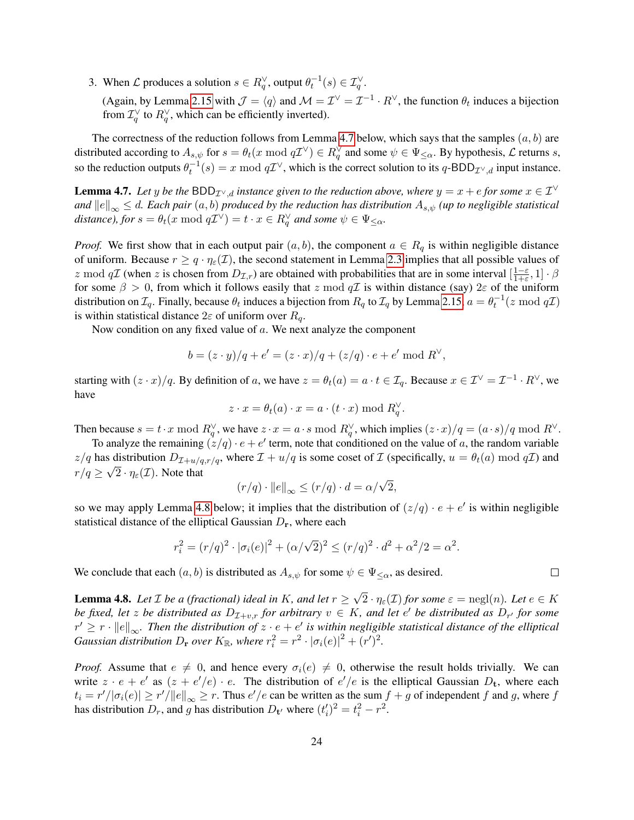3. When  $\mathcal L$  produces a solution  $s \in R_q^{\vee}$ , output  $\theta_t^{-1}(s) \in \mathcal I_q^{\vee}$ .

(Again, by Lemma [2.15](#page-15-1) with  $\mathcal{J} = \langle q \rangle$  and  $\mathcal{M} = \mathcal{I}^{\vee} = \mathcal{I}^{-1} \cdot R^{\vee}$ , the function  $\theta_t$  induces a bijection from  $\mathcal{I}_q^{\vee}$  to  $R_q^{\vee}$ , which can be efficiently inverted).

The correctness of the reduction follows from Lemma [4.7](#page-23-0) below, which says that the samples  $(a, b)$  are distributed according to  $A_{s,\psi}$  for  $s = \theta_t(x \mod q\mathcal{I}^{\vee}) \in R_q^{\vee}$  and some  $\psi \in \Psi_{\leq \alpha}$ . By hypothesis,  $\mathcal L$  returns s, so the reduction outputs  $\theta_t^{-1}(s) = x \mod q\mathcal{I}^{\vee}$ , which is the correct solution to its  $q$ -BDD $_{\mathcal{I}^{\vee},d}$  input instance.

<span id="page-23-0"></span>**Lemma 4.7.** Let y be the BDD<sub>I<sup>V</sup>,d</sub> instance given to the reduction above, where  $y = x + e$  for some  $x \in \mathcal{I}^{\vee}$ *and*  $||e||_{\infty} \leq d$ . Each pair  $(a, b)$  produced by the reduction has distribution  $A_{s,\psi}$  (up to negligible statistical  $distance$ *), for*  $s = \theta_t(x \bmod q\mathcal{I}^{\vee}) = t \cdot x \in R_q^{\vee}$  and some  $\psi \in \Psi_{\leq \alpha}$ .

*Proof.* We first show that in each output pair  $(a, b)$ , the component  $a \in R_q$  is within negligible distance of uniform. Because  $r \geq q \cdot \eta_{\varepsilon}(\mathcal{I})$ , the second statement in Lemma [2.3](#page-9-3) implies that all possible values of z mod qT (when z is chosen from  $D_{\mathcal{I},r}$ ) are obtained with probabilities that are in some interval  $\left[\frac{1-\varepsilon}{1+\varepsilon}\right]$  $\frac{1-\varepsilon}{1+\varepsilon}, 1] \cdot \beta$ for some  $\beta > 0$ , from which it follows easily that z mod  $q\mathcal{I}$  is within distance (say)  $2\varepsilon$  of the uniform distribution on  $\mathcal{I}_q$ . Finally, because  $\theta_t$  induces a bijection from  $R_q$  to  $\mathcal{I}_q$  by Lemma [2.15,](#page-15-1)  $a=\theta_t^{-1}(z \bmod q\mathcal{I})$ is within statistical distance  $2\varepsilon$  of uniform over  $R_{q}$ .

Now condition on any fixed value of a. We next analyze the component

$$
b = (z \cdot y)/q + e' = (z \cdot x)/q + (z/q) \cdot e + e' \mod R^{\vee},
$$

starting with  $(z \cdot x)/q$ . By definition of a, we have  $z = \theta_t(a) = a \cdot t \in \mathcal{I}_q$ . Because  $x \in \mathcal{I}^{\vee} = \mathcal{I}^{-1} \cdot R^{\vee}$ , we have

$$
z \cdot x = \theta_t(a) \cdot x = a \cdot (t \cdot x) \bmod R_q^{\vee}.
$$

Then because  $s = t \cdot x \mod R_q^{\vee}$ , we have  $z \cdot x = a \cdot s \mod R_q^{\vee}$ , which implies  $(z \cdot x)/q = (a \cdot s)/q \mod R^{\vee}$ .

To analyze the remaining  $(z/q) \cdot e + e'$  term, note that conditioned on the value of a, the random variable  $z/q$  has distribution  $D_{\mathcal{I}+u/q,r/q}$ , where  $\mathcal{I}+u/q$  is some coset of  $\mathcal{I}$  (specifically,  $u = \theta_t(a) \mod q\mathcal{I}$ ) and  $r/q \geq \sqrt{2} \cdot \eta_{\varepsilon}(\mathcal{I}).$  Note that

$$
(r/q) \cdot ||e||_{\infty} \le (r/q) \cdot d = \alpha/\sqrt{2},
$$

so we may apply Lemma [4.8](#page-23-1) below; it implies that the distribution of  $(z/q) \cdot e + e'$  is within negligible statistical distance of the elliptical Gaussian  $D_r$ , where each

$$
r_i^2 = (r/q)^2 \cdot |\sigma_i(e)|^2 + (\alpha/\sqrt{2})^2 \le (r/q)^2 \cdot d^2 + \alpha^2/2 = \alpha^2.
$$

We conclude that each  $(a, b)$  is distributed as  $A_{s,\psi}$  for some  $\psi \in \Psi_{\leq \alpha}$ , as desired.

<span id="page-23-1"></span>**Lemma 4.8.** *Let*  $\mathcal{I}$  *be a (fractional) ideal in*  $K$ *, and let*  $r \geq$ √  $2 \cdot \eta_{\varepsilon}(\mathcal{I})$  for some  $\varepsilon = \text{negl}(n)$ *. Let*  $e \in K$ *be fixed, let* z *be distributed as*  $D_{\mathcal{I}+v,r}$  *for arbitrary*  $v \in K$ *, and let*  $e'$  *be distributed as*  $D_{r'}$  *for some*  $r' \geq r \cdot ||e||_{\infty}$ . Then the distribution of  $z \cdot e + e'$  is within negligible statistical distance of the elliptical *Gaussian distribution*  $D_r$  *over*  $K_{\mathbb{R}}$ *, where*  $r_i^2 = r^2 \cdot |\sigma_i(e)|^2 + (r')^2$ *.* 

*Proof.* Assume that  $e \neq 0$ , and hence every  $\sigma_i(e) \neq 0$ , otherwise the result holds trivially. We can write  $z \cdot e + e'$  as  $(z + e'/e) \cdot e$ . The distribution of  $e'/e$  is the elliptical Gaussian  $D_t$ , where each  $t_i = r'/|\sigma_i(e)| \ge r'/||e||_{\infty} \ge r$ . Thus  $e'/e$  can be written as the sum  $f + g$  of independent f and g, where f has distribution  $D_r$ , and g has distribution  $D_{\mathbf{t}'}$  where  $(t'_i)^2 = t_i^2 - r^2$ .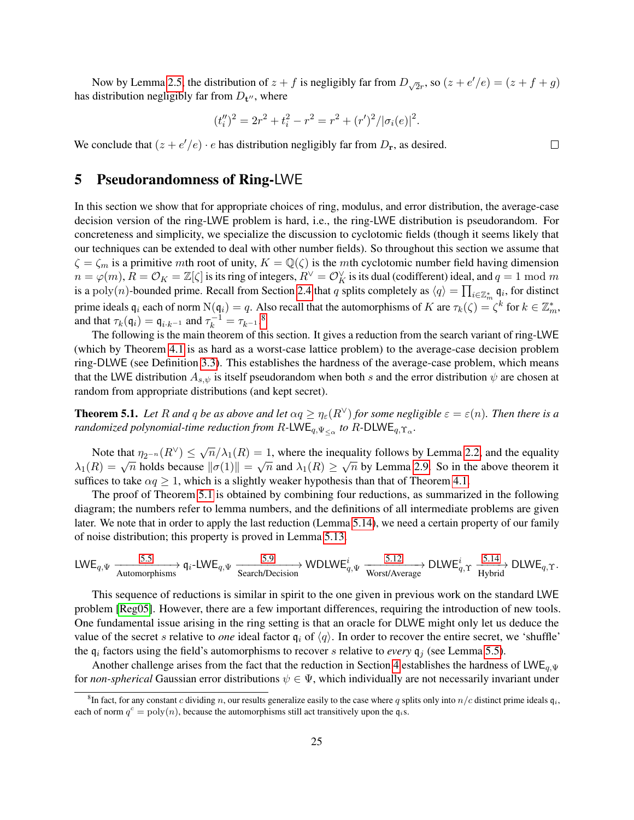Now by Lemma [2.5,](#page-10-1) the distribution of  $z + f$  is negligibly far from  $D_{\sqrt{2}r}$ , so  $(z + e'/e) = (z + f + g)$ has distribution negligibly far from  $D_{\mathbf{t}''}$ , where

$$
(t''_i)^2 = 2r^2 + t_i^2 - r^2 = r^2 + (r')^2/|\sigma_i(e)|^2.
$$

We conclude that  $(z + e'/e) \cdot e$  has distribution negligibly far from  $D_{\bf r}$ , as desired.

## <span id="page-24-0"></span>5 Pseudorandomness of Ring-LWE

In this section we show that for appropriate choices of ring, modulus, and error distribution, the average-case decision version of the ring-LWE problem is hard, i.e., the ring-LWE distribution is pseudorandom. For concreteness and simplicity, we specialize the discussion to cyclotomic fields (though it seems likely that our techniques can be extended to deal with other number fields). So throughout this section we assume that  $\zeta = \zeta_m$  is a primitive mth root of unity,  $K = \mathbb{Q}(\zeta)$  is the mth cyclotomic number field having dimension  $n=\varphi(m),$   $\bar{R}=\mathcal{O}_K=\mathbb{Z}[\zeta]$  is its ring of integers,  $R^\vee=\mathcal{O}_K^\vee$  is its dual (codifferent) ideal, and  $q=1$  mod  $m$ is a poly $(n)$ -bounded prime. Recall from Section [2.4](#page-16-0) that q splits completely as  $\langle q \rangle = \prod_{i \in \mathbb{Z}_m^*} \mathfrak{q}_i$ , for distinct prime ideals  $\mathfrak{q}_i$  each of norm  $N(\mathfrak{q}_i) = q$ . Also recall that the automorphisms of K are  $\tau_k(\zeta) = \zeta^k$  for  $k \in \mathbb{Z}_m^*$ , and that  $\tau_k(\mathfrak{q}_i) = \mathfrak{q}_{i \cdot k^{-1}}$  and  $\tau_k^{-1} = \tau_{k^{-1}}$ .<sup>[8](#page-24-2)</sup>

The following is the main theorem of this section. It gives a reduction from the search variant of ring-LWE (which by Theorem [4.1](#page-20-1) is as hard as a worst-case lattice problem) to the average-case decision problem ring-DLWE (see Definition [3.3\)](#page-17-1). This establishes the hardness of the average-case problem, which means that the LWE distribution  $A_{s,\psi}$  is itself pseudorandom when both s and the error distribution  $\psi$  are chosen at random from appropriate distributions (and kept secret).

<span id="page-24-1"></span>**Theorem 5.1.** *Let* R and q be as above and let  $\alpha q \ge \eta_{\varepsilon}(R^{\vee})$  *for some negligible*  $\varepsilon = \varepsilon(n)$ *. Then there is a randomized polynomial-time reduction from R-LWE<sub>q,* $\Psi_{\leq \alpha}$ *</sub> to R-DLWE<sub>q,* $\Upsilon_{\alpha}$ *.*</sub>

Note that  $\eta_{2^{-n}}(R^{\vee}) \leq \sqrt{n}/\lambda_1(R) = 1$ , where the inequality follows by Lemma [2.2,](#page-9-2) and the equality Note that  $\eta_2$ - $n(A) \le \sqrt{n}/\lambda_1(R) = 1$ , where the inequality follows by Lemma 2.2, and the equality  $\lambda_1(R) = \sqrt{n}$  holds because  $\|\sigma(1)\| = \sqrt{n}$  and  $\lambda_1(R) \ge \sqrt{n}$  by Lemma [2.9.](#page-13-0) So in the above theorem it suffices to take  $\alpha q \geq 1$ , which is a slightly weaker hypothesis than that of Theorem [4.1.](#page-20-1)

The proof of Theorem [5.1](#page-24-1) is obtained by combining four reductions, as summarized in the following diagram; the numbers refer to lemma numbers, and the definitions of all intermediate problems are given later. We note that in order to apply the last reduction (Lemma [5.14\)](#page-29-0), we need a certain property of our family of noise distribution; this property is proved in Lemma [5.13.](#page-28-0)

$$
\text{LWE}_{q,\Psi} \xrightarrow[\text{Automorphisms}]{5.5} \text{q}_i\text{-LWE}_{q,\Psi} \xrightarrow[\text{Search/Decision}]{5.9} \text{WDLWE}_{q,\Psi}^i \xrightarrow[\text{Worst/Average}]{5.12} \text{DLWE}_{q,\Upsilon}^i \xrightarrow[\text{Hybrid}]{5.14} \text{DLWE}_{q,\Upsilon}.
$$

This sequence of reductions is similar in spirit to the one given in previous work on the standard LWE problem [\[Reg05\]](#page-33-0). However, there are a few important differences, requiring the introduction of new tools. One fundamental issue arising in the ring setting is that an oracle for DLWE might only let us deduce the value of the secret s relative to *one* ideal factor  $q_i$  of  $\langle q \rangle$ . In order to recover the entire secret, we 'shuffle' the  $q_i$  factors using the field's automorphisms to recover s relative to *every*  $q_j$  (see Lemma [5.5\)](#page-25-2).

Another challenge arises from the fact that the reduction in Section [4](#page-20-0) establishes the hardness of LWE<sub>q, Ψ</sub> for *non-spherical* Gaussian error distributions  $\psi \in \Psi$ , which individually are not necessarily invariant under

 $\Box$ 

<span id="page-24-2"></span><sup>&</sup>lt;sup>8</sup>In fact, for any constant c dividing n, our results generalize easily to the case where q splits only into  $n/c$  distinct prime ideals  $\mathfrak{q}_i$ , each of norm  $q^c = \text{poly}(n)$ , because the automorphisms still act transitively upon the  $q_i$ s.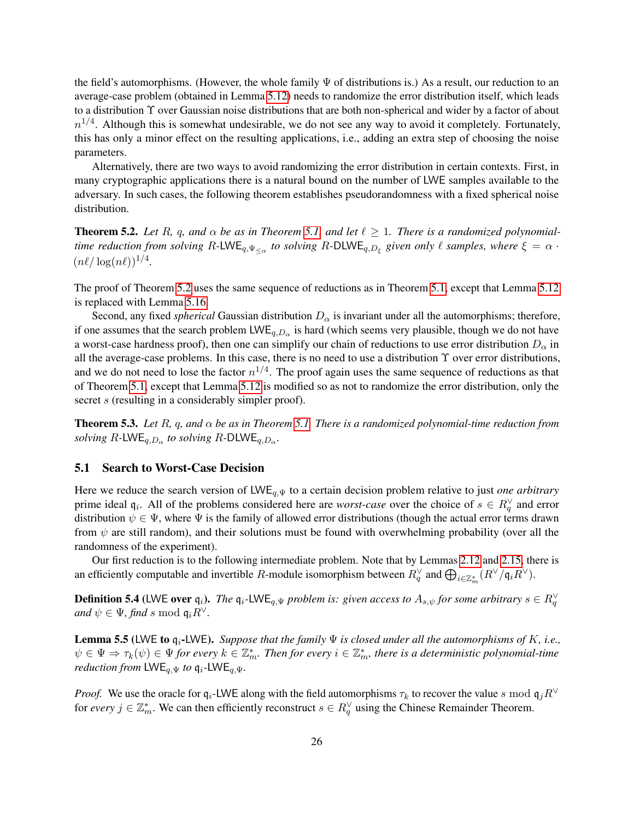the field's automorphisms. (However, the whole family  $\Psi$  of distributions is.) As a result, our reduction to an average-case problem (obtained in Lemma [5.12\)](#page-28-1) needs to randomize the error distribution itself, which leads to a distribution Υ over Gaussian noise distributions that are both non-spherical and wider by a factor of about  $n^{1/4}$ . Although this is somewhat undesirable, we do not see any way to avoid it completely. Fortunately, this has only a minor effect on the resulting applications, i.e., adding an extra step of choosing the noise parameters.

Alternatively, there are two ways to avoid randomizing the error distribution in certain contexts. First, in many cryptographic applications there is a natural bound on the number of LWE samples available to the adversary. In such cases, the following theorem establishes pseudorandomness with a fixed spherical noise distribution.

<span id="page-25-0"></span>**Theorem 5.2.** Let R, q, and  $\alpha$  be as in Theorem [5.1,](#page-24-1) and let  $\ell \geq 1$ . There is a randomized polynomial*time reduction from solving*  $R$ -LWE<sub>q, $\Psi_{\leq \alpha}$  to solving  $R$ -DLWE<sub>q,D<sub>ξ</sub> given only  $\ell$  samples, where  $\xi = \alpha \cdot$ </sub></sub>  $(n\ell/\log(n\ell))^{1/4}.$ 

The proof of Theorem [5.2](#page-25-0) uses the same sequence of reductions as in Theorem [5.1,](#page-24-1) except that Lemma [5.12](#page-28-1) is replaced with Lemma [5.16.](#page-29-1)

Second, any fixed *spherical* Gaussian distribution  $D_{\alpha}$  is invariant under all the automorphisms; therefore, if one assumes that the search problem  $\mathsf{LWE}_{q,D_\alpha}$  is hard (which seems very plausible, though we do not have a worst-case hardness proof), then one can simplify our chain of reductions to use error distribution  $D_{\alpha}$  in all the average-case problems. In this case, there is no need to use a distribution Υ over error distributions, and we do not need to lose the factor  $n^{1/4}$ . The proof again uses the same sequence of reductions as that of Theorem [5.1,](#page-24-1) except that Lemma [5.12](#page-28-1) is modified so as not to randomize the error distribution, only the secret s (resulting in a considerably simpler proof).

<span id="page-25-1"></span>Theorem 5.3. *Let* R*,* q*, and* α *be as in Theorem [5.1.](#page-24-1) There is a randomized polynomial-time reduction from solving*  $R$ -LWE<sub>q,D<sub>α</sub></sub> *to solving*  $R$ -DLWE<sub>q,D<sub>α</sub>.</sub>

## 5.1 Search to Worst-Case Decision

Here we reduce the search version of LWE<sub>q,Ψ</sub> to a certain decision problem relative to just *one arbitrary* prime ideal  $q_i$ . All of the problems considered here are *worst-case* over the choice of  $s \in R_q^{\vee}$  and error distribution  $\psi \in \Psi$ , where  $\Psi$  is the family of allowed error distributions (though the actual error terms drawn from  $\psi$  are still random), and their solutions must be found with overwhelming probability (over all the randomness of the experiment).

Our first reduction is to the following intermediate problem. Note that by Lemmas [2.12](#page-14-0) and [2.15,](#page-15-1) there is an efficiently computable and invertible R-module isomorphism between  $R_q^{\vee}$  and  $\bigoplus_{i\in\mathbb{Z}_m^*}(R^{\vee}/\mathfrak{q}_i R^{\vee})$ .

**Definition 5.4** (LWE over  $\mathfrak{q}_i$ ). The  $\mathfrak{q}_i$ -LWE<sub>q, $\Psi$ </sub> problem is: given access to  $A_{s,\psi}$  for some arbitrary  $s \in R_q^{\vee}$ *and*  $\psi \in \Psi$ *, find* s mod  $\mathfrak{q}_i R^{\vee}$ *.* 

<span id="page-25-2"></span>Lemma 5.5 (LWE to qi-LWE). *Suppose that the family* Ψ *is closed under all the automorphisms of* K*, i.e.,*  $\psi \in \Psi \Rightarrow \tau_k(\psi) \in \Psi$  for every  $k \in \mathbb{Z}_m^*$ . Then for every  $i \in \mathbb{Z}_m^*$ , there is a deterministic polynomial-time *reduction from*  $LWE_{q,\Psi}$  *to*  $q_i$ -LWE<sub>a, $\Psi$ </sub>.

*Proof.* We use the oracle for  $q_i$ -LWE along with the field automorphisms  $\tau_k$  to recover the value s mod  $q_jR^{\vee}$ for *every*  $j \in \mathbb{Z}_m^*$ . We can then efficiently reconstruct  $s \in R_q^{\vee}$  using the Chinese Remainder Theorem.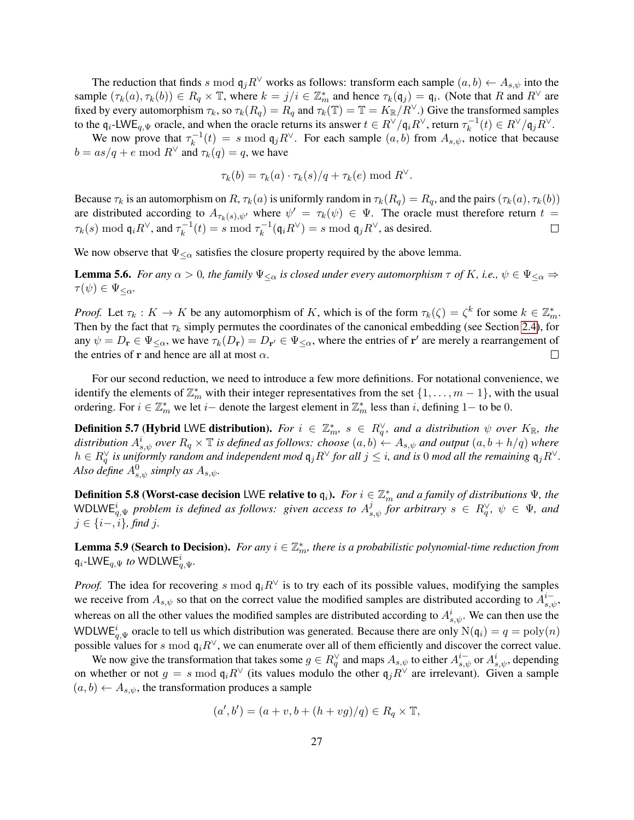The reduction that finds s mod  $\mathfrak{q}_i R^{\vee}$  works as follows: transform each sample  $(a, b) \leftarrow A_{s, \psi}$  into the sample  $(\tau_k(a), \tau_k(b)) \in R_q \times \mathbb{T}$ , where  $k = j/i \in \mathbb{Z}_m^*$  and hence  $\tau_k(\mathfrak{q}_j) = \mathfrak{q}_i$ . (Note that R and  $R^{\vee}$  are fixed by every automorphism  $\tau_k$ , so  $\tau_k(R_q) = R_q$  and  $\tau_k(T) = T = K_{\mathbb{R}}/R^{\vee}$ .) Give the transformed samples to the  $\mathfrak{q}_i$ -LWE<sub>q, $\Psi$ </sub> oracle, and when the oracle returns its answer  $t \in R^{\vee}/\mathfrak{q}_i R^{\vee}$ , return  $\tau_k^{-1}$  $k_k^{-1}(t) \in R^{\vee}/\mathfrak{q}_j R^{\vee}.$ 

We now prove that  $\tau_k^{-1}$  $k<sub>k</sub><sup>-1</sup>(t) = s \mod \mathfrak{q}_j R^{\vee}$ . For each sample  $(a, b)$  from  $A_{s, \psi}$ , notice that because  $b = \frac{as}{q} + e \mod R^{\vee}$  and  $\tau_k(q) = q$ , we have

$$
\tau_k(b) = \tau_k(a) \cdot \tau_k(s)/q + \tau_k(e) \bmod R^{\vee}.
$$

Because  $\tau_k$  is an automorphism on R,  $\tau_k(a)$  is uniformly random in  $\tau_k(R_q) = R_q$ , and the pairs  $(\tau_k(a), \tau_k(b))$ are distributed according to  $A_{\tau_k(s),\psi'}$  where  $\psi' = \tau_k(\psi) \in \Psi$ . The oracle must therefore return  $t =$  $\tau_k(s) \bmod {\mathfrak{q}}_i R^\vee$ , and  $\tau_k^{-1}$  $k_k^{-1}(t) = s \mod \tau_k^{-1}$  $k_{k}^{-1}(\mathfrak{q}_{i}R^{\vee})=s \bmod \mathfrak{q}_{j}R^{\vee}$ , as desired.  $\Box$ 

We now observe that  $\Psi_{\leq \alpha}$  satisfies the closure property required by the above lemma.

**Lemma 5.6.** *For any*  $\alpha > 0$ *, the family*  $\Psi_{\leq \alpha}$  *is closed under every automorphism*  $\tau$  *of* K*, i.e.,*  $\psi \in \Psi_{\leq \alpha}$   $\Rightarrow$  $\tau(\psi) \in \Psi_{\leq \alpha}$ .

*Proof.* Let  $\tau_k : K \to K$  be any automorphism of K, which is of the form  $\tau_k(\zeta) = \zeta^k$  for some  $k \in \mathbb{Z}_m^*$ . Then by the fact that  $\tau_k$  simply permutes the coordinates of the canonical embedding (see Section [2.4\)](#page-16-0), for any  $\psi = D_r \in \Psi_{\leq \alpha}$ , we have  $\tau_k(D_r) = D_{r'} \in \Psi_{\leq \alpha}$ , where the entries of  $r'$  are merely a rearrangement of the entries of r and hence are all at most  $\alpha$ .  $\Box$ 

For our second reduction, we need to introduce a few more definitions. For notational convenience, we identify the elements of  $\mathbb{Z}_m^*$  with their integer representatives from the set  $\{1,\ldots,m-1\}$ , with the usual ordering. For  $i \in \mathbb{Z}_m^*$  we let  $i-$  denote the largest element in  $\mathbb{Z}_m^*$  less than i, defining 1– to be 0.

**Definition 5.7 (Hybrid LWE distribution).** For  $i \in \mathbb{Z}_m^*$ ,  $s \in R_q^{\vee}$ , and a distribution  $\psi$  over  $K_{\mathbb{R}}$ , the distribution  $A^i_{s,\psi}$  over  $R_q\times\mathbb{T}$  is defined as follows: choose  $(a,b)\leftarrow A_{s,\psi}$  and output  $(a,b+h/q)$  where  $h \in R_q^{\vee}$  is uniformly random and independent mod  $\mathfrak{q}_jR^{\vee}$  for all  $j \leq i$ , and is 0 mod all the remaining  $\mathfrak{q}_jR^{\vee}$ . *Also define*  $A^0_{s,\psi}$  *simply as*  $A_{s,\psi}$ *.* 

**Definition 5.8 (Worst-case decision** LWE relative to  $q_i$ ). *For*  $i \in \mathbb{Z}_m^*$  and a family of distributions  $\Psi$ , the WDLWE<sup>i</sup><sub>q</sub>, $\Psi$  problem is defined as follows: given access to  $A^j_{s,\psi}$  for arbitrary  $s \in R^{\vee}_q$ ,  $\psi \in \Psi$ , and j ∈ {i−, i}*, find* j*.*

<span id="page-26-0"></span>**Lemma 5.9 (Search to Decision).** For any  $i \in \mathbb{Z}_m^*$ , there is a probabilistic polynomial-time reduction from  $\mathfrak{q}_i$ -LWE $_{q,\Psi}$  *to* WDLWE $_{q,\Psi}^i$ .

*Proof.* The idea for recovering s mod  $q_iR^{\vee}$  is to try each of its possible values, modifying the samples we receive from  $A_{s,\psi}$  so that on the correct value the modified samples are distributed according to  $A_{s,\psi}^{i-}$ , whereas on all the other values the modified samples are distributed according to  $A^i_{s,\psi}$ . We can then use the WDLWE<sup>i</sup><sub>q,V</sub> oracle to tell us which distribution was generated. Because there are only  $N(q_i) = q = poly(n)$ possible values for s mod  $q_iR^{\vee}$ , we can enumerate over all of them efficiently and discover the correct value.

We now give the transformation that takes some  $g \in R_q^{\vee}$  and maps  $A_{s,\psi}$  to either  $A_{s,\psi}^{i-}$  or  $A_{s,\psi}^{i}$ , depending on whether or not  $g = s \mod q_i R^{\vee}$  (its values modulo the other  $q_j R^{\vee}$  are irrelevant). Given a sample  $(a, b) \leftarrow A_{s, \psi}$ , the transformation produces a sample

$$
(a',b') = (a+v,b+(h+vg)/q) \in R_q \times \mathbb{T},
$$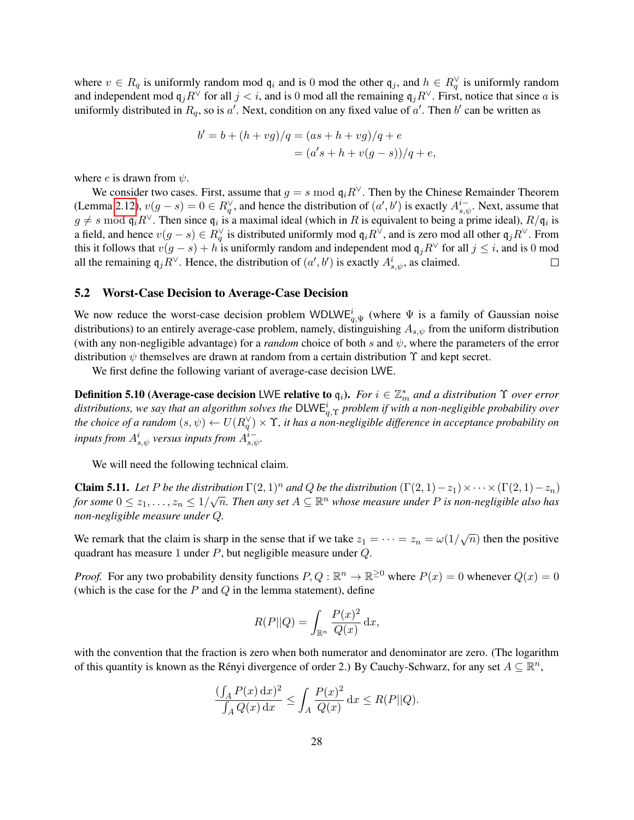where  $v \in R_q$  is uniformly random mod  $\mathfrak{q}_i$  and is 0 mod the other  $\mathfrak{q}_j$ , and  $h \in R_q^{\vee}$  is uniformly random and independent mod  $q_jR^\vee$  for all  $j < i$ , and is 0 mod all the remaining  $q_jR^\vee$ . First, notice that since a is uniformly distributed in  $R_q$ , so is a'. Next, condition on any fixed value of a'. Then b' can be written as

$$
b' = b + (h + v g)/q = (as + h + v g)/q + e
$$
  
=  $(a's + h + v(g - s))/q + e$ ,

where *e* is drawn from  $\psi$ .

We consider two cases. First, assume that  $g = s \mod q_i R^{\vee}$ . Then by the Chinese Remainder Theorem (Lemma [2.12\)](#page-14-0),  $v(g - s) = 0 \in R_q^{\vee}$ , and hence the distribution of  $(a', b')$  is exactly  $A_{s,\psi}^{i-}$ . Next, assume that  $g \neq s$  mod  $\mathfrak{q}_i R^{\vee}$ . Then since  $\mathfrak{q}_i$  is a maximal ideal (which in R is equivalent to being a prime ideal),  $R/\mathfrak{q}_i$  is a field, and hence  $v(g-s) \in R_q^{\vee}$  is distributed uniformly mod  $\mathfrak{q}_i R^{\vee}$ , and is zero mod all other  $\mathfrak{q}_j R^{\vee}$ . From this it follows that  $v(g - s) + h$  is uniformly random and independent mod  $q_jR^{\vee}$  for all  $j \leq i$ , and is 0 mod all the remaining  $q_j R^{\vee}$ . Hence, the distribution of  $(a', b')$  is exactly  $A^i_{s,\psi}$ , as claimed.  $\Box$ 

## 5.2 Worst-Case Decision to Average-Case Decision

We now reduce the worst-case decision problem WDLW $E_{q,\Psi}^{i}$  (where  $\Psi$  is a family of Gaussian noise distributions) to an entirely average-case problem, namely, distinguishing  $A_{s,\psi}$  from the uniform distribution (with any non-negligible advantage) for a *random* choice of both s and  $\psi$ , where the parameters of the error distribution  $\psi$  themselves are drawn at random from a certain distribution  $\Upsilon$  and kept secret.

We first define the following variant of average-case decision LWE.

**Definition 5.10 (Average-case decision LWE relative to**  $q_i$ **).** *For*  $i \in \mathbb{Z}_m^*$  and a distribution  $\Upsilon$  over error  $d$ istributions, we say that an algorithm solves the  $\mathsf{DLWE}_{q,\Upsilon}^i$  problem if with a non-negligible probability over *the choice of a random*  $(s, \psi) \leftarrow U(R_q^{\vee}) \times \Upsilon$ , it has a non-negligible difference in acceptance probability on  $i$ *nputs from*  $A^i_{s,\psi}$  *versus inputs from*  $A^i_{s,\psi}$ *.* 

We will need the following technical claim.

**Claim 5.11.** *Let* P *be the distribution*  $\Gamma(2, 1)^n$  *and* Q *be the distribution*  $(\Gamma(2, 1) - z_1) \times \cdots \times (\Gamma(2, 1) - z_n)$ for some  $0 \leq z_1, \ldots, z_n \leq 1/\sqrt{n}$ . Then any set  $A \subseteq \mathbb{R}^n$  whose measure under P is non-negligible also has *non-negligible measure under* Q*.*

We remark that the claim is sharp in the sense that if we take  $z_1 = \cdots = z_n = \omega(1/\sqrt{n})$  then the positive quadrant has measure 1 under  $P$ , but negligible measure under  $Q$ .

*Proof.* For any two probability density functions  $P, Q : \mathbb{R}^n \to \mathbb{R}^{\geq 0}$  where  $P(x) = 0$  whenever  $Q(x) = 0$ (which is the case for the  $P$  and  $Q$  in the lemma statement), define

<span id="page-27-0"></span>
$$
R(P||Q) = \int_{\mathbb{R}^n} \frac{P(x)^2}{Q(x)} dx,
$$

with the convention that the fraction is zero when both numerator and denominator are zero. (The logarithm of this quantity is known as the Rényi divergence of order 2.) By Cauchy-Schwarz, for any set  $A \subseteq \mathbb{R}^n$ ,

$$
\frac{(\int_A P(x) dx)^2}{\int_A Q(x) dx} \le \int_A \frac{P(x)^2}{Q(x)} dx \le R(P||Q).
$$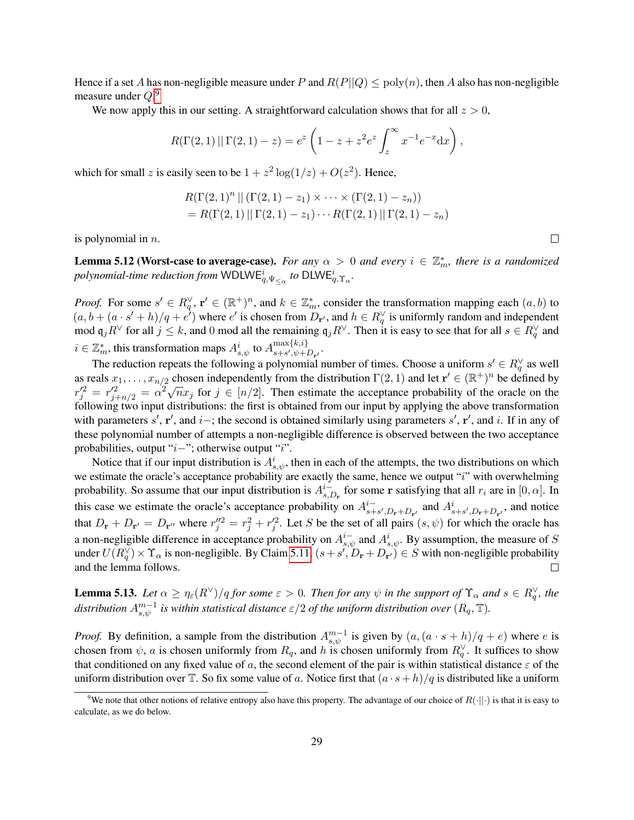Hence if a set A has non-negligible measure under P and  $R(P||Q) \leq poly(n)$ , then A also has non-negligible measure under  $Q$ .<sup>[9](#page-28-2)</sup>

We now apply this in our setting. A straightforward calculation shows that for all  $z > 0$ ,

$$
R(\Gamma(2,1) || \Gamma(2,1) - z) = e^z \left( 1 - z + z^2 e^z \int_z^{\infty} x^{-1} e^{-x} dx \right),
$$

which for small z is easily seen to be  $1 + z^2 \log(1/z) + O(z^2)$ . Hence,

$$
R(\Gamma(2,1)^n || (\Gamma(2,1) - z_1) \times \cdots \times (\Gamma(2,1) - z_n))
$$
  
=  $R(\Gamma(2,1) || \Gamma(2,1) - z_1) \cdots R(\Gamma(2,1) || \Gamma(2,1) - z_n)$ 

is polynomial in  $n$ .

<span id="page-28-1"></span>**Lemma 5.12 (Worst-case to average-case).** For any  $\alpha > 0$  and every  $i \in \mathbb{Z}_m^*$ , there is a randomized  $p$ olynomial-time reduction from  $\mathsf{WDLWE}_{q,\Psi_{\leq \alpha}}^i$  to  $\mathsf{DLWE}_{q,\Upsilon_\alpha}^i.$ 

*Proof.* For some  $s' \in R_q^{\vee}$ ,  $\mathbf{r}' \in (\mathbb{R}^+)^n$ , and  $k \in \mathbb{Z}_m^*$ , consider the transformation mapping each  $(a, b)$  to  $(a, b + (a \cdot s' + h)/q + e^i)$  where e' is chosen from  $D_{\mathbf{r}}$ , and  $h \in R_q^{\vee}$  is uniformly random and independent mod  $\mathfrak{q}_j R^\vee$  for all  $j \leq k$ , and 0 mod all the remaining  $\mathfrak{q}_j R^\vee$ . Then it is easy to see that for all  $s \in R_q^\vee$  and  $i \in \mathbb{Z}_m^*$ , this transformation maps  $A^i_{s,\psi}$  to  $A^{\max\{k,i\}}_{s+s',\psi+i}$  $\max\{\kappa, \iota\}$ <br>s+s', $\psi$ + $D_{\mathbf{r}'}$ .

The reduction repeats the following a polynomial number of times. Choose a uniform  $s' \in R_q^{\vee}$  as well as reals  $x_1, \ldots, x_{n/2}$  chosen independently from the distribution  $\Gamma(2,1)$  and let  $\mathbf{r}' \in (\mathbb{R}^+)^n$  be defined by  $r_j'^2 = r_{j+n/2}'^2 = \alpha^2 \sqrt{n} x_j$  for  $j \in [n/2]$ . Then estimate the acceptance probability of the oracle on the following two input distributions: the first is obtained from our input by applying the above transformation with parameters  $s'$ ,  $r'$ , and  $i-$ ; the second is obtained similarly using parameters  $s'$ ,  $r'$ , and  $i$ . If in any of these polynomial number of attempts a non-negligible difference is observed between the two acceptance probabilities, output "i−"; otherwise output "i".

Notice that if our input distribution is  $A^i_{s,\psi}$ , then in each of the attempts, the two distributions on which we estimate the oracle's acceptance probability are exactly the same, hence we output "i" with overwhelming probability. So assume that our input distribution is  $A_{s}^{i-1}$  $_{s,D_{\bf r}}^{i^-}$  for some  ${\bf r}$  satisfying that all  $r_i$  are in  $[0,\alpha]$ . In this case we estimate the oracle's acceptance probability on  $A_{s+}^{i-}$  $s+s', D_{\mathbf{r}}+D_{\mathbf{r'}}$  and  $A_{s+s',D_{\mathbf{r}}+D_{\mathbf{r'}}}^i$ , and notice that  $D_{\bf r} + D_{\bf r'} = D_{\bf r''}$  where  $r''_j = r_j^2 + r_j'^2$ . Let S be the set of all pairs  $(s, \psi)$  for which the oracle has a non-negligible difference in acceptance probability on  $A_{s,\psi}^{i-}$  and  $A_{s,\psi}^{i}$ . By assumption, the measure of S under  $U(R_q^{\vee}) \times \Upsilon_\alpha$  is non-negligible. By Claim [5.11,](#page-27-0)  $(s + s', D_r + D_{r'}) \in S$  with non-negligible probability and the lemma follows.  $\Box$ 

<span id="page-28-0"></span>**Lemma 5.13.** Let  $\alpha \ge \eta_{\varepsilon}(R^{\vee})/q$  for some  $\varepsilon > 0$ . Then for any  $\psi$  in the support of  $\Upsilon_{\alpha}$  and  $s \in R^{\vee}_{q}$ , the distribution  $A^{m-1}_{s,\psi}$  is within statistical distance  $\varepsilon/2$  of the uniform distribution over  $(R_q,\mathbb{T})$ .

*Proof.* By definition, a sample from the distribution  $A^{m-1}_{s,\psi}$  is given by  $(a, (a \cdot s + h)/q + e)$  where e is chosen from  $\psi$ , a is chosen uniformly from  $R_q$ , and h is chosen uniformly from  $R_q^{\vee}$ . It suffices to show that conditioned on any fixed value of a, the second element of the pair is within statistical distance  $\varepsilon$  of the uniform distribution over T. So fix some value of a. Notice first that  $(a \cdot s + h)/q$  is distributed like a uniform

 $\Box$ 

<span id="page-28-2"></span><sup>&</sup>lt;sup>9</sup>We note that other notions of relative entropy also have this property. The advantage of our choice of  $R(\cdot||\cdot)$  is that it is easy to calculate, as we do below.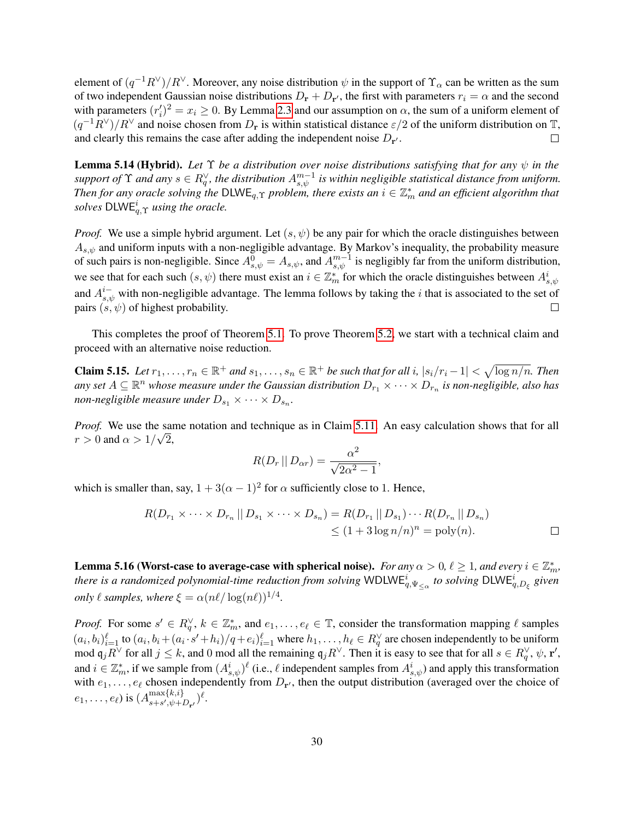element of  $(q^{-1}R^{\vee})/R^{\vee}$ . Moreover, any noise distribution  $\psi$  in the support of  $\Upsilon_{\alpha}$  can be written as the sum of two independent Gaussian noise distributions  $D_{\bf r}+D_{\bf r'}$ , the first with parameters  $r_i=\alpha$  and the second with parameters  $(r_i')^2 = x_i \ge 0$ . By Lemma [2.3](#page-9-3) and our assumption on  $\alpha$ , the sum of a uniform element of  $(q^{-1}R^{\vee})/R^{\vee}$  and noise chosen from  $D_r$  is within statistical distance  $\varepsilon/2$  of the uniform distribution on T, and clearly this remains the case after adding the independent noise  $D_{\bf{r'}}$ .  $\Box$ 

<span id="page-29-0"></span>**Lemma 5.14 (Hybrid).** Let  $\Upsilon$  *be a distribution over noise distributions satisfying that for any*  $\psi$  *in the* support of  $\Upsilon$  and any  $s \in R_q^{\vee}$ , the distribution  $A_{s,\psi}^{m-1}$  is within negligible statistical distance from uniform. *Then for any oracle solving the*  $\text{DLWE}_{q,\Upsilon}$  *problem, there exists an*  $i \in \mathbb{Z}_m^*$  *and an efficient algorithm that*  $\mathit{solves}$   $\mathsf{DLWE}_{q,\Upsilon}^i$  *using the oracle.* 

*Proof.* We use a simple hybrid argument. Let  $(s, \psi)$  be any pair for which the oracle distinguishes between  $A_{s,\psi}$  and uniform inputs with a non-negligible advantage. By Markov's inequality, the probability measure of such pairs is non-negligible. Since  $A_{s,\psi}^0 = A_{s,\psi}$ , and  $A_{s,\psi}^{m-1}$  is negligibly far from the uniform distribution, we see that for each such  $(s, \psi)$  there must exist an  $i \in \mathbb{Z}_m^*$  for which the oracle distinguishes between  $A_{s,\psi}^i$ and  $A_{s,\psi}^{i-}$  with non-negligible advantage. The lemma follows by taking the *i* that is associated to the set of pairs  $(s, \psi)$  of highest probability.  $\Box$ 

This completes the proof of Theorem [5.1.](#page-24-1) To prove Theorem [5.2,](#page-25-0) we start with a technical claim and proceed with an alternative noise reduction.

<span id="page-29-2"></span>**Claim 5.15.** Let  $r_1, \ldots, r_n \in \mathbb{R}^+$  and  $s_1, \ldots, s_n \in \mathbb{R}^+$  be such that for all i,  $|s_i/r_i - 1| < \sqrt{\log n/n}$ . Then any set  $A\subseteq \R^n$  whose measure under the Gaussian distribution  $D_{r_1}\times\dots\times D_{r_n}$  is non-negligible, also has non-negligible measure under  $D_{s_1} \times \cdots \times D_{s_n}$ .

*Proof.* We use the same notation and technique as in Claim [5.11.](#page-27-0) An easy calculation shows that for all  $r > 0$  and  $\alpha > 1/\sqrt{2}$ ,

$$
R(D_r \mid D_{\alpha r}) = \frac{\alpha^2}{\sqrt{2\alpha^2 - 1}},
$$

which is smaller than, say,  $1 + 3(\alpha - 1)^2$  for  $\alpha$  sufficiently close to 1. Hence,

$$
R(D_{r_1} \times \cdots \times D_{r_n} \mid D_{s_1} \times \cdots \times D_{s_n}) = R(D_{r_1} \mid D_{s_1}) \cdots R(D_{r_n} \mid D_{s_n})
$$
  
\$\leq (1+3 \log n/n)^n = \text{poly}(n). \square\$

<span id="page-29-1"></span>**Lemma 5.16 (Worst-case to average-case with spherical noise).** *For any*  $\alpha > 0$ ,  $\ell \ge 1$ , and every  $i \in \mathbb{Z}_m^*$ , *there is a randomized polynomial-time reduction from solving* WDLW $E^i_{q, \Psi_{\leq \alpha}}$  to solving DLW $E^i_{q, D_{\xi}}$  given *only*  $\ell$  *samples, where*  $\xi = \alpha (n\ell / \log(n\ell))^{1/4}$ *.* 

*Proof.* For some  $s' \in R_q^{\vee}$ ,  $k \in \mathbb{Z}_m^*$ , and  $e_1, \ldots, e_\ell \in \mathbb{T}$ , consider the transformation mapping  $\ell$  samples  $(a_i, b_i)_{i=1}^{\ell}$  to  $(a_i, b_i + (a_i \cdot s' + h_i)/q + e_i)_{i=1}^{\ell}$  where  $h_1, \ldots, h_{\ell} \in R_q^{\vee}$  are chosen independently to be uniform mod  $\mathfrak{q}_j R^{\vee}$  for all  $j \leq k$ , and 0 mod all the remaining  $\mathfrak{q}_j R^{\vee}$ . Then it is easy to see that for all  $s \in R_q^{\vee}$ ,  $\psi$ ,  $\mathbf{r}'$ , and  $i \in \mathbb{Z}_m^*$ , if we sample from  $(A^i_{s,\psi})^{\ell}$  (i.e.,  $\ell$  independent samples from  $A^i_{s,\psi}$ ) and apply this transformation with  $e_1, \ldots, e_\ell$  chosen independently from  $D_{\mathbf{r}'}$ , then the output distribution (averaged over the choice of  $(e_1,\ldots,e_\ell)$  is  $(A_{s+s',\psi+i}^{\max\{k,i\}})$  $\max\{k,\imath\}\ns+s',\psi+D_{\mathbf{r}'})^{\ell}.$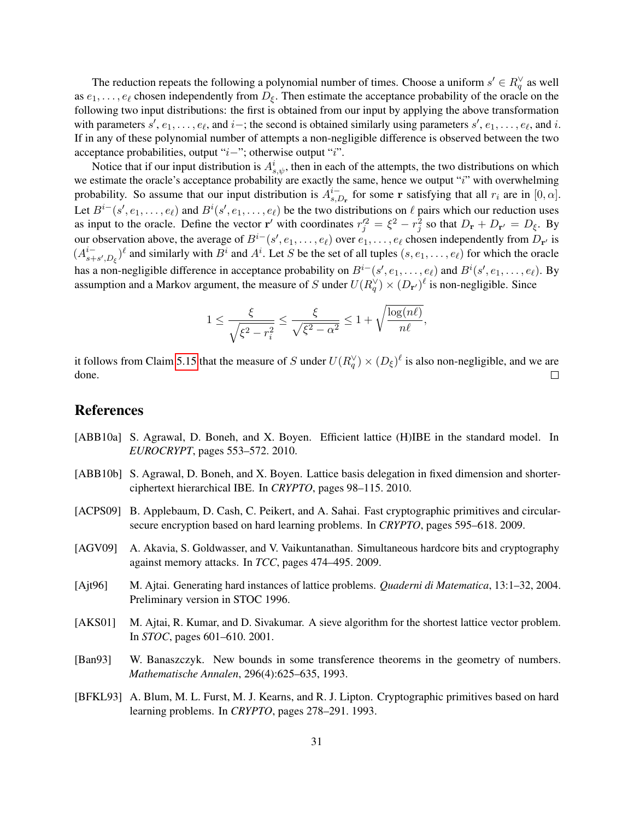The reduction repeats the following a polynomial number of times. Choose a uniform  $s' \in R_q^{\vee}$  as well as  $e_1, \ldots, e_\ell$  chosen independently from  $D_{\xi}$ . Then estimate the acceptance probability of the oracle on the following two input distributions: the first is obtained from our input by applying the above transformation with parameters  $s', e_1, \ldots, e_\ell$ , and  $i-$ ; the second is obtained similarly using parameters  $s', e_1, \ldots, e_\ell$ , and  $i$ . If in any of these polynomial number of attempts a non-negligible difference is observed between the two acceptance probabilities, output "i−"; otherwise output "i".

Notice that if our input distribution is  $A^i_{s,\psi}$ , then in each of the attempts, the two distributions on which we estimate the oracle's acceptance probability are exactly the same, hence we output "i" with overwhelming probability. So assume that our input distribution is  $A_{s,l}^{i-1}$  $_{s,D_{\bf r}}^{i^-}$  for some **r** satisfying that all  $r_i$  are in  $[0,\alpha]$ . Let  $B^{i-}(s', e_1, \ldots, e_\ell)$  and  $B^i(s', e_1, \ldots, e_\ell)$  be the two distributions on  $\ell$  pairs which our reduction uses as input to the oracle. Define the vector r' with coordinates  $r_j'^2 = \xi^2 - r_j^2$  so that  $D_r + D_{r'} = D_\xi$ . By our observation above, the average of  $B^{i-}(s', e_1, \ldots, e_\ell)$  over  $e_1, \ldots, e_\ell$  chosen independently from  $D_{\mathbf{r}'}$  is  $(A^{i-}_{s+})$  $_{s+s',D_{\xi}}^{i-}$  and similarly with  $B^i$  and  $A^i$ . Let S be the set of all tuples  $(s, e_1, \ldots, e_\ell)$  for which the oracle has a non-negligible difference in acceptance probability on  $B^{i-}(s', e_1, \ldots, e_\ell)$  and  $B^{i}(s', e_1, \ldots, e_\ell)$ . By assumption and a Markov argument, the measure of S under  $U(R_q^{\vee}) \times (D_{\mathbf{r'}})^{\ell}$  is non-negligible. Since

$$
1 \le \frac{\xi}{\sqrt{\xi^2 - r_i^2}} \le \frac{\xi}{\sqrt{\xi^2 - \alpha^2}} \le 1 + \sqrt{\frac{\log(n\ell)}{n\ell}},
$$

it follows from Claim [5.15](#page-29-2) that the measure of S under  $U(R_q^{\vee}) \times (D_{\xi})^{\ell}$  is also non-negligible, and we are done.  $\Box$ 

## References

- <span id="page-30-1"></span>[ABB10a] S. Agrawal, D. Boneh, and X. Boyen. Efficient lattice (H)IBE in the standard model. In *EUROCRYPT*, pages 553–572. 2010.
- <span id="page-30-2"></span>[ABB10b] S. Agrawal, D. Boneh, and X. Boyen. Lattice basis delegation in fixed dimension and shorterciphertext hierarchical IBE. In *CRYPTO*, pages 98–115. 2010.
- <span id="page-30-4"></span>[ACPS09] B. Applebaum, D. Cash, C. Peikert, and A. Sahai. Fast cryptographic primitives and circularsecure encryption based on hard learning problems. In *CRYPTO*, pages 595–618. 2009.
- <span id="page-30-3"></span>[AGV09] A. Akavia, S. Goldwasser, and V. Vaikuntanathan. Simultaneous hardcore bits and cryptography against memory attacks. In *TCC*, pages 474–495. 2009.
- <span id="page-30-0"></span>[Ajt96] M. Ajtai. Generating hard instances of lattice problems. *Quaderni di Matematica*, 13:1–32, 2004. Preliminary version in STOC 1996.
- <span id="page-30-5"></span>[AKS01] M. Ajtai, R. Kumar, and D. Sivakumar. A sieve algorithm for the shortest lattice vector problem. In *STOC*, pages 601–610. 2001.
- <span id="page-30-7"></span>[Ban93] W. Banaszczyk. New bounds in some transference theorems in the geometry of numbers. *Mathematische Annalen*, 296(4):625–635, 1993.
- <span id="page-30-6"></span>[BFKL93] A. Blum, M. L. Furst, M. J. Kearns, and R. J. Lipton. Cryptographic primitives based on hard learning problems. In *CRYPTO*, pages 278–291. 1993.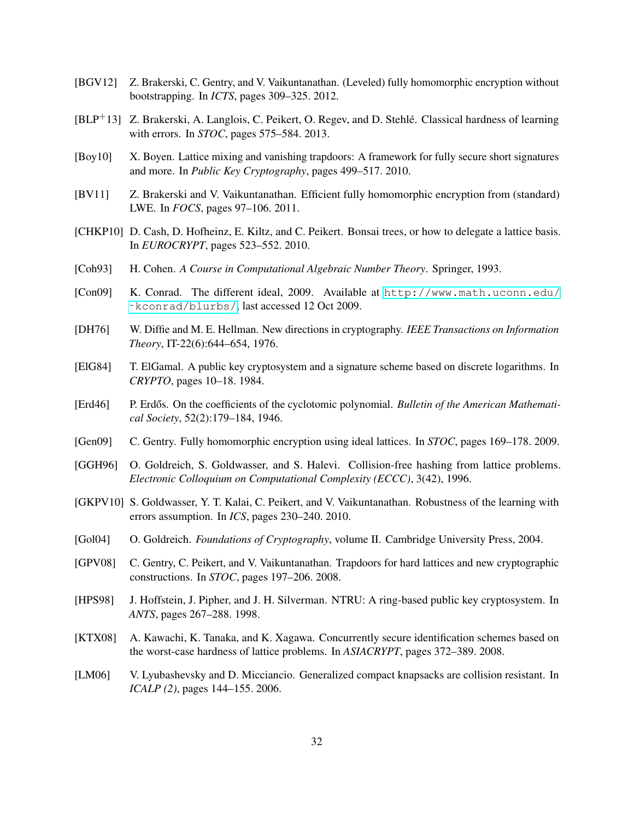- <span id="page-31-8"></span>[BGV12] Z. Brakerski, C. Gentry, and V. Vaikuntanathan. (Leveled) fully homomorphic encryption without bootstrapping. In *ICTS*, pages 309–325. 2012.
- <span id="page-31-0"></span>[BLP<sup>+</sup>13] Z. Brakerski, A. Langlois, C. Peikert, O. Regev, and D. Stehlé. Classical hardness of learning with errors. In *STOC*, pages 575–584. 2013.
- <span id="page-31-5"></span>[Boy10] X. Boyen. Lattice mixing and vanishing trapdoors: A framework for fully secure short signatures and more. In *Public Key Cryptography*, pages 499–517. 2010.
- <span id="page-31-7"></span>[BV11] Z. Brakerski and V. Vaikuntanathan. Efficient fully homomorphic encryption from (standard) LWE. In *FOCS*, pages 97–106. 2011.
- <span id="page-31-4"></span>[CHKP10] D. Cash, D. Hofheinz, E. Kiltz, and C. Peikert. Bonsai trees, or how to delegate a lattice basis. In *EUROCRYPT*, pages 523–552. 2010.
- <span id="page-31-12"></span>[Coh93] H. Cohen. *A Course in Computational Algebraic Number Theory*. Springer, 1993.
- <span id="page-31-17"></span>[Con09] K. Conrad. The different ideal, 2009. Available at [http://www.math.uconn.edu/](http://www.math.uconn.edu/~kconrad/blurbs/) [˜kconrad/blurbs/](http://www.math.uconn.edu/~kconrad/blurbs/), last accessed 12 Oct 2009.
- <span id="page-31-13"></span>[DH76] W. Diffie and M. E. Hellman. New directions in cryptography. *IEEE Transactions on Information Theory*, IT-22(6):644–654, 1976.
- <span id="page-31-14"></span>[ElG84] T. ElGamal. A public key cryptosystem and a signature scheme based on discrete logarithms. In *CRYPTO*, pages 10–18. 1984.
- <span id="page-31-15"></span>[Erd46] P. Erdős. On the coefficients of the cyclotomic polynomial. *Bulletin of the American Mathematical Society*, 52(2):179–184, 1946.
- <span id="page-31-9"></span>[Gen09] C. Gentry. Fully homomorphic encryption using ideal lattices. In *STOC*, pages 169–178. 2009.
- <span id="page-31-1"></span>[GGH96] O. Goldreich, S. Goldwasser, and S. Halevi. Collision-free hashing from lattice problems. *Electronic Colloquium on Computational Complexity (ECCC)*, 3(42), 1996.
- <span id="page-31-6"></span>[GKPV10] S. Goldwasser, Y. T. Kalai, C. Peikert, and V. Vaikuntanathan. Robustness of the learning with errors assumption. In *ICS*, pages 230–240. 2010.
- <span id="page-31-16"></span>[Gol04] O. Goldreich. *Foundations of Cryptography*, volume II. Cambridge University Press, 2004.
- <span id="page-31-3"></span>[GPV08] C. Gentry, C. Peikert, and V. Vaikuntanathan. Trapdoors for hard lattices and new cryptographic constructions. In *STOC*, pages 197–206. 2008.
- <span id="page-31-10"></span>[HPS98] J. Hoffstein, J. Pipher, and J. H. Silverman. NTRU: A ring-based public key cryptosystem. In *ANTS*, pages 267–288. 1998.
- <span id="page-31-2"></span>[KTX08] A. Kawachi, K. Tanaka, and K. Xagawa. Concurrently secure identification schemes based on the worst-case hardness of lattice problems. In *ASIACRYPT*, pages 372–389. 2008.
- <span id="page-31-11"></span>[LM06] V. Lyubashevsky and D. Micciancio. Generalized compact knapsacks are collision resistant. In *ICALP (2)*, pages 144–155. 2006.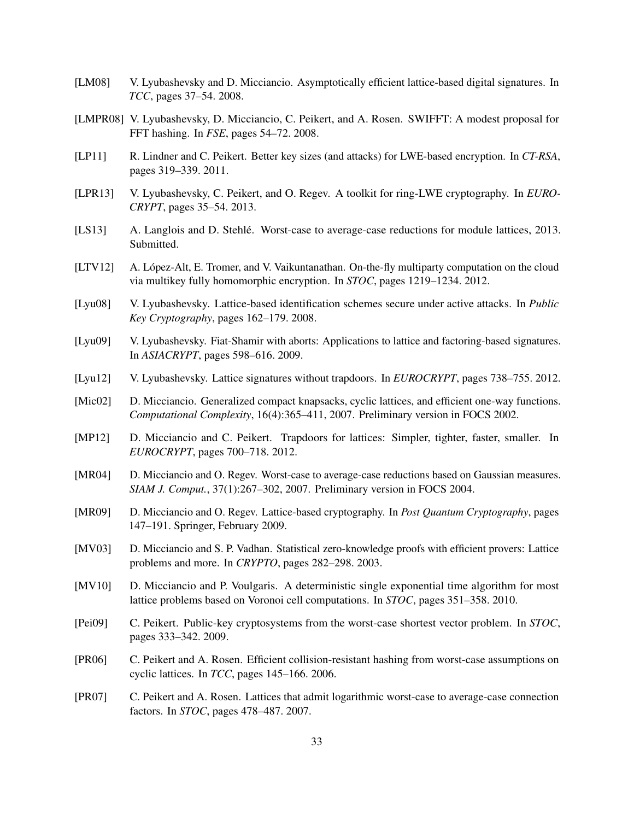- <span id="page-32-11"></span>[LM08] V. Lyubashevsky and D. Micciancio. Asymptotically efficient lattice-based digital signatures. In *TCC*, pages 37–54. 2008.
- <span id="page-32-9"></span>[LMPR08] V. Lyubashevsky, D. Micciancio, C. Peikert, and A. Rosen. SWIFFT: A modest proposal for FFT hashing. In *FSE*, pages 54–72. 2008.
- <span id="page-32-5"></span>[LP11] R. Lindner and C. Peikert. Better key sizes (and attacks) for LWE-based encryption. In *CT-RSA*, pages 319–339. 2011.
- <span id="page-32-12"></span>[LPR13] V. Lyubashevsky, C. Peikert, and O. Regev. A toolkit for ring-LWE cryptography. In *EURO-CRYPT*, pages 35–54. 2013.
- <span id="page-32-16"></span>[LS13] A. Langlois and D. Stehlé. Worst-case to average-case reductions for module lattices, 2013. Submitted.
- <span id="page-32-15"></span>[LTV12] A. López-Alt, E. Tromer, and V. Vaikuntanathan. On-the-fly multiparty computation on the cloud via multikey fully homomorphic encryption. In *STOC*, pages 1219–1234. 2012.
- <span id="page-32-2"></span>[Lyu08] V. Lyubashevsky. Lattice-based identification schemes secure under active attacks. In *Public Key Cryptography*, pages 162–179. 2008.
- <span id="page-32-10"></span>[Lyu09] V. Lyubashevsky. Fiat-Shamir with aborts: Applications to lattice and factoring-based signatures. In *ASIACRYPT*, pages 598–616. 2009.
- <span id="page-32-4"></span>[Lyu12] V. Lyubashevsky. Lattice signatures without trapdoors. In *EUROCRYPT*, pages 738–755. 2012.
- <span id="page-32-7"></span>[Mic02] D. Micciancio. Generalized compact knapsacks, cyclic lattices, and efficient one-way functions. *Computational Complexity*, 16(4):365–411, 2007. Preliminary version in FOCS 2002.
- <span id="page-32-3"></span>[MP12] D. Micciancio and C. Peikert. Trapdoors for lattices: Simpler, tighter, faster, smaller. In *EUROCRYPT*, pages 700–718. 2012.
- <span id="page-32-17"></span>[MR04] D. Micciancio and O. Regev. Worst-case to average-case reductions based on Gaussian measures. *SIAM J. Comput.*, 37(1):267–302, 2007. Preliminary version in FOCS 2004.
- <span id="page-32-6"></span>[MR09] D. Micciancio and O. Regev. Lattice-based cryptography. In *Post Quantum Cryptography*, pages 147–191. Springer, February 2009.
- <span id="page-32-1"></span>[MV03] D. Micciancio and S. P. Vadhan. Statistical zero-knowledge proofs with efficient provers: Lattice problems and more. In *CRYPTO*, pages 282–298. 2003.
- <span id="page-32-13"></span>[MV10] D. Micciancio and P. Voulgaris. A deterministic single exponential time algorithm for most lattice problems based on Voronoi cell computations. In *STOC*, pages 351–358. 2010.
- <span id="page-32-0"></span>[Pei09] C. Peikert. Public-key cryptosystems from the worst-case shortest vector problem. In *STOC*, pages 333–342. 2009.
- <span id="page-32-8"></span>[PR06] C. Peikert and A. Rosen. Efficient collision-resistant hashing from worst-case assumptions on cyclic lattices. In *TCC*, pages 145–166. 2006.
- <span id="page-32-14"></span>[PR07] C. Peikert and A. Rosen. Lattices that admit logarithmic worst-case to average-case connection factors. In *STOC*, pages 478–487. 2007.